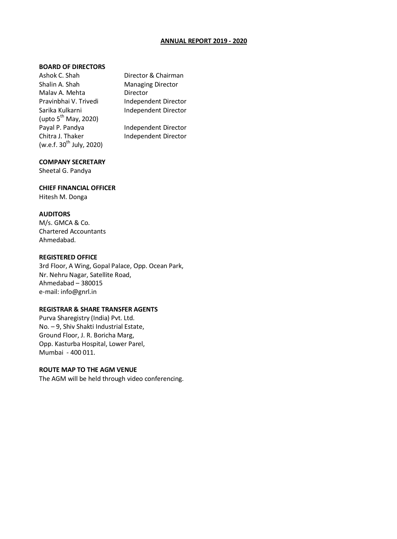#### **ANNUAL REPORT 2019 - 2020**

#### **BOARD OF DIRECTORS**

Ashok C. Shah Director & Chairman Shalin A. Shah Managing Director Malay A. Mehta **Director** Pravinbhai V. Trivedi Independent Director Sarika Kulkarni **Independent Director** (upto 5<sup>th</sup> May, 2020)<br>Payal P. Pandya Chitra J. Thaker Independent Director (w.e.f.  $30^{th}$  July, 2020)

Independent Director

#### **COMPANY SECRETARY**

Sheetal G. Pandya

### **CHIEF FINANCIAL OFFICER**

Hitesh M. Donga

#### **AUDITORS**

M/s. GMCA & Co. Chartered Accountants Ahmedabad.

# **REGISTERED OFFICE**

3rd Floor, A Wing, Gopal Palace, Opp. Ocean Park, Nr. Nehru Nagar, Satellite Road, Ahmedabad – 380015 e-mail: info@gnrl.in

# **REGISTRAR & SHARE TRANSFER AGENTS**

Purva Sharegistry (India) Pvt. Ltd. No. – 9, Shiv Shakti Industrial Estate, Ground Floor, J. R. Boricha Marg, Opp. Kasturba Hospital, Lower Parel, Mumbai - 400 011.

# **ROUTE MAP TO THE AGM VENUE**

The AGM will be held through video conferencing.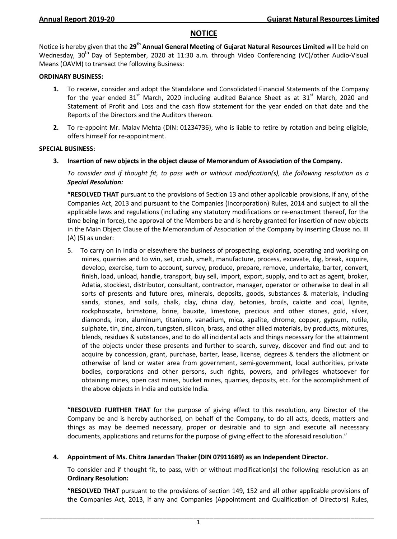# **NOTICE**

Notice is hereby given that the **29th Annual General Meeting** of **Gujarat Natural Resources Limited** will be held on Wednesday, 30<sup>th</sup> Day of September, 2020 at 11:30 a.m. through Video Conferencing (VC)/other Audio-Visual Means (OAVM) to transact the following Business:

# **ORDINARY BUSINESS:**

- **1.** To receive, consider and adopt the Standalone and Consolidated Financial Statements of the Company for the year ended  $31<sup>st</sup>$  March, 2020 including audited Balance Sheet as at  $31<sup>st</sup>$  March, 2020 and Statement of Profit and Loss and the cash flow statement for the year ended on that date and the Reports of the Directors and the Auditors thereon.
- **2.** To re-appoint Mr. Malav Mehta (DIN: 01234736), who is liable to retire by rotation and being eligible, offers himself for re-appointment.

#### **SPECIAL BUSINESS:**

**3. Insertion of new objects in the object clause of Memorandum of Association of the Company.** 

*To consider and if thought fit, to pass with or without modification(s), the following resolution as a Special Resolution:* 

**"RESOLVED THAT** pursuant to the provisions of Section 13 and other applicable provisions, if any, of the Companies Act, 2013 and pursuant to the Companies (Incorporation) Rules, 2014 and subject to all the applicable laws and regulations (including any statutory modifications or re-enactment thereof, for the time being in force), the approval of the Members be and is hereby granted for insertion of new objects in the Main Object Clause of the Memorandum of Association of the Company by inserting Clause no. III (A) (5) as under:

5. To carry on in India or elsewhere the business of prospecting, exploring, operating and working on mines, quarries and to win, set, crush, smelt, manufacture, process, excavate, dig, break, acquire, develop, exercise, turn to account, survey, produce, prepare, remove, undertake, barter, convert, finish, load, unload, handle, transport, buy sell, import, export, supply, and to act as agent, broker, Adatia, stockiest, distributor, consultant, contractor, manager, operator or otherwise to deal in all sorts of presents and future ores, minerals, deposits, goods, substances & materials, including sands, stones, and soils, chalk, clay, china clay, betonies, broils, calcite and coal, lignite, rockphoscate, brimstone, brine, bauxite, limestone, precious and other stones, gold, silver, diamonds, iron, aluminum, titanium, vanadium, mica, apalite, chrome, copper, gypsum, rutile, sulphate, tin, zinc, zircon, tungsten, silicon, brass, and other allied materials, by products, mixtures, blends, residues & substances, and to do all incidental acts and things necessary for the attainment of the objects under these presents and further to search, survey, discover and find out and to acquire by concession, grant, purchase, barter, lease, license, degrees & tenders the allotment or otherwise of land or water area from government, semi-government, local authorities, private bodies, corporations and other persons, such rights, powers, and privileges whatsoever for obtaining mines, open cast mines, bucket mines, quarries, deposits, etc. for the accomplishment of the above objects in India and outside India.

**"RESOLVED FURTHER THAT** for the purpose of giving effect to this resolution, any Director of the Company be and is hereby authorised, on behalf of the Company, to do all acts, deeds, matters and things as may be deemed necessary, proper or desirable and to sign and execute all necessary documents, applications and returns for the purpose of giving effect to the aforesaid resolution."

# **4. Appointment of Ms. Chitra Janardan Thaker (DIN 07911689) as an Independent Director.**

To consider and if thought fit, to pass, with or without modification(s) the following resolution as an **Ordinary Resolution:**

**"RESOLVED THAT** pursuant to the provisions of section 149, 152 and all other applicable provisions of the Companies Act, 2013, if any and Companies (Appointment and Qualification of Directors) Rules,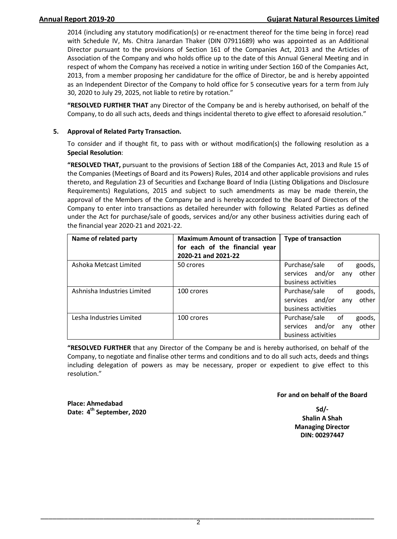2014 (including any statutory modification(s) or re-enactment thereof for the time being in force) read with Schedule IV, Ms. Chitra Janardan Thaker (DIN 07911689) who was appointed as an Additional Director pursuant to the provisions of Section 161 of the Companies Act, 2013 and the Articles of Association of the Company and who holds office up to the date of this Annual General Meeting and in respect of whom the Company has received a notice in writing under Section 160 of the Companies Act, 2013, from a member proposing her candidature for the office of Director, be and is hereby appointed as an Independent Director of the Company to hold office for 5 consecutive years for a term from July 30, 2020 to July 29, 2025, not liable to retire by rotation."

**"RESOLVED FURTHER THAT** any Director of the Company be and is hereby authorised, on behalf of the Company, to do all such acts, deeds and things incidental thereto to give effect to aforesaid resolution."

# **5. Approval of Related Party Transaction.**

To consider and if thought fit, to pass with or without modification(s) the following resolution as a **Special Resolution**:

**"RESOLVED THAT,** pursuant to the provisions of Section 188 of the Companies Act, 2013 and Rule 15 of the Companies (Meetings of Board and its Powers) Rules, 2014 and other applicable provisions and rules thereto, and Regulation 23 of Securities and Exchange Board of India (Listing Obligations and Disclosure Requirements) Regulations, 2015 and subject to such amendments as may be made therein, the approval of the Members of the Company be and is hereby accorded to the Board of Directors of the Company to enter into transactions as detailed hereunder with following Related Parties as defined under the Act for purchase/sale of goods, services and/or any other business activities during each of the financial year 2020-21 and 2021-22.

| Name of related party       | <b>Maximum Amount of transaction</b><br>for each of the financial year | <b>Type of transaction</b>      |
|-----------------------------|------------------------------------------------------------------------|---------------------------------|
|                             | 2020-21 and 2021-22                                                    |                                 |
| Ashoka Metcast Limited      | 50 crores                                                              | Purchase/sale of<br>goods,      |
|                             |                                                                        | other<br>services and/or any    |
|                             |                                                                        | business activities             |
| Ashnisha Industries Limited | 100 crores                                                             | Purchase/sale of<br>goods,      |
|                             |                                                                        | other<br>services and/or<br>anv |
|                             |                                                                        | business activities             |
| Lesha Industries Limited    | 100 crores                                                             | Purchase/sale of<br>goods,      |
|                             |                                                                        | other<br>services and/or<br>any |
|                             |                                                                        | business activities             |

**"RESOLVED FURTHER** that any Director of the Company be and is hereby authorised, on behalf of the Company, to negotiate and finalise other terms and conditions and to do all such acts, deeds and things including delegation of powers as may be necessary, proper or expedient to give effect to this resolution."

**Place: Ahmedabad Date: 4th September, 2020**

### **For and on behalf of the Board**

**Sd/- Shalin A Shah Managing Director DIN: 00297447**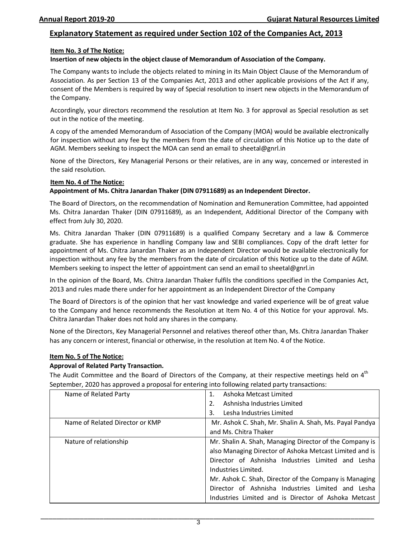# **Explanatory Statement as required under Section 102 of the Companies Act, 2013**

# **Item No. 3 of The Notice:**

# **Insertion of new objects in the object clause of Memorandum of Association of the Company.**

The Company wants to include the objects related to mining in its Main Object Clause of the Memorandum of Association. As per Section 13 of the Companies Act, 2013 and other applicable provisions of the Act if any, consent of the Members is required by way of Special resolution to insert new objects in the Memorandum of the Company.

Accordingly, your directors recommend the resolution at Item No. 3 for approval as Special resolution as set out in the notice of the meeting.

A copy of the amended Memorandum of Association of the Company (MOA) would be available electronically for inspection without any fee by the members from the date of circulation of this Notice up to the date of AGM. Members seeking to inspect the MOA can send an email to sheetal@gnrl.in

None of the Directors, Key Managerial Persons or their relatives, are in any way, concerned or interested in the said resolution.

# **Item No. 4 of The Notice:**

# **Appointment of Ms. Chitra Janardan Thaker (DIN 07911689) as an Independent Director.**

The Board of Directors, on the recommendation of Nomination and Remuneration Committee, had appointed Ms. Chitra Janardan Thaker (DIN 07911689), as an Independent, Additional Director of the Company with effect from July 30, 2020.

Ms. Chitra Janardan Thaker (DIN 07911689) is a qualified Company Secretary and a law & Commerce graduate. She has experience in handling Company law and SEBI compliances. Copy of the draft letter for appointment of Ms. Chitra Janardan Thaker as an Independent Director would be available electronically for inspection without any fee by the members from the date of circulation of this Notice up to the date of AGM. Members seeking to inspect the letter of appointment can send an email to sheetal@gnrl.in

In the opinion of the Board, Ms. Chitra Janardan Thaker fulfils the conditions specified in the Companies Act, 2013 and rules made there under for her appointment as an Independent Director of the Company

The Board of Directors is of the opinion that her vast knowledge and varied experience will be of great value to the Company and hence recommends the Resolution at Item No. 4 of this Notice for your approval. Ms. Chitra Janardan Thaker does not hold any shares in the company.

None of the Directors, Key Managerial Personnel and relatives thereof other than, Ms. Chitra Janardan Thaker has any concern or interest, financial or otherwise, in the resolution at Item No. 4 of the Notice.

#### **Item No. 5 of The Notice:**

#### **Approval of Related Party Transaction.**

The Audit Committee and the Board of Directors of the Company, at their respective meetings held on  $4<sup>th</sup>$ September, 2020 has approved a proposal for entering into following related party transactions:

| Name of Related Party           | Ashoka Metcast Limited<br>1.                            |  |
|---------------------------------|---------------------------------------------------------|--|
|                                 | Ashnisha Industries Limited                             |  |
|                                 | Lesha Industries Limited<br>3.                          |  |
| Name of Related Director or KMP | Mr. Ashok C. Shah, Mr. Shalin A. Shah, Ms. Payal Pandya |  |
|                                 | and Ms. Chitra Thaker                                   |  |
| Nature of relationship          | Mr. Shalin A. Shah, Managing Director of the Company is |  |
|                                 | also Managing Director of Ashoka Metcast Limited and is |  |
|                                 | Director of Ashnisha Industries Limited and Lesha       |  |
|                                 | Industries Limited.                                     |  |
|                                 | Mr. Ashok C. Shah, Director of the Company is Managing  |  |
|                                 | Director of Ashnisha Industries Limited and Lesha       |  |
|                                 | Industries Limited and is Director of Ashoka Metcast    |  |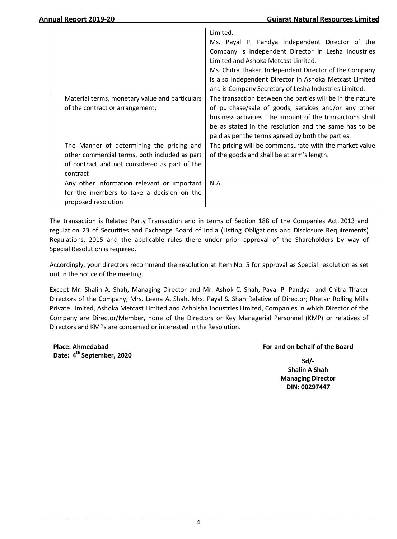|                                                | Limited.                                                  |
|------------------------------------------------|-----------------------------------------------------------|
|                                                | Ms. Payal P. Pandya Independent Director of the           |
|                                                | Company is Independent Director in Lesha Industries       |
|                                                | Limited and Ashoka Metcast Limited.                       |
|                                                | Ms. Chitra Thaker, Independent Director of the Company    |
|                                                | is also Independent Director in Ashoka Metcast Limited    |
|                                                | and is Company Secretary of Lesha Industries Limited.     |
| Material terms, monetary value and particulars | The transaction between the parties will be in the nature |
| of the contract or arrangement;                | of purchase/sale of goods, services and/or any other      |
|                                                | business activities. The amount of the transactions shall |
|                                                | be as stated in the resolution and the same has to be     |
|                                                | paid as per the terms agreed by both the parties.         |
| The Manner of determining the pricing and      | The pricing will be commensurate with the market value    |
| other commercial terms, both included as part  | of the goods and shall be at arm's length.                |
| of contract and not considered as part of the  |                                                           |
| contract                                       |                                                           |
| Any other information relevant or important    | N.A.                                                      |
| for the members to take a decision on the      |                                                           |
| proposed resolution                            |                                                           |

The transaction is Related Party Transaction and in terms of Section 188 of the Companies Act, 2013 and regulation 23 of Securities and Exchange Board of India (Listing Obligations and Disclosure Requirements) Regulations, 2015 and the applicable rules there under prior approval of the Shareholders by way of Special Resolution is required.

Accordingly, your directors recommend the resolution at Item No. 5 for approval as Special resolution as set out in the notice of the meeting.

Except Mr. Shalin A. Shah, Managing Director and Mr. Ashok C. Shah, Payal P. Pandya and Chitra Thaker Directors of the Company; Mrs. Leena A. Shah, Mrs. Payal S. Shah Relative of Director; Rhetan Rolling Mills Private Limited, Ashoka Metcast Limited and Ashnisha Industries Limited, Companies in which Director of the Company are Director/Member, none of the Directors or Key Managerial Personnel (KMP) or relatives of Directors and KMPs are concerned or interested in the Resolution.

**Place: Ahmedabad Date: 4th September, 2020** **For and on behalf of the Board**

**Sd/- Shalin A Shah Managing Director DIN: 00297447**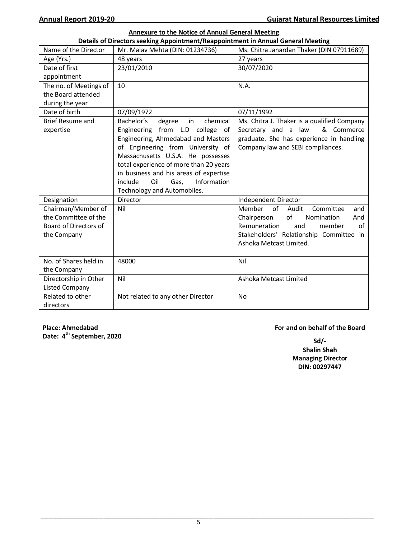#### **Annexure to the Notice of Annual General Meeting Details of Directors seeking Appointment/Reappointment in Annual General Meeting**

| Name of the Director    | Details of Diffectors seeking Appointmenty Reappointment in Annual General Miceting<br>Mr. Malav Mehta (DIN: 01234736) | Ms. Chitra Janardan Thaker (DIN 07911689)   |
|-------------------------|------------------------------------------------------------------------------------------------------------------------|---------------------------------------------|
| Age (Yrs.)              | 48 years                                                                                                               | 27 years                                    |
| Date of first           | 23/01/2010                                                                                                             | 30/07/2020                                  |
| appointment             |                                                                                                                        |                                             |
| The no. of Meetings of  | 10                                                                                                                     | N.A.                                        |
| the Board attended      |                                                                                                                        |                                             |
| during the year         |                                                                                                                        |                                             |
| Date of birth           | 07/09/1972                                                                                                             | 07/11/1992                                  |
| <b>Brief Resume and</b> | Bachelor's<br>degree<br>chemical<br>in                                                                                 | Ms. Chitra J. Thaker is a qualified Company |
| expertise               | Engineering from L.D college of                                                                                        | Secretary and a law<br>& Commerce           |
|                         | Engineering, Ahmedabad and Masters                                                                                     | graduate. She has experience in handling    |
|                         | of Engineering from University of                                                                                      | Company law and SEBI compliances.           |
|                         | Massachusetts U.S.A. He possesses                                                                                      |                                             |
|                         | total experience of more than 20 years                                                                                 |                                             |
|                         | in business and his areas of expertise                                                                                 |                                             |
|                         | Information<br>include<br>Oil<br>Gas,                                                                                  |                                             |
|                         | Technology and Automobiles.                                                                                            |                                             |
| Designation             | Director                                                                                                               | Independent Director                        |
| Chairman/Member of      | Nil                                                                                                                    | Member<br>of<br>Audit<br>Committee<br>and   |
| the Committee of the    |                                                                                                                        | of<br>Chairperson<br>Nomination<br>And      |
| Board of Directors of   |                                                                                                                        | Remuneration<br>member<br>of<br>and         |
| the Company             |                                                                                                                        | Stakeholders' Relationship Committee in     |
|                         |                                                                                                                        | Ashoka Metcast Limited.                     |
| No. of Shares held in   | 48000                                                                                                                  | Nil                                         |
| the Company             |                                                                                                                        |                                             |
| Directorship in Other   | Nil                                                                                                                    | Ashoka Metcast Limited                      |
| <b>Listed Company</b>   |                                                                                                                        |                                             |
| Related to other        | Not related to any other Director                                                                                      | No                                          |
| directors               |                                                                                                                        |                                             |

**Place: Ahmedabad Date: 4th September, 2020** **For and on behalf of the Board**

**Sd/- Shalin Shah Managing Director DIN: 00297447**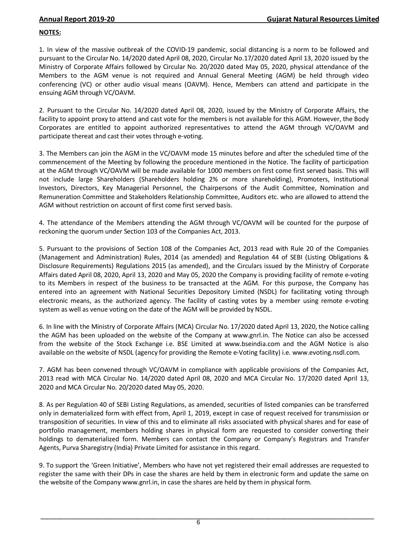# **NOTES:**

1. In view of the massive outbreak of the COVID-19 pandemic, social distancing is a norm to be followed and pursuant to the Circular No. 14/2020 dated April 08, 2020, Circular No.17/2020 dated April 13, 2020 issued by the Ministry of Corporate Affairs followed by Circular No. 20/2020 dated May 05, 2020, physical attendance of the Members to the AGM venue is not required and Annual General Meeting (AGM) be held through video conferencing (VC) or other audio visual means (OAVM). Hence, Members can attend and participate in the ensuing AGM through VC/OAVM.

2. Pursuant to the Circular No. 14/2020 dated April 08, 2020, issued by the Ministry of Corporate Affairs, the facility to appoint proxy to attend and cast vote for the members is not available for this AGM. However, the Body Corporates are entitled to appoint authorized representatives to attend the AGM through VC/OAVM and participate thereat and cast their votes through e-voting.

3. The Members can join the AGM in the VC/OAVM mode 15 minutes before and after the scheduled time of the commencement of the Meeting by following the procedure mentioned in the Notice. The facility of participation at the AGM through VC/OAVM will be made available for 1000 members on first come first served basis. This will not include large Shareholders (Shareholders holding 2% or more shareholding), Promoters, Institutional Investors, Directors, Key Managerial Personnel, the Chairpersons of the Audit Committee, Nomination and Remuneration Committee and Stakeholders Relationship Committee, Auditors etc. who are allowed to attend the AGM without restriction on account of first come first served basis.

4. The attendance of the Members attending the AGM through VC/OAVM will be counted for the purpose of reckoning the quorum under Section 103 of the Companies Act, 2013.

5. Pursuant to the provisions of Section 108 of the Companies Act, 2013 read with Rule 20 of the Companies (Management and Administration) Rules, 2014 (as amended) and Regulation 44 of SEBI (Listing Obligations & Disclosure Requirements) Regulations 2015 (as amended), and the Circulars issued by the Ministry of Corporate Affairs dated April 08, 2020, April 13, 2020 and May 05, 2020 the Company is providing facility of remote e-voting to its Members in respect of the business to be transacted at the AGM. For this purpose, the Company has entered into an agreement with National Securities Depository Limited (NSDL) for facilitating voting through electronic means, as the authorized agency. The facility of casting votes by a member using remote e-voting system as well as venue voting on the date of the AGM will be provided by NSDL.

6. In line with the Ministry of Corporate Affairs (MCA) Circular No. 17/2020 dated April 13, 2020, the Notice calling the AGM has been uploaded on the website of the Company at www.gnrl.in. The Notice can also be accessed from the website of the Stock Exchange i.e. BSE Limited at www.bseindia.com and the AGM Notice is also available on the website of NSDL (agency for providing the Remote e-Voting facility) i.e. www.evoting.nsdl.com.

7. AGM has been convened through VC/OAVM in compliance with applicable provisions of the Companies Act, 2013 read with MCA Circular No. 14/2020 dated April 08, 2020 and MCA Circular No. 17/2020 dated April 13, 2020 and MCA Circular No. 20/2020 dated May 05, 2020.

8. As per Regulation 40 of SEBI Listing Regulations, as amended, securities of listed companies can be transferred only in dematerialized form with effect from, April 1, 2019, except in case of request received for transmission or transposition of securities. In view of this and to eliminate all risks associated with physical shares and for ease of portfolio management, members holding shares in physical form are requested to consider converting their holdings to dematerialized form. Members can contact the Company or Company's Registrars and Transfer Agents, Purva Sharegistry (India) Private Limited for assistance in this regard.

9. To support the 'Green Initiative', Members who have not yet registered their email addresses are requested to register the same with their DPs in case the shares are held by them in electronic form and update the same on the website of the Company www.gnrl.in, in case the shares are held by them in physical form.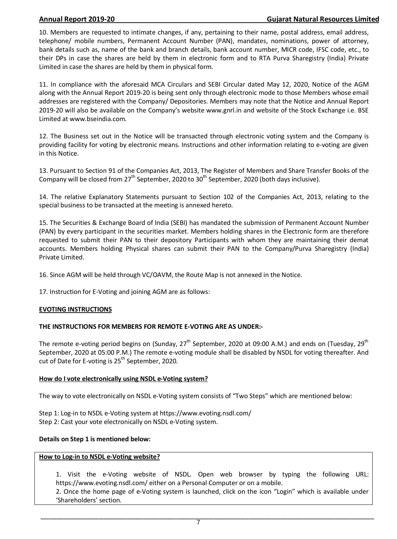10. Members are requested to intimate changes, if any, pertaining to their name, postal address, email address, telephone/ mobile numbers, Permanent Account Number (PAN), mandates, nominations, power of attorney, bank details such as, name of the bank and branch details, bank account number, MICR code, IFSC code, etc., to their DPs in case the shares are held by them in electronic form and to RTA Purva Sharegistry (India) Private Limited in case the shares are held by them in physical form.

11. In compliance with the aforesaid MCA Circulars and SEBI Circular dated May 12, 2020, Notice of the AGM along with the Annual Report 2019-20 is being sent only through electronic mode to those Members whose email addresses are registered with the Company/ Depositories. Members may note that the Notice and Annual Report 2019-20 will also be available on the Company's website www.gnrl.in and website of the Stock Exchange i.e. BSE Limited at www.bseindia.com.

12. The Business set out in the Notice will be transacted through electronic voting system and the Company is providing facility for voting by electronic means. Instructions and other information relating to e-voting are given in this Notice.

13. Pursuant to Section 91 of the Companies Act, 2013, The Register of Members and Share Transfer Books of the Company will be closed from  $27<sup>th</sup>$  September, 2020 to 30<sup>th</sup> September, 2020 (both days inclusive).

14. The relative Explanatory Statements pursuant to Section 102 of the Companies Act, 2013, relating to the special business to be transacted at the meeting is annexed hereto.

15. The Securities & Exchange Board of India (SEBI) has mandated the submission of Permanent Account Number (PAN) by every participant in the securities market. Members holding shares in the Electronic form are therefore requested to submit their PAN to their depository Participants with whom they are maintaining their demat accounts. Members holding Physical shares can submit their PAN to the Company/Purva Sharegistry (India) Private Limited.

16. Since AGM will be held through VC/OAVM, the Route Map is not annexed in the Notice.

17. Instruction for E-Voting and joining AGM are as follows:

# **EVOTING INSTRUCTIONS**

# **THE INSTRUCTIONS FOR MEMBERS FOR REMOTE E-VOTING ARE AS UNDER:-**

The remote e-voting period begins on (Sunday,  $27^{th}$  September, 2020 at 09:00 A.M.) and ends on (Tuesday,  $29^{th}$ September, 2020 at 05:00 P.M.) The remote e-voting module shall be disabled by NSDL for voting thereafter. And cut of Date for E-voting is  $25<sup>th</sup>$  September, 2020.

#### **How do I vote electronically using NSDL e-Voting system?**

The way to vote electronically on NSDL e-Voting system consists of "Two Steps" which are mentioned below:

Step 1: Log-in to NSDL e-Voting system at https://www.evoting.nsdl.com/ Step 2: Cast your vote electronically on NSDL e-Voting system.

# **Details on Step 1 is mentioned below:**

#### **How to Log-in to NSDL e-Voting website?**

1. Visit the e-Voting website of NSDL. Open web browser by typing the following URL: https://www.evoting.nsdl.com/ either on a Personal Computer or on a mobile.

2. Once the home page of e-Voting system is launched, click on the icon "Login" which is available under 'Shareholders' section.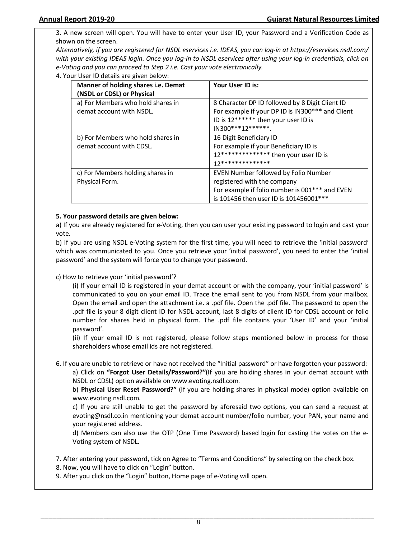3. A new screen will open. You will have to enter your User ID, your Password and a Verification Code as shown on the screen.

*Alternatively, if you are registered for NSDL eservices i.e. IDEAS, you can log-in at https://eservices.nsdl.com/ with your existing IDEAS login. Once you log-in to NSDL eservices after using your log-in credentials, click on e-Voting and you can proceed to Step 2 i.e. Cast your vote electronically.* 

4. Your User ID details are given below:

| Manner of holding shares i.e. Demat<br>(NSDL or CDSL) or Physical | Your User ID is:                                                                                                                                                       |
|-------------------------------------------------------------------|------------------------------------------------------------------------------------------------------------------------------------------------------------------------|
| a) For Members who hold shares in<br>demat account with NSDL.     | 8 Character DP ID followed by 8 Digit Client ID<br>For example if your DP ID is IN300*** and Client<br>ID is 12****** then your user ID is<br>IN300***12******.        |
| b) For Members who hold shares in<br>demat account with CDSL.     | 16 Digit Beneficiary ID<br>For example if your Beneficiary ID is<br>12************** then your user ID is<br>17**************                                          |
| c) For Members holding shares in<br>Physical Form.                | <b>EVEN Number followed by Folio Number</b><br>registered with the company<br>For example if folio number is 001*** and EVEN<br>is 101456 then user ID is 101456001*** |

# **5. Your password details are given below:**

a) If you are already registered for e-Voting, then you can user your existing password to login and cast your vote.

b) If you are using NSDL e-Voting system for the first time, you will need to retrieve the 'initial password' which was communicated to you. Once you retrieve your 'initial password', you need to enter the 'initial password' and the system will force you to change your password.

c) How to retrieve your 'initial password'?

(i) If your email ID is registered in your demat account or with the company, your 'initial password' is communicated to you on your email ID. Trace the email sent to you from NSDL from your mailbox. Open the email and open the attachment i.e. a .pdf file. Open the .pdf file. The password to open the .pdf file is your 8 digit client ID for NSDL account, last 8 digits of client ID for CDSL account or folio number for shares held in physical form. The .pdf file contains your 'User ID' and your 'initial password'.

(ii) If your email ID is not registered, please follow steps mentioned below in process for those shareholders whose email ids are not registered.

6. If you are unable to retrieve or have not received the "Initial password" or have forgotten your password: a) Click on **"Forgot User Details/Password?"**(If you are holding shares in your demat account with NSDL or CDSL) option available on www.evoting.nsdl.com.

b) **Physical User Reset Password?"** (If you are holding shares in physical mode) option available on www.evoting.nsdl.com.

c) If you are still unable to get the password by aforesaid two options, you can send a request at evoting@nsdl.co.in mentioning your demat account number/folio number, your PAN, your name and your registered address.

d) Members can also use the OTP (One Time Password) based login for casting the votes on the e-Voting system of NSDL.

- 7. After entering your password, tick on Agree to "Terms and Conditions" by selecting on the check box.
- 8. Now, you will have to click on "Login" button.
- 9. After you click on the "Login" button, Home page of e-Voting will open.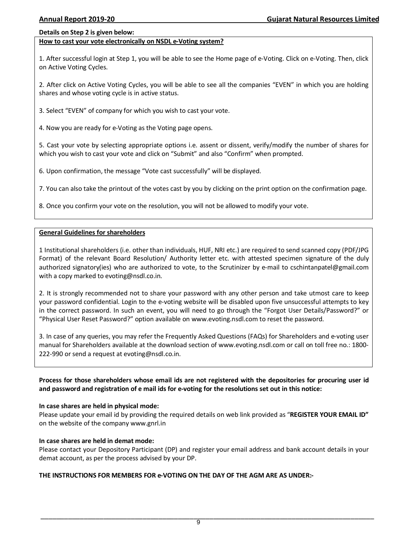# **Details on Step 2 is given below:**

# **How to cast your vote electronically on NSDL e-Voting system?**

1. After successful login at Step 1, you will be able to see the Home page of e-Voting. Click on e-Voting. Then, click on Active Voting Cycles.

2. After click on Active Voting Cycles, you will be able to see all the companies "EVEN" in which you are holding shares and whose voting cycle is in active status.

3. Select "EVEN" of company for which you wish to cast your vote.

4. Now you are ready for e-Voting as the Voting page opens.

5. Cast your vote by selecting appropriate options i.e. assent or dissent, verify/modify the number of shares for which you wish to cast your vote and click on "Submit" and also "Confirm" when prompted.

6. Upon confirmation, the message "Vote cast successfully" will be displayed.

7. You can also take the printout of the votes cast by you by clicking on the print option on the confirmation page.

8. Once you confirm your vote on the resolution, you will not be allowed to modify your vote.

# **General Guidelines for shareholders**

1 Institutional shareholders (i.e. other than individuals, HUF, NRI etc.) are required to send scanned copy (PDF/JPG Format) of the relevant Board Resolution/ Authority letter etc. with attested specimen signature of the duly authorized signatory(ies) who are authorized to vote, to the Scrutinizer by e-mail to cschintanpatel@gmail.com with a copy marked to evoting@nsdl.co.in.

2. It is strongly recommended not to share your password with any other person and take utmost care to keep your password confidential. Login to the e-voting website will be disabled upon five unsuccessful attempts to key in the correct password. In such an event, you will need to go through the "Forgot User Details/Password?" or "Physical User Reset Password?" option available on www.evoting.nsdl.com to reset the password.

3. In case of any queries, you may refer the Frequently Asked Questions (FAQs) for Shareholders and e-voting user manual for Shareholders available at the download section of www.evoting.nsdl.com or call on toll free no.: 1800- 222-990 or send a request at evoting@nsdl.co.in.

**Process for those shareholders whose email ids are not registered with the depositories for procuring user id and password and registration of e mail ids for e-voting for the resolutions set out in this notice:** 

# **In case shares are held in physical mode:**

Please update your email id by providing the required details on web link provided as "**REGISTER YOUR EMAIL ID"**  on the website of the company www.gnrl.in

# **In case shares are held in demat mode:**

Please contact your Depository Participant (DP) and register your email address and bank account details in your demat account, as per the process advised by your DP.

# **THE INSTRUCTIONS FOR MEMBERS FOR e-VOTING ON THE DAY OF THE AGM ARE AS UNDER:-**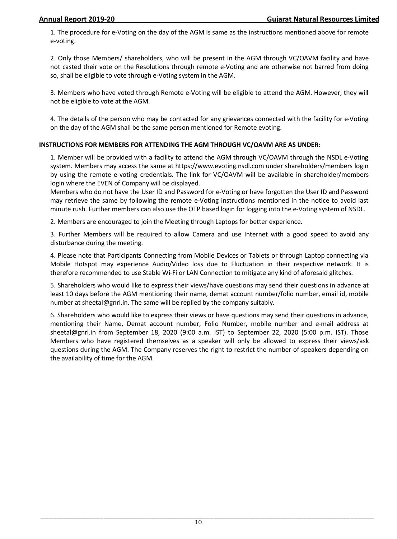1. The procedure for e-Voting on the day of the AGM is same as the instructions mentioned above for remote e-voting.

2. Only those Members/ shareholders, who will be present in the AGM through VC/OAVM facility and have not casted their vote on the Resolutions through remote e-Voting and are otherwise not barred from doing so, shall be eligible to vote through e-Voting system in the AGM.

3. Members who have voted through Remote e-Voting will be eligible to attend the AGM. However, they will not be eligible to vote at the AGM.

4. The details of the person who may be contacted for any grievances connected with the facility for e-Voting on the day of the AGM shall be the same person mentioned for Remote evoting.

# **INSTRUCTIONS FOR MEMBERS FOR ATTENDING THE AGM THROUGH VC/OAVM ARE AS UNDER:**

1. Member will be provided with a facility to attend the AGM through VC/OAVM through the NSDL e-Voting system. Members may access the same at https://www.evoting.nsdl.com under shareholders/members login by using the remote e-voting credentials. The link for VC/OAVM will be available in shareholder/members login where the EVEN of Company will be displayed.

Members who do not have the User ID and Password for e-Voting or have forgotten the User ID and Password may retrieve the same by following the remote e-Voting instructions mentioned in the notice to avoid last minute rush. Further members can also use the OTP based login for logging into the e-Voting system of NSDL.

2. Members are encouraged to join the Meeting through Laptops for better experience.

3. Further Members will be required to allow Camera and use Internet with a good speed to avoid any disturbance during the meeting.

4. Please note that Participants Connecting from Mobile Devices or Tablets or through Laptop connecting via Mobile Hotspot may experience Audio/Video loss due to Fluctuation in their respective network. It is therefore recommended to use Stable Wi-Fi or LAN Connection to mitigate any kind of aforesaid glitches.

5. Shareholders who would like to express their views/have questions may send their questions in advance at least 10 days before the AGM mentioning their name, demat account number/folio number, email id, mobile number at sheetal@gnrl.in. The same will be replied by the company suitably.

6. Shareholders who would like to express their views or have questions may send their questions in advance, mentioning their Name, Demat account number, Folio Number, mobile number and e-mail address at sheetal@gnrl.in from September 18, 2020 (9:00 a.m. IST) to September 22, 2020 (5:00 p.m. IST). Those Members who have registered themselves as a speaker will only be allowed to express their views/ask questions during the AGM. The Company reserves the right to restrict the number of speakers depending on the availability of time for the AGM.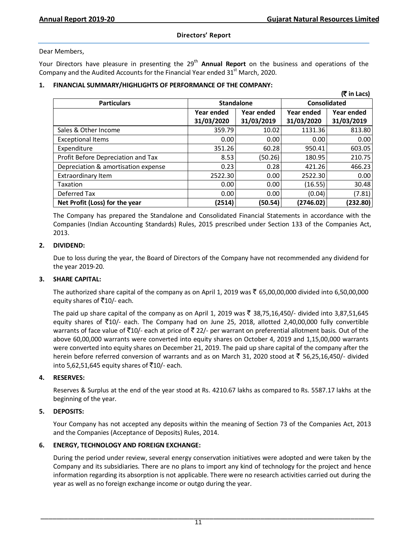#### **Directors' Report**

Dear Members,

Your Directors have pleasure in presenting the 29<sup>th</sup> Annual Report on the business and operations of the Company and the Audited Accounts for the Financial Year ended  $31<sup>st</sup>$  March, 2020.

# **1. FINANCIAL SUMMARY/HIGHLIGHTS OF PERFORMANCE OF THE COMPANY:**

|                                     |                   |            |              | (₹ in Lacs) |
|-------------------------------------|-------------------|------------|--------------|-------------|
| <b>Particulars</b>                  | <b>Standalone</b> |            | Consolidated |             |
|                                     | Year ended        | Year ended | Year ended   | Year ended  |
|                                     | 31/03/2020        | 31/03/2019 | 31/03/2020   | 31/03/2019  |
| Sales & Other Income                | 359.79            | 10.02      | 1131.36      | 813.80      |
| <b>Exceptional Items</b>            | 0.00              | 0.00       | 0.00         | 0.00        |
| Expenditure                         | 351.26            | 60.28      | 950.41       | 603.05      |
| Profit Before Depreciation and Tax  | 8.53              | (50.26)    | 180.95       | 210.75      |
| Depreciation & amortisation expense | 0.23              | 0.28       | 421.26       | 466.23      |
| <b>Extraordinary Item</b>           | 2522.30           | 0.00       | 2522.30      | 0.00        |
| <b>Taxation</b>                     | 0.00              | 0.00       | (16.55)      | 30.48       |
| Deferred Tax                        | 0.00              | 0.00       | (0.04)       | (7.81)      |
| Net Profit (Loss) for the year      | (2514)            | (50.54)    | (2746.02)    | (232.80)    |

The Company has prepared the Standalone and Consolidated Financial Statements in accordance with the Companies (Indian Accounting Standards) Rules, 2015 prescribed under Section 133 of the Companies Act, 2013.

# **2. DIVIDEND:**

Due to loss during the year, the Board of Directors of the Company have not recommended any dividend for the year 2019-20.

# **3. SHARE CAPITAL:**

The authorized share capital of the company as on March 31, 2020 was  $\bar{\xi}$  65,00,00,000 divided into 6,50,00,000 equity shares of ₹10/- each.

The paid up share capital of the company as on April 1, 2019 was  $\bar{\zeta}$  38,75,16,450/- divided into 3,87,51,645 equity shares of  $\overline{5}10/$ - each. The Company had on June 25, 2018, allotted 2,40,00,000 fully convertible warrants of face value of  $\bar{\tau}$ 10/- each at price of  $\bar{\tau}$  22/- per warrant on preferential allotment basis. Out of the above 60,00,000 warrants were converted into equity shares on October 4, 2019 and 1,15,00,000 warrants were converted into equity shares on December 21, 2019. The paid up share capital of the company after the herein before referred conversion of warrants and as on March 31, 2020 stood at  $\bar{\xi}$  56,25,16,450/- divided into 5,62,51,645 equity shares of  $\overline{5}10/-$  each.

# **4. RESERVES:**

Reserves & Surplus at the end of the year stood at Rs. 4210.67 lakhs as compared to Rs. 5587.17 lakhs at the beginning of the year.

# **5. DEPOSITS:**

Your Company has not accepted any deposits within the meaning of Section 73 of the Companies Act, 2013 and the Companies (Acceptance of Deposits) Rules, 2014.

# **6. ENERGY, TECHNOLOGY AND FOREIGN EXCHANGE:**

During the period under review, several energy conservation initiatives were adopted and were taken by the Company and its subsidiaries. There are no plans to import any kind of technology for the project and hence information regarding its absorption is not applicable. There were no research activities carried out during the year as well as no foreign exchange income or outgo during the year.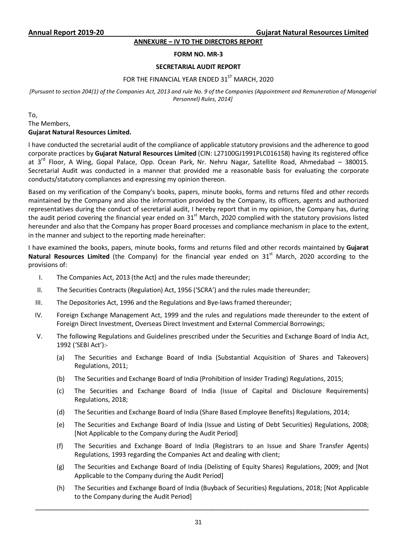#### **ANNEXURE – IV TO THE DIRECTORS REPORT**

#### **FORM NO. MR-3**

#### **SECRETARIAL AUDIT REPORT**

# FOR THE FINANCIAL YEAR ENDED 31<sup>ST</sup> MARCH, 2020

*[Pursuant to section 204(1) of the Companies Act, 2013 and rule No. 9 of the Companies (Appointment and Remuneration of Managerial Personnel) Rules, 2014]* 

To,

# The Members,

#### **Gujarat Natural Resources Limited.**

I have conducted the secretarial audit of the compliance of applicable statutory provisions and the adherence to good corporate practices by **Gujarat Natural Resources Limited** (CIN: L27100GJ1991PLC016158) having its registered office at  $3^{10}$  Floor, A Wing, Gopal Palace, Opp. Ocean Park, Nr. Nehru Nagar, Satellite Road, Ahmedabad – 380015. Secretarial Audit was conducted in a manner that provided me a reasonable basis for evaluating the corporate conducts/statutory compliances and expressing my opinion thereon.

Based on my verification of the Company's books, papers, minute books, forms and returns filed and other records maintained by the Company and also the information provided by the Company, its officers, agents and authorized representatives during the conduct of secretarial audit, I hereby report that in my opinion, the Company has, during the audit period covering the financial year ended on  $31<sup>st</sup>$  March, 2020 complied with the statutory provisions listed hereunder and also that the Company has proper Board processes and compliance mechanism in place to the extent, in the manner and subject to the reporting made hereinafter:

I have examined the books, papers, minute books, forms and returns filed and other records maintained by **Gujarat**  Natural Resources Limited (the Company) for the financial year ended on 31<sup>st</sup> March, 2020 according to the provisions of:

- I. The Companies Act, 2013 (the Act) and the rules made thereunder;
- II. The Securities Contracts (Regulation) Act, 1956 ('SCRA') and the rules made thereunder;
- III. The Depositories Act, 1996 and the Regulations and Bye-laws framed thereunder;
- IV. Foreign Exchange Management Act, 1999 and the rules and regulations made thereunder to the extent of Foreign Direct Investment, Overseas Direct Investment and External Commercial Borrowings;
- V. The following Regulations and Guidelines prescribed under the Securities and Exchange Board of India Act, 1992 ('SEBI Act'):-
	- (a) The Securities and Exchange Board of India (Substantial Acquisition of Shares and Takeovers) Regulations, 2011;
	- (b) The Securities and Exchange Board of India (Prohibition of Insider Trading) Regulations, 2015;
	- (c) The Securities and Exchange Board of India (Issue of Capital and Disclosure Requirements) Regulations, 2018;
	- (d) The Securities and Exchange Board of India (Share Based Employee Benefits) Regulations, 2014;
	- (e) The Securities and Exchange Board of India (Issue and Listing of Debt Securities) Regulations, 2008; [Not Applicable to the Company during the Audit Period]
	- (f) The Securities and Exchange Board of India (Registrars to an Issue and Share Transfer Agents) Regulations, 1993 regarding the Companies Act and dealing with client;
	- (g) The Securities and Exchange Board of India (Delisting of Equity Shares) Regulations, 2009; and [Not Applicable to the Company during the Audit Period]
	- (h) The Securities and Exchange Board of India (Buyback of Securities) Regulations, 2018; [Not Applicable to the Company during the Audit Period]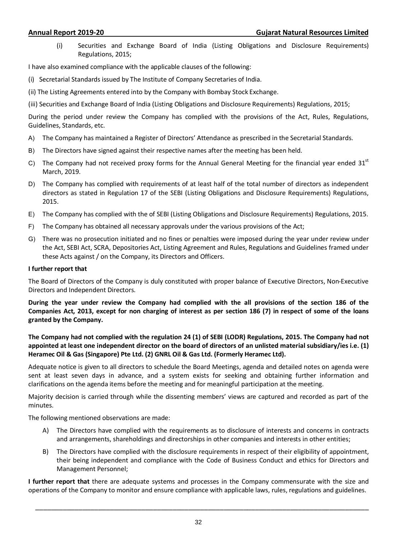(i) Securities and Exchange Board of India (Listing Obligations and Disclosure Requirements) Regulations, 2015;

I have also examined compliance with the applicable clauses of the following:

- (i) Secretarial Standards issued by The Institute of Company Secretaries of India.
- (ii) The Listing Agreements entered into by the Company with Bombay Stock Exchange.
- (iii) Securities and Exchange Board of India (Listing Obligations and Disclosure Requirements) Regulations, 2015;

During the period under review the Company has complied with the provisions of the Act, Rules, Regulations, Guidelines, Standards, etc.

- A) The Company has maintained a Register of Directors' Attendance as prescribed in the Secretarial Standards.
- B) The Directors have signed against their respective names after the meeting has been held.
- C) The Company had not received proxy forms for the Annual General Meeting for the financial year ended  $31<sup>st</sup>$ March, 2019.
- D) The Company has complied with requirements of at least half of the total number of directors as independent directors as stated in Regulation 17 of the SEBI (Listing Obligations and Disclosure Requirements) Regulations, 2015.
- E) The Company has complied with the of SEBI (Listing Obligations and Disclosure Requirements) Regulations, 2015.
- F) The Company has obtained all necessary approvals under the various provisions of the Act;
- G) There was no prosecution initiated and no fines or penalties were imposed during the year under review under the Act, SEBI Act, SCRA, Depositories Act, Listing Agreement and Rules, Regulations and Guidelines framed under these Acts against / on the Company, its Directors and Officers.

#### **I further report that**

The Board of Directors of the Company is duly constituted with proper balance of Executive Directors, Non-Executive Directors and Independent Directors.

**During the year under review the Company had complied with the all provisions of the section 186 of the Companies Act, 2013, except for non charging of interest as per section 186 (7) in respect of some of the loans granted by the Company.** 

**The Company had not complied with the regulation 24 (1) of SEBI (LODR) Regulations, 2015. The Company had not appointed at least one independent director on the board of directors of an unlisted material subsidiary/ies i.e. (1) Heramec Oil & Gas (Singapore) Pte Ltd. (2) GNRL Oil & Gas Ltd. (Formerly Heramec Ltd).** 

Adequate notice is given to all directors to schedule the Board Meetings, agenda and detailed notes on agenda were sent at least seven days in advance, and a system exists for seeking and obtaining further information and clarifications on the agenda items before the meeting and for meaningful participation at the meeting.

Majority decision is carried through while the dissenting members' views are captured and recorded as part of the minutes.

The following mentioned observations are made:

- A) The Directors have complied with the requirements as to disclosure of interests and concerns in contracts and arrangements, shareholdings and directorships in other companies and interests in other entities;
- B) The Directors have complied with the disclosure requirements in respect of their eligibility of appointment, their being independent and compliance with the Code of Business Conduct and ethics for Directors and Management Personnel;

**I further report that** there are adequate systems and processes in the Company commensurate with the size and operations of the Company to monitor and ensure compliance with applicable laws, rules, regulations and guidelines.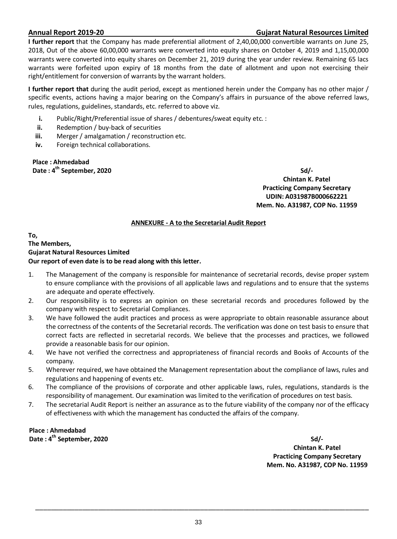# **Annual Report 2019-20 Gujarat Natural Resources Limited**

**I further report** that the Company has made preferential allotment of 2,40,00,000 convertible warrants on June 25, 2018, Out of the above 60,00,000 warrants were converted into equity shares on October 4, 2019 and 1,15,00,000 warrants were converted into equity shares on December 21, 2019 during the year under review. Remaining 65 lacs warrants were forfeited upon expiry of 18 months from the date of allotment and upon not exercising their right/entitlement for conversion of warrants by the warrant holders.

**I further report that** during the audit period, except as mentioned herein under the Company has no other major / specific events, actions having a major bearing on the Company's affairs in pursuance of the above referred laws, rules, regulations, guidelines, standards, etc. referred to above viz.

- **i.** Public/Right/Preferential issue of shares / debentures/sweat equity etc.:
- **ii.** Redemption / buy-back of securities
- **iii.** Merger / amalgamation / reconstruction etc.
- **iv.** Foreign technical collaborations.

# **Place : Ahmedabad Date : 4th September, 2020 Sd/-**

**Chintan K. Patel Practicing Company Secretary UDIN: A031987B000662221 Mem. No. A31987, COP No. 11959**

# **ANNEXURE - A to the Secretarial Audit Report**

# **To, The Members, Gujarat Natural Resources Limited Our report of even date is to be read along with this letter.**

- 1. The Management of the company is responsible for maintenance of secretarial records, devise proper system to ensure compliance with the provisions of all applicable laws and regulations and to ensure that the systems are adequate and operate effectively.
- 2. Our responsibility is to express an opinion on these secretarial records and procedures followed by the company with respect to Secretarial Compliances.
- 3. We have followed the audit practices and process as were appropriate to obtain reasonable assurance about the correctness of the contents of the Secretarial records. The verification was done on test basis to ensure that correct facts are reflected in secretarial records. We believe that the processes and practices, we followed provide a reasonable basis for our opinion.
- 4. We have not verified the correctness and appropriateness of financial records and Books of Accounts of the company.
- 5. Wherever required, we have obtained the Management representation about the compliance of laws, rules and regulations and happening of events etc.
- 6. The compliance of the provisions of corporate and other applicable laws, rules, regulations, standards is the responsibility of management. Our examination was limited to the verification of procedures on test basis.
- 7. The secretarial Audit Report is neither an assurance as to the future viability of the company nor of the efficacy of effectiveness with which the management has conducted the affairs of the company.

**Place : Ahmedabad Date : 4th September, 2020 Sd/-** 

**Chintan K. Patel Practicing Company Secretary Mem. No. A31987, COP No. 11959**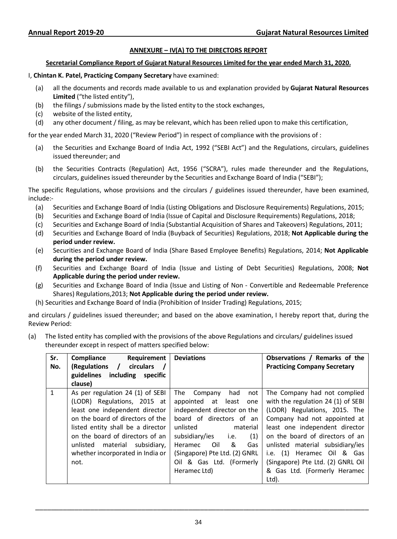# **ANNEXURE – IV(A) TO THE DIRECTORS REPORT**

#### **Secretarial Compliance Report of Gujarat Natural Resources Limited for the year ended March 31, 2020.**

#### I, **Chintan K. Patel, Practicing Company Secretary** have examined:

- (a) all the documents and records made available to us and explanation provided by **Gujarat Natural Resources Limited** ("the listed entity"),
- (b) the filings / submissions made by the listed entity to the stock exchanges,
- (c) website of the listed entity,
- (d) any other document / filing, as may be relevant, which has been relied upon to make this certification,

for the year ended March 31, 2020 ("Review Period") in respect of compliance with the provisions of :

- (a) the Securities and Exchange Board of India Act, 1992 ("SEBI Act") and the Regulations, circulars, guidelines issued thereunder; and
- (b) the Securities Contracts (Regulation) Act, 1956 ("SCRA"), rules made thereunder and the Regulations, circulars, guidelines issued thereunder by the Securities and Exchange Board of India ("SEBI");

The specific Regulations, whose provisions and the circulars / guidelines issued thereunder, have been examined, include:-

- (a) Securities and Exchange Board of India (Listing Obligations and Disclosure Requirements) Regulations, 2015;
- (b) Securities and Exchange Board of India (Issue of Capital and Disclosure Requirements) Regulations, 2018;
- (c) Securities and Exchange Board of India (Substantial Acquisition of Shares and Takeovers) Regulations, 2011;
- (d) Securities and Exchange Board of India (Buyback of Securities) Regulations, 2018; **Not Applicable during the period under review.**
- (e) Securities and Exchange Board of India (Share Based Employee Benefits) Regulations, 2014; **Not Applicable during the period under review.**
- (f) Securities and Exchange Board of India (Issue and Listing of Debt Securities) Regulations, 2008; **Not Applicable during the period under review.**
- (g) Securities and Exchange Board of India (Issue and Listing of Non Convertible and Redeemable Preference Shares) Regulations,2013; **Not Applicable during the period under review.**
- (h) Securities and Exchange Board of India (Prohibition of Insider Trading) Regulations, 2015;

and circulars / guidelines issued thereunder; and based on the above examination, I hereby report that, during the Review Period:

(a) The listed entity has complied with the provisions of the above Regulations and circulars/ guidelines issued thereunder except in respect of matters specified below:

| Sr.<br>No.   | Compliance<br>Requirement<br>$\sqrt{ }$<br>circulars /<br><b>(Regulations</b><br>guidelines<br>including specific<br>clause)                                                                                                                                                               | <b>Deviations</b>                                                                                                                                                                                                                                               | Observations / Remarks of the<br><b>Practicing Company Secretary</b>                                                                                                                                                                                                                                                                                                                |
|--------------|--------------------------------------------------------------------------------------------------------------------------------------------------------------------------------------------------------------------------------------------------------------------------------------------|-----------------------------------------------------------------------------------------------------------------------------------------------------------------------------------------------------------------------------------------------------------------|-------------------------------------------------------------------------------------------------------------------------------------------------------------------------------------------------------------------------------------------------------------------------------------------------------------------------------------------------------------------------------------|
| $\mathbf{1}$ | As per regulation 24 (1) of SEBI<br>(LODR) Regulations, 2015 at<br>least one independent director<br>on the board of directors of the<br>listed entity shall be a director<br>on the board of directors of an<br>unlisted material subsidiary,<br>whether incorporated in India or<br>not. | The<br>had<br>not<br>Company<br>least<br>appointed at<br>one<br>independent director on the<br>board of directors of an<br>unlisted<br>material<br>subsidiary/ies<br>(1)<br>i.e.<br>&<br>Oil<br>Gas<br>Heramec<br>(Singapore) Pte Ltd. (2) GNRL<br>Heramec Ltd) | The Company had not complied<br>with the regulation 24 (1) of SEBI<br>(LODR) Regulations, 2015. The<br>Company had not appointed at<br>least one independent director<br>on the board of directors of an<br>unlisted material subsidiary/ies<br>i.e. (1) Heramec Oil & Gas<br>Oil & Gas Ltd. (Formerly   (Singapore) Pte Ltd. (2) GNRL Oil<br>& Gas Ltd. (Formerly Heramec<br>Ltd). |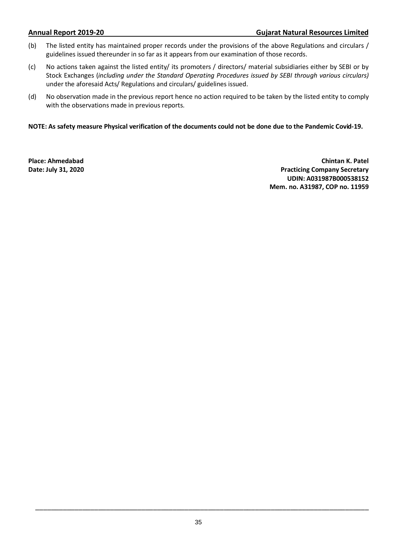- (b) The listed entity has maintained proper records under the provisions of the above Regulations and circulars / guidelines issued thereunder in so far as it appears from our examination of those records.
- (c) No actions taken against the listed entity/ its promoters / directors/ material subsidiaries either by SEBI or by Stock Exchanges (*including under the Standard Operating Procedures issued by SEBI through various circulars)*  under the aforesaid Acts/ Regulations and circulars/ guidelines issued.
- (d) No observation made in the previous report hence no action required to be taken by the listed entity to comply with the observations made in previous reports.

**NOTE: As safety measure Physical verification of the documents could not be done due to the Pandemic Covid-19.** 

**Place: Ahmedabad Date: July 31, 2020** 

**Chintan K. Patel Practicing Company Secretary UDIN: A031987B000538152 Mem. no. A31987, COP no. 11959**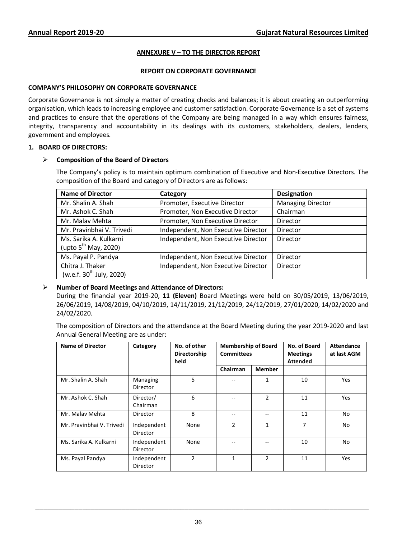#### **ANNEXURE V – TO THE DIRECTOR REPORT**

#### **REPORT ON CORPORATE GOVERNANCE**

#### **COMPANY'S PHILOSOPHY ON CORPORATE GOVERNANCE**

Corporate Governance is not simply a matter of creating checks and balances; it is about creating an outperforming organisation, which leads to increasing employee and customer satisfaction. Corporate Governance is a set of systems and practices to ensure that the operations of the Company are being managed in a way which ensures fairness, integrity, transparency and accountability in its dealings with its customers, stakeholders, dealers, lenders, government and employees.

#### **1. BOARD OF DIRECTORS:**

#### **Composition of the Board of Directors**

The Company's policy is to maintain optimum combination of Executive and Non-Executive Directors. The composition of the Board and category of Directors are as follows:

| <b>Name of Director</b>                             | Category                            | <b>Designation</b>       |
|-----------------------------------------------------|-------------------------------------|--------------------------|
| Mr. Shalin A. Shah                                  | Promoter, Executive Director        | <b>Managing Director</b> |
| Mr. Ashok C. Shah                                   | Promoter, Non Executive Director    | Chairman                 |
| Mr. Malay Mehta                                     | Promoter, Non Executive Director    | Director                 |
| Mr. Pravinbhai V. Trivedi                           | Independent, Non Executive Director | Director                 |
| Ms. Sarika A. Kulkarni<br>(upto $5^{th}$ May, 2020) | Independent, Non Executive Director | Director                 |
| Ms. Payal P. Pandya                                 | Independent, Non Executive Director | Director                 |
| Chitra J. Thaker<br>(w.e.f. $30^{th}$ July, 2020)   | Independent, Non Executive Director | Director                 |

#### **Number of Board Meetings and Attendance of Directors:**

During the financial year 2019-20, **11 (Eleven)** Board Meetings were held on 30/05/2019, 13/06/2019, 26/06/2019, 14/08/2019, 04/10/2019, 14/11/2019, 21/12/2019, 24/12/2019, 27/01/2020, 14/02/2020 and 24/02/2020.

The composition of Directors and the attendance at the Board Meeting during the year 2019-2020 and last Annual General Meeting are as under:

| <b>Name of Director</b>   | Category                       | No. of other<br>Directorship<br>held | <b>Membership of Board</b><br><b>Committees</b> |                | No. of Board<br><b>Meetings</b><br><b>Attended</b> | <b>Attendance</b><br>at last AGM |
|---------------------------|--------------------------------|--------------------------------------|-------------------------------------------------|----------------|----------------------------------------------------|----------------------------------|
|                           |                                |                                      | Chairman                                        | <b>Member</b>  |                                                    |                                  |
| Mr. Shalin A. Shah        | Managing<br><b>Director</b>    | 5                                    | --                                              | 1              | 10                                                 | Yes                              |
| Mr. Ashok C. Shah         | Director/<br>Chairman          | 6                                    | --                                              | $\mathfrak{p}$ | 11                                                 | Yes                              |
| Mr. Malay Mehta           | Director                       | 8                                    | --                                              | --             | 11                                                 | <b>No</b>                        |
| Mr. Pravinbhai V. Trivedi | Independent<br>Director        | None                                 | $\overline{2}$                                  | 1              | 7                                                  | <b>No</b>                        |
| Ms. Sarika A. Kulkarni    | Independent<br><b>Director</b> | <b>None</b>                          |                                                 |                | 10                                                 | <b>No</b>                        |
| Ms. Payal Pandya          | Independent<br><b>Director</b> | $\overline{2}$                       | $\mathbf{1}$                                    | $\overline{2}$ | 11                                                 | Yes                              |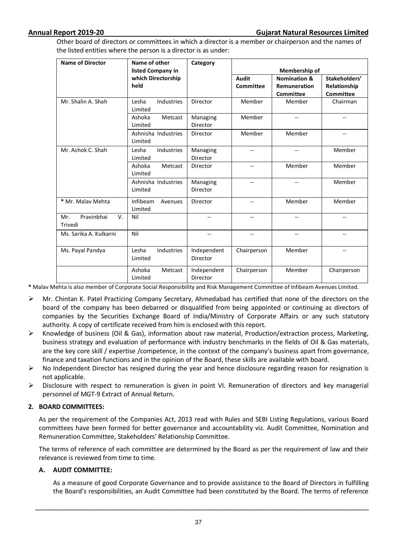Other board of directors or committees in which a director is a member or chairperson and the names of the listed entities where the person is a director is as under:

| <b>Name of Director</b>            | Name of other<br>listed Company in | Category                |                    | Membership of                                               |                                            |
|------------------------------------|------------------------------------|-------------------------|--------------------|-------------------------------------------------------------|--------------------------------------------|
|                                    | which Directorship<br>held         |                         | Audit<br>Committee | <b>Nomination &amp;</b><br>Remuneration<br><b>Committee</b> | Stakeholders'<br>Relationship<br>Committee |
| Mr. Shalin A. Shah                 | Lesha<br>Industries<br>Limited     | Director                | Member             | Member                                                      | Chairman                                   |
|                                    | Ashoka<br>Metcast<br>Limited       | Managing<br>Director    | Member             |                                                             |                                            |
|                                    | Ashnisha Industries<br>Limited     | Director                | Member             | Member                                                      | --                                         |
| Mr. Ashok C. Shah                  | Lesha<br>Industries<br>Limited     | Managing<br>Director    | $\overline{a}$     | --                                                          | Member                                     |
|                                    | Ashoka<br>Metcast<br>Limited       | Director                | --                 | Member                                                      | Member                                     |
|                                    | Ashnisha Industries<br>Limited     | Managing<br>Director    |                    |                                                             | Member                                     |
| * Mr. Malay Mehta                  | Infibeam<br>Avenues<br>Limited     | Director                | --                 | Member                                                      | Member                                     |
| Pravinbhai<br>Mr.<br>V.<br>Trivedi | Nil                                |                         | --                 |                                                             | --                                         |
| Ms. Sarika A. Kulkarni             | Nil                                | $-$                     | --                 | --                                                          | --                                         |
| Ms. Payal Pandya                   | Lesha<br>Industries<br>Limited     | Independent<br>Director | Chairperson        | Member                                                      | --                                         |
|                                    | Ashoka<br>Metcast<br>Limited       | Independent<br>Director | Chairperson        | Member                                                      | Chairperson                                |

**\*** Malav Mehta is also member of Corporate Social Responsibility and Risk Management Committee of Infibeam Avenues Limited.

- Mr. Chintan K. Patel Practicing Company Secretary, Ahmedabad has certified that none of the directors on the board of the company has been debarred or disqualified from being appointed or continuing as directors of companies by the Securities Exchange Board of India/Ministry of Corporate Affairs or any such statutory authority. A copy of certificate received from him is enclosed with this report.
- $\triangleright$  Knowledge of business (Oil & Gas), information about raw material, Production/extraction process, Marketing, business strategy and evaluation of performance with industry benchmarks in the fields of Oil & Gas materials, are the key core skill / expertise /competence, in the context of the company's business apart from governance, finance and taxation functions and in the opinion of the Board, these skills are available with board.
- $\triangleright$  No Independent Director has resigned during the year and hence disclosure regarding reason for resignation is not applicable.
- $\triangleright$  Disclosure with respect to remuneration is given in point VI. Remuneration of directors and key managerial personnel of MGT-9 Extract of Annual Return.

#### **2. BOARD COMMITTEES:**

As per the requirement of the Companies Act, 2013 read with Rules and SEBI Listing Regulations, various Board committees have been formed for better governance and accountability viz. Audit Committee, Nomination and Remuneration Committee, Stakeholders' Relationship Committee.

The terms of reference of each committee are determined by the Board as per the requirement of law and their relevance is reviewed from time to time.

#### **A. AUDIT COMMITTEE:**

As a measure of good Corporate Governance and to provide assistance to the Board of Directors in fulfilling the Board's responsibilities, an Audit Committee had been constituted by the Board. The terms of reference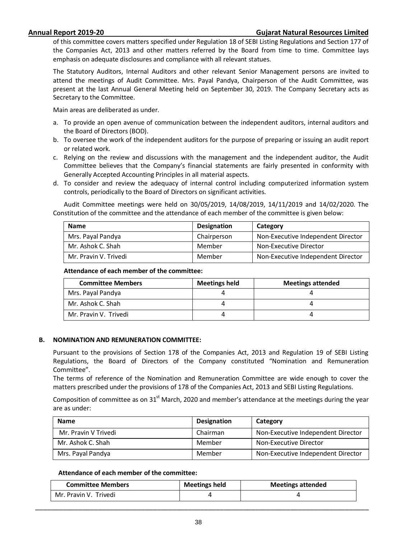of this committee covers matters specified under Regulation 18 of SEBI Listing Regulations and Section 177 of the Companies Act, 2013 and other matters referred by the Board from time to time. Committee lays emphasis on adequate disclosures and compliance with all relevant statues.

The Statutory Auditors, Internal Auditors and other relevant Senior Management persons are invited to attend the meetings of Audit Committee. Mrs. Payal Pandya, Chairperson of the Audit Committee, was present at the last Annual General Meeting held on September 30, 2019. The Company Secretary acts as Secretary to the Committee.

Main areas are deliberated as under.

- a. To provide an open avenue of communication between the independent auditors, internal auditors and the Board of Directors (BOD).
- b. To oversee the work of the independent auditors for the purpose of preparing or issuing an audit report or related work.
- c. Relying on the review and discussions with the management and the independent auditor, the Audit Committee believes that the Company's financial statements are fairly presented in conformity with Generally Accepted Accounting Principles in all material aspects.
- d. To consider and review the adequacy of internal control including computerized information system controls, periodically to the Board of Directors on significant activities.

Audit Committee meetings were held on 30/05/2019, 14/08/2019, 14/11/2019 and 14/02/2020. The Constitution of the committee and the attendance of each member of the committee is given below:

| Name                  | <b>Designation</b> | Category                           |
|-----------------------|--------------------|------------------------------------|
| Mrs. Payal Pandya     | Chairperson        | Non-Executive Independent Director |
| Mr. Ashok C. Shah     | Member             | Non-Executive Director             |
| Mr. Pravin V. Trivedi | Member             | Non-Executive Independent Director |

### **Attendance of each member of the committee:**

| <b>Committee Members</b> | <b>Meetings held</b> | <b>Meetings attended</b> |
|--------------------------|----------------------|--------------------------|
| Mrs. Payal Pandya        |                      |                          |
| Mr. Ashok C. Shah        |                      |                          |
| Mr. Pravin V. Trivedi    |                      |                          |

#### **B. NOMINATION AND REMUNERATION COMMITTEE:**

Pursuant to the provisions of Section 178 of the Companies Act, 2013 and Regulation 19 of SEBI Listing Regulations, the Board of Directors of the Company constituted "Nomination and Remuneration Committee".

The terms of reference of the Nomination and Remuneration Committee are wide enough to cover the matters prescribed under the provisions of 178 of the Companies Act, 2013 and SEBI Listing Regulations.

Composition of committee as on  $31<sup>st</sup>$  March, 2020 and member's attendance at the meetings during the year are as under:

| <b>Name</b>          | <b>Designation</b> | Category                           |
|----------------------|--------------------|------------------------------------|
| Mr. Pravin V Trivedi | Chairman           | Non-Executive Independent Director |
| Mr. Ashok C. Shah    | Member             | Non-Executive Director             |
| Mrs. Payal Pandya    | Member             | Non-Executive Independent Director |

### **Attendance of each member of the committee:**

| <b>Committee Members</b> | <b>Meetings held</b> | <b>Meetings attended</b> |
|--------------------------|----------------------|--------------------------|
| Mr. Pravin V. Trivedi    |                      |                          |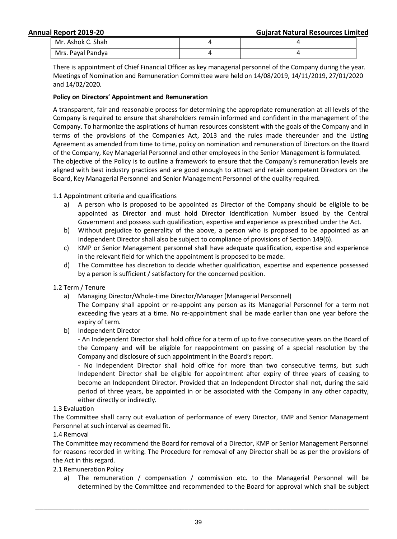**Annual Report 2019-20 Gujarat Natural Resources Limited**

| .                 |  |
|-------------------|--|
| Mr. Ashok C. Shah |  |
| Mrs. Payal Pandya |  |

There is appointment of Chief Financial Officer as key managerial personnel of the Company during the year. Meetings of Nomination and Remuneration Committee were held on 14/08/2019, 14/11/2019, 27/01/2020 and 14/02/2020.

#### **Policy on Directors' Appointment and Remuneration**

A transparent, fair and reasonable process for determining the appropriate remuneration at all levels of the Company is required to ensure that shareholders remain informed and confident in the management of the Company. To harmonize the aspirations of human resources consistent with the goals of the Company and in terms of the provisions of the Companies Act, 2013 and the rules made thereunder and the Listing Agreement as amended from time to time, policy on nomination and remuneration of Directors on the Board of the Company, Key Managerial Personnel and other employees in the Senior Management is formulated. The objective of the Policy is to outline a framework to ensure that the Company's remuneration levels are aligned with best industry practices and are good enough to attract and retain competent Directors on the

Board, Key Managerial Personnel and Senior Management Personnel of the quality required.

1.1 Appointment criteria and qualifications

- a) A person who is proposed to be appointed as Director of the Company should be eligible to be appointed as Director and must hold Director Identification Number issued by the Central Government and possess such qualification, expertise and experience as prescribed under the Act.
- b) Without prejudice to generality of the above, a person who is proposed to be appointed as an Independent Director shall also be subject to compliance of provisions of Section 149(6).
- c) KMP or Senior Management personnel shall have adequate qualification, expertise and experience in the relevant field for which the appointment is proposed to be made.
- d) The Committee has discretion to decide whether qualification, expertise and experience possessed by a person is sufficient / satisfactory for the concerned position.

#### 1.2 Term / Tenure

a) Managing Director/Whole-time Director/Manager (Managerial Personnel)

The Company shall appoint or re-appoint any person as its Managerial Personnel for a term not exceeding five years at a time. No re-appointment shall be made earlier than one year before the expiry of term.

b) Independent Director

- An Independent Director shall hold office for a term of up to five consecutive years on the Board of the Company and will be eligible for reappointment on passing of a special resolution by the Company and disclosure of such appointment in the Board's report.

- No Independent Director shall hold office for more than two consecutive terms, but such Independent Director shall be eligible for appointment after expiry of three years of ceasing to become an Independent Director. Provided that an Independent Director shall not, during the said period of three years, be appointed in or be associated with the Company in any other capacity, either directly or indirectly.

#### 1.3 Evaluation

The Committee shall carry out evaluation of performance of every Director, KMP and Senior Management Personnel at such interval as deemed fit.

#### 1.4 Removal

The Committee may recommend the Board for removal of a Director, KMP or Senior Management Personnel for reasons recorded in writing. The Procedure for removal of any Director shall be as per the provisions of the Act in this regard.

2.1 Remuneration Policy

a) The remuneration / compensation / commission etc. to the Managerial Personnel will be determined by the Committee and recommended to the Board for approval which shall be subject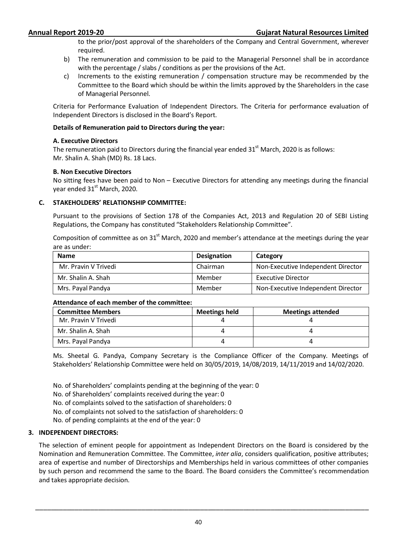to the prior/post approval of the shareholders of the Company and Central Government, wherever required.

- b) The remuneration and commission to be paid to the Managerial Personnel shall be in accordance with the percentage / slabs / conditions as per the provisions of the Act.
- c) Increments to the existing remuneration / compensation structure may be recommended by the Committee to the Board which should be within the limits approved by the Shareholders in the case of Managerial Personnel.

Criteria for Performance Evaluation of Independent Directors. The Criteria for performance evaluation of Independent Directors is disclosed in the Board's Report.

#### **Details of Remuneration paid to Directors during the year:**

#### **A. Executive Directors**

The remuneration paid to Directors during the financial year ended  $31<sup>st</sup>$  March, 2020 is as follows: Mr. Shalin A. Shah (MD) Rs. 18 Lacs.

#### **B. Non Executive Directors**

No sitting fees have been paid to Non – Executive Directors for attending any meetings during the financial year ended  $31<sup>st</sup>$  March, 2020.

#### **C. STAKEHOLDERS' RELATIONSHIP COMMITTEE:**

Pursuant to the provisions of Section 178 of the Companies Act, 2013 and Regulation 20 of SEBI Listing Regulations, the Company has constituted "Stakeholders Relationship Committee".

Composition of committee as on 31<sup>st</sup> March, 2020 and member's attendance at the meetings during the year are as under:

| Name                 | <b>Designation</b> | Category                           |
|----------------------|--------------------|------------------------------------|
| Mr. Pravin V Trivedi | Chairman           | Non-Executive Independent Director |
| Mr. Shalin A. Shah   | Member             | <b>Executive Director</b>          |
| Mrs. Payal Pandya    | Member             | Non-Executive Independent Director |

#### **Attendance of each member of the committee:**

| <b>Committee Members</b> | <b>Meetings held</b> | <b>Meetings attended</b> |
|--------------------------|----------------------|--------------------------|
| Mr. Pravin V Trivedi     |                      |                          |
| Mr. Shalin A. Shah       |                      |                          |
| Mrs. Payal Pandya        |                      |                          |

Ms. Sheetal G. Pandya, Company Secretary is the Compliance Officer of the Company. Meetings of Stakeholders' Relationship Committee were held on 30/05/2019, 14/08/2019, 14/11/2019 and 14/02/2020.

No. of Shareholders' complaints pending at the beginning of the year: 0

No. of Shareholders' complaints received during the year: 0

No. of complaints solved to the satisfaction of shareholders: 0

No. of complaints not solved to the satisfaction of shareholders: 0

No. of pending complaints at the end of the year: 0

#### **3. INDEPENDENT DIRECTORS:**

The selection of eminent people for appointment as Independent Directors on the Board is considered by the Nomination and Remuneration Committee. The Committee, *inter alia*, considers qualification, positive attributes; area of expertise and number of Directorships and Memberships held in various committees of other companies by such person and recommend the same to the Board. The Board considers the Committee's recommendation and takes appropriate decision.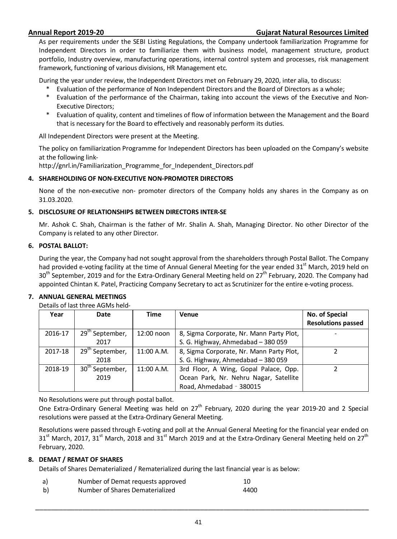#### **Annual Report 2019-20 Gujarat Natural Resources Limited**

As per requirements under the SEBI Listing Regulations, the Company undertook familiarization Programme for Independent Directors in order to familiarize them with business model, management structure, product portfolio, Industry overview, manufacturing operations, internal control system and processes, risk management framework, functioning of various divisions, HR Management etc.

During the year under review, the Independent Directors met on February 29, 2020, inter alia, to discuss:

- Evaluation of the performance of Non Independent Directors and the Board of Directors as a whole;
- Evaluation of the performance of the Chairman, taking into account the views of the Executive and Non-Executive Directors;
- \* Evaluation of quality, content and timelines of flow of information between the Management and the Board that is necessary for the Board to effectively and reasonably perform its duties.

All Independent Directors were present at the Meeting.

The policy on familiarization Programme for Independent Directors has been uploaded on the Company's website at the following link-

http://gnrl.in/Familiarization\_Programme\_for\_Independent\_Directors.pdf

#### **4. SHAREHOLDING OF NON-EXECUTIVE NON-PROMOTER DIRECTORS**

None of the non-executive non- promoter directors of the Company holds any shares in the Company as on 31.03.2020.

#### **5. DISCLOSURE OF RELATIONSHIPS BETWEEN DIRECTORS INTER-SE**

Mr. Ashok C. Shah, Chairman is the father of Mr. Shalin A. Shah, Managing Director. No other Director of the Company is related to any other Director.

#### **6. POSTAL BALLOT:**

During the year, the Company had not sought approval from the shareholders through Postal Ballot. The Company had provided e-voting facility at the time of Annual General Meeting for the year ended 31<sup>st</sup> March, 2019 held on 30<sup>th</sup> September, 2019 and for the Extra-Ordinary General Meeting held on 27<sup>th</sup> February, 2020. The Company had appointed Chintan K. Patel, Practicing Company Secretary to act as Scrutinizer for the entire e-voting process.

#### **7. ANNUAL GENERAL MEETINGS**

Details of last three AGMs held-

| Year    | Date                              | Time       | Venue                                    | No. of Special<br><b>Resolutions passed</b> |
|---------|-----------------------------------|------------|------------------------------------------|---------------------------------------------|
| 2016-17 | $29$ <sup>III</sup><br>September, | 12:00 noon | 8, Sigma Corporate, Nr. Mann Party Plot, |                                             |
|         | 2017                              |            | S. G. Highway, Ahmedabad - 380 059       |                                             |
| 2017-18 | 29 <sup>th</sup> September,       | 11:00 A.M. | 8, Sigma Corporate, Nr. Mann Party Plot, |                                             |
|         | 2018                              |            | S. G. Highway, Ahmedabad - 380 059       |                                             |
| 2018-19 | 30 <sup>th</sup> September,       | 11:00 A.M. | 3rd Floor, A Wing, Gopal Palace, Opp.    |                                             |
|         | 2019                              |            | Ocean Park, Nr. Nehru Nagar, Satellite   |                                             |
|         |                                   |            | Road, Ahmedabad - 380015                 |                                             |

No Resolutions were put through postal ballot.

One Extra-Ordinary General Meeting was held on  $27<sup>th</sup>$  February, 2020 during the year 2019-20 and 2 Special resolutions were passed at the Extra-Ordinary General Meeting.

Resolutions were passed through E-voting and poll at the Annual General Meeting for the financial year ended on 31<sup>st</sup> March, 2017, 31<sup>st</sup> March, 2018 and 31<sup>st</sup> March 2019 and at the Extra-Ordinary General Meeting held on 27<sup>th</sup> February, 2020.

#### **8. DEMAT / REMAT OF SHARES**

Details of Shares Dematerialized / Rematerialized during the last financial year is as below:

| a) | Number of Demat requests approved |      |
|----|-----------------------------------|------|
| b) | Number of Shares Dematerialized   | 4400 |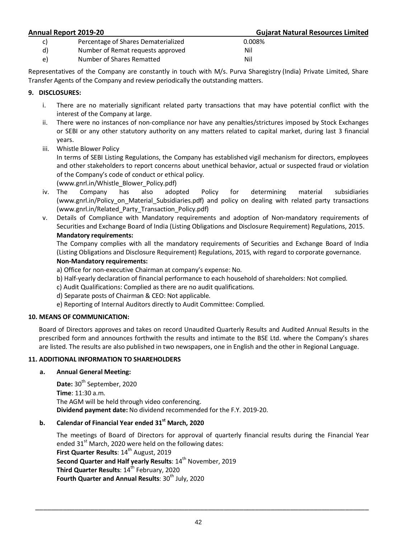|    | Annual Report 2019-20               | <b>Guiarat Natural Resources Limited</b> |  |
|----|-------------------------------------|------------------------------------------|--|
|    | Percentage of Shares Dematerialized | $0.008\%$                                |  |
| d) | Number of Remat requests approved   | Nil                                      |  |
| e) | Number of Shares Rematted           | Nil                                      |  |

Representatives of the Company are constantly in touch with M/s. Purva Sharegistry (India) Private Limited, Share Transfer Agents of the Company and review periodically the outstanding matters.

### **9. DISCLOSURES:**

- i. There are no materially significant related party transactions that may have potential conflict with the interest of the Company at large.
- ii. There were no instances of non-compliance nor have any penalties/strictures imposed by Stock Exchanges or SEBI or any other statutory authority on any matters related to capital market, during last 3 financial years.
- iii. Whistle Blower Policy

In terms of SEBI Listing Regulations, the Company has established vigil mechanism for directors, employees and other stakeholders to report concerns about unethical behavior, actual or suspected fraud or violation of the Company's code of conduct or ethical policy.

(www.gnrl.in/Whistle\_Blower\_Policy.pdf)

- iv. The Company has also adopted Policy for determining material subsidiaries (www.gnrl.in/Policy on Material Subsidiaries.pdf) and policy on dealing with related party transactions (www.gnrl.in/Related\_Party\_Transaction\_Policy.pdf)
- v. Details of Compliance with Mandatory requirements and adoption of Non-mandatory requirements of Securities and Exchange Board of India (Listing Obligations and Disclosure Requirement) Regulations, 2015. **Mandatory requirements:**

The Company complies with all the mandatory requirements of Securities and Exchange Board of India (Listing Obligations and Disclosure Requirement) Regulations, 2015, with regard to corporate governance. **Non-Mandatory requirements:** 

a) Office for non-executive Chairman at company's expense: No.

- b) Half-yearly declaration of financial performance to each household of shareholders: Not complied.
- c) Audit Qualifications: Complied as there are no audit qualifications.
- d) Separate posts of Chairman & CEO: Not applicable.
- e) Reporting of Internal Auditors directly to Audit Committee: Complied.

#### **10. MEANS OF COMMUNICATION:**

Board of Directors approves and takes on record Unaudited Quarterly Results and Audited Annual Results in the prescribed form and announces forthwith the results and intimate to the BSE Ltd. where the Company's shares are listed. The results are also published in two newspapers, one in English and the other in Regional Language.

#### **11. ADDITIONAL INFORMATION TO SHAREHOLDERS**

### **a. Annual General Meeting:**

Date: 30<sup>th</sup> September, 2020  **Time**: 11:30 a.m. The AGM will be held through video conferencing.  **Dividend payment date:** No dividend recommended for the F.Y. 2019-20.

### **b. Calendar of Financial Year ended 31st March, 2020**

The meetings of Board of Directors for approval of quarterly financial results during the Financial Year ended  $31<sup>st</sup>$  March, 2020 were held on the following dates: **First Quarter Results: 14<sup>th</sup> August, 2019 Second Quarter and Half yearly Results: 14th November, 2019 Third Quarter Results: 14<sup>th</sup> February, 2020 Fourth Quarter and Annual Results: 30<sup>th</sup> July, 2020**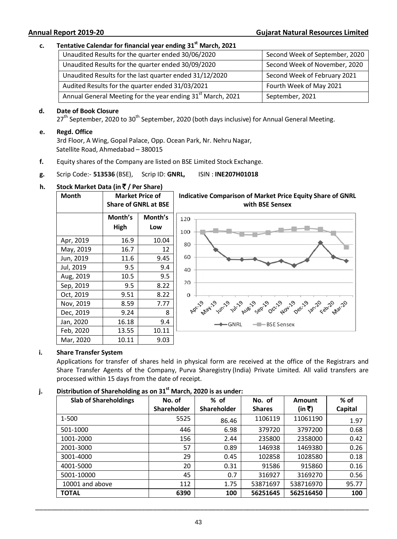### **Annual Report 2019-20 Gujarat Natural Resources Limited**

## **c. Tentative Calendar for financial year ending 31st March, 2021**

| Unaudited Results for the quarter ended 30/06/2020                      | Second Week of September, 2020 |
|-------------------------------------------------------------------------|--------------------------------|
| Unaudited Results for the quarter ended 30/09/2020                      | Second Week of November, 2020  |
| Unaudited Results for the last quarter ended 31/12/2020                 | Second Week of February 2021   |
| Audited Results for the quarter ended 31/03/2021                        | Fourth Week of May 2021        |
| Annual General Meeting for the year ending 31 <sup>st</sup> March, 2021 | September, 2021                |

#### **d. Date of Book Closure**

27<sup>th</sup> September, 2020 to 30<sup>th</sup> September, 2020 (both days inclusive) for Annual General Meeting.

#### **e. Regd. Office**

 3rd Floor, A Wing, Gopal Palace, Opp. Ocean Park, Nr. Nehru Nagar, Satellite Road, Ahmedabad – 380015

- **f.** Equity shares of the Company are listed on BSE Limited Stock Exchange.
- **g.** Scrip Code:- **513536** (BSE), Scrip ID: **GNRL,** ISIN : **INE207H01018**

#### **h. Stock Market Data (in** ` **/ Per Share)**

| <b>Month</b> | <b>Market Price of</b><br><b>Share of GNRL at BSE</b> |         |  |
|--------------|-------------------------------------------------------|---------|--|
|              | Month's                                               | Month's |  |
|              | High                                                  | Low     |  |
| Apr, 2019    | 16.9                                                  | 10.04   |  |
| May, 2019    | 16.7                                                  | 12      |  |
| Jun, 2019    | 11.6                                                  | 9.45    |  |
| Jul, 2019    | 9.5                                                   | 9.4     |  |
| Aug, 2019    | 10.5                                                  | 9.5     |  |
| Sep, 2019    | 9.5                                                   | 8.22    |  |
| Oct, 2019    | 9.51                                                  | 8.22    |  |
| Nov, 2019    | 8.59                                                  | 7.77    |  |
| Dec, 2019    | 9.24                                                  | 8       |  |
| Jan, 2020    | 16.18                                                 | 9.4     |  |
| Feb, 2020    | 13.55                                                 | 10.11   |  |
| Mar, 2020    | 10.11                                                 | 9.03    |  |





#### **i. Share Transfer System**

Applications for transfer of shares held in physical form are received at the office of the Registrars and Share Transfer Agents of the Company, Purva Sharegistry (India) Private Limited. All valid transfers are processed within 15 days from the date of receipt.

#### **j. Distribution of Shareholding as on 31st March, 2020 is as under:**

| <b>Slab of Shareholdings</b> | No. of             | % of               | No. of        | <b>Amount</b> | $%$ of  |
|------------------------------|--------------------|--------------------|---------------|---------------|---------|
|                              | <b>Shareholder</b> | <b>Shareholder</b> | <b>Shares</b> | (in ₹)        | Capital |
| 1-500                        | 5525               | 86.46              | 1106119       | 11061190      | 1.97    |
| 501-1000                     | 446                | 6.98               | 379720        | 3797200       | 0.68    |
| 1001-2000                    | 156                | 2.44               | 235800        | 2358000       | 0.42    |
| 2001-3000                    | 57                 | 0.89               | 146938        | 1469380       | 0.26    |
| 3001-4000                    | 29                 | 0.45               | 102858        | 1028580       | 0.18    |
| 4001-5000                    | 20                 | 0.31               | 91586         | 915860        | 0.16    |
| 5001-10000                   | 45                 | 0.7                | 316927        | 3169270       | 0.56    |
| 10001 and above              | 112                | 1.75               | 53871697      | 538716970     | 95.77   |
| <b>TOTAL</b>                 | 6390               | 100                | 56251645      | 562516450     | 100     |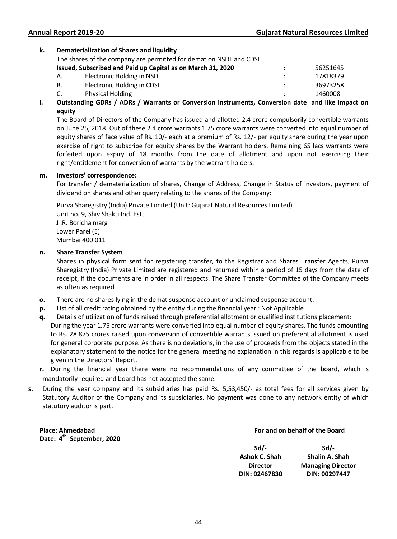#### **k. Dematerialization of Shares and liquidity**

The shares of the company are permitted for demat on NSDL and CDSL

|    | Issued, Subscribed and Paid up Capital as on March 31, 2020 | 56251645 |
|----|-------------------------------------------------------------|----------|
| А. | Electronic Holding in NSDL                                  | 17818379 |
| В. | Electronic Holding in CDSL                                  | 36973258 |
| C. | <b>Physical Holding</b>                                     | 1460008  |

**l. Outstanding GDRs / ADRs / Warrants or Conversion instruments, Conversion date and like impact on equity**

The Board of Directors of the Company has issued and allotted 2.4 crore compulsorily convertible warrants on June 25, 2018. Out of these 2.4 crore warrants 1.75 crore warrants were converted into equal number of equity shares of face value of Rs. 10/- each at a premium of Rs. 12/- per equity share during the year upon exercise of right to subscribe for equity shares by the Warrant holders. Remaining 65 lacs warrants were forfeited upon expiry of 18 months from the date of allotment and upon not exercising their right/entitlement for conversion of warrants by the warrant holders.

#### **m. Investors' correspondence:**

For transfer / dematerialization of shares, Change of Address, Change in Status of investors, payment of dividend on shares and other query relating to the shares of the Company:

Purva Sharegistry (India) Private Limited (Unit: Gujarat Natural Resources Limited) Unit no. 9, Shiv Shakti Ind. Estt.

J .R. Boricha marg Lower Parel (E) Mumbai 400 011

#### **n. Share Transfer System**

Shares in physical form sent for registering transfer, to the Registrar and Shares Transfer Agents, Purva Sharegistry (India) Private Limited are registered and returned within a period of 15 days from the date of receipt, if the documents are in order in all respects. The Share Transfer Committee of the Company meets as often as required.

- **o.** There are no shares lying in the demat suspense account or unclaimed suspense account.
- **p.** List of all credit rating obtained by the entity during the financial year : Not Applicable
- **q.** Details of utilization of funds raised through preferential allotment or qualified institutions placement:
- During the year 1.75 crore warrants were converted into equal number of equity shares. The funds amounting to Rs. 28.875 crores raised upon conversion of convertible warrants issued on preferential allotment is used for general corporate purpose. As there is no deviations, in the use of proceeds from the objects stated in the explanatory statement to the notice for the general meeting no explanation in this regards is applicable to be given in the Directors' Report.
- **r.** During the financial year there were no recommendations of any committee of the board, which is mandatorily required and board has not accepted the same.
- **s.** During the year company and its subsidiaries has paid Rs. 5,53,450/- as total fees for all services given byStatutory Auditor of the Company and its subsidiaries. No payment was done to any network entity of which statutory auditor is part.

**Place: Ahmedabad Date: 4th September, 2020**

#### **For and on behalf of the Board**

| Sd/-            | Sd/-                     |
|-----------------|--------------------------|
| Ashok C. Shah   | Shalin A. Shah           |
| <b>Director</b> | <b>Managing Director</b> |
| DIN: 02467830   | DIN: 00297447            |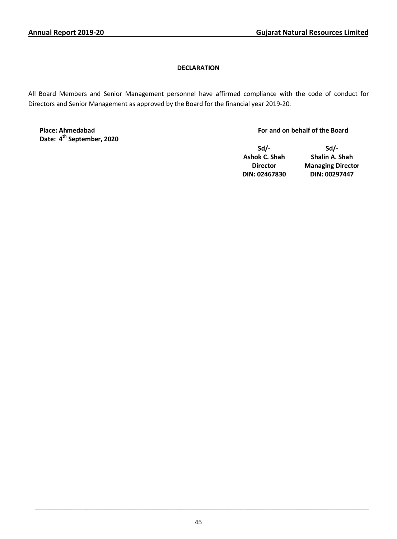### **DECLARATION**

All Board Members and Senior Management personnel have affirmed compliance with the code of conduct for Directors and Senior Management as approved by the Board for the financial year 2019-20.

**Place: Ahmedabad Date: 4th September, 2020**

### **For and on behalf of the Board**

**Sd/- Ashok C. Shah Director DIN: 02467830** 

**Sd/- Shalin A. Shah Managing Director DIN: 00297447**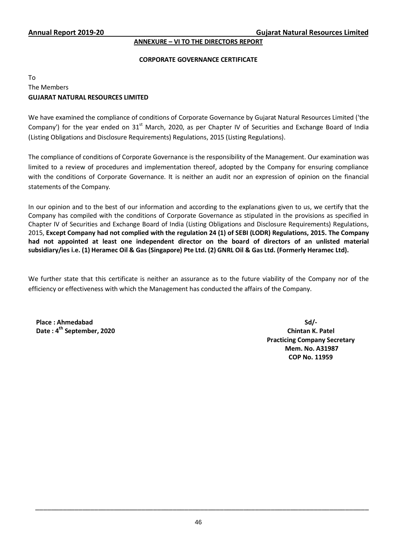#### **ANNEXURE – VI TO THE DIRECTORS REPORT**

#### **CORPORATE GOVERNANCE CERTIFICATE**

## To The Members **GUJARAT NATURAL RESOURCES LIMITED**

We have examined the compliance of conditions of Corporate Governance by Gujarat Natural Resources Limited ('the Company') for the year ended on  $31<sup>st</sup>$  March, 2020, as per Chapter IV of Securities and Exchange Board of India (Listing Obligations and Disclosure Requirements) Regulations, 2015 (Listing Regulations).

The compliance of conditions of Corporate Governance is the responsibility of the Management. Our examination was limited to a review of procedures and implementation thereof, adopted by the Company for ensuring compliance with the conditions of Corporate Governance. It is neither an audit nor an expression of opinion on the financial statements of the Company.

In our opinion and to the best of our information and according to the explanations given to us, we certify that the Company has compiled with the conditions of Corporate Governance as stipulated in the provisions as specified in Chapter IV of Securities and Exchange Board of India (Listing Obligations and Disclosure Requirements) Regulations, 2015, **Except Company had not complied with the regulation 24 (1) of SEBI (LODR) Regulations, 2015. The Company had not appointed at least one independent director on the board of directors of an unlisted material subsidiary/ies i.e. (1) Heramec Oil & Gas (Singapore) Pte Ltd. (2) GNRL Oil & Gas Ltd. (Formerly Heramec Ltd).** 

We further state that this certificate is neither an assurance as to the future viability of the Company nor of the efficiency or effectiveness with which the Management has conducted the affairs of the Company.

**Place : Ahmedabad Date : 4th September, 2020** 

**Sd/- Chintan K. Patel Practicing Company Secretary Mem. No. A31987 COP No. 11959**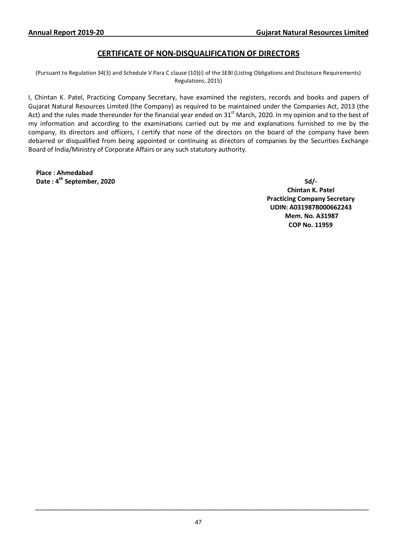## **CERTIFICATE OF NON-DISQUALIFICATION OF DIRECTORS**

(Pursuant to Regulation 34(3) and Schedule V Para C clause (10)(i) of the SEBI (Listing Obligations and Disclosure Requirements) Regulations, 2015)

I, Chintan K. Patel, Practicing Company Secretary, have examined the registers, records and books and papers of Gujarat Natural Resources Limited (the Company) as required to be maintained under the Companies Act, 2013 (the Act) and the rules made thereunder for the financial year ended on  $31<sup>st</sup>$  March, 2020. In my opinion and to the best of my information and according to the examinations carried out by me and explanations furnished to me by the company, its directors and officers, I certify that none of the directors on the board of the company have been debarred or disqualified from being appointed or continuing as directors of companies by the Securities Exchange Board of India/Ministry of Corporate Affairs or any such statutory authority.

**Place : Ahmedabad Date : 4th September, 2020 Sd/-** 

**Chintan K. Patel Practicing Company Secretary UDIN: A031987B000662243 Mem. No. A31987 COP No. 11959**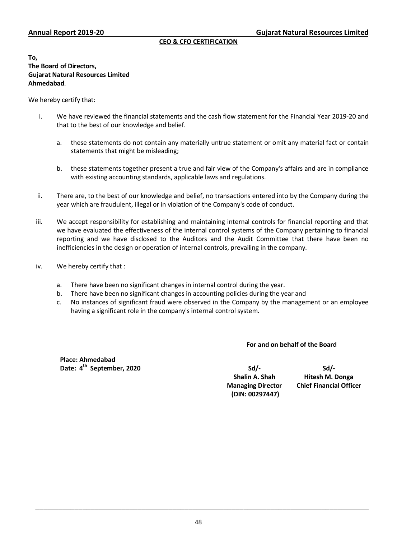#### **CEO & CFO CERTIFICATION**

**To, The Board of Directors, Gujarat Natural Resources Limited Ahmedabad**.

We hereby certify that:

- i. We have reviewed the financial statements and the cash flow statement for the Financial Year 2019-20 and that to the best of our knowledge and belief.
	- a. these statements do not contain any materially untrue statement or omit any material fact or contain statements that might be misleading;
	- b. these statements together present a true and fair view of the Company's affairs and are in compliance with existing accounting standards, applicable laws and regulations.
- ii. There are, to the best of our knowledge and belief, no transactions entered into by the Company during the year which are fraudulent, illegal or in violation of the Company's code of conduct.
- iii. We accept responsibility for establishing and maintaining internal controls for financial reporting and that we have evaluated the effectiveness of the internal control systems of the Company pertaining to financial reporting and we have disclosed to the Auditors and the Audit Committee that there have been no inefficiencies in the design or operation of internal controls, prevailing in the company.
- iv. We hereby certify that :
	- a. There have been no significant changes in internal control during the year.
	- b. There have been no significant changes in accounting policies during the year and
	- c. No instances of significant fraud were observed in the Company by the management or an employee having a significant role in the company's internal control system.

### **For and on behalf of the Board**

**Place: Ahmedabad Date:**  $4^{\text{th}}$  September, 2020 Sd/-

**Shalin A. Shah Managing Director (DIN: 00297447)** 

**Sd/- Hitesh M. Donga Chief Financial Officer**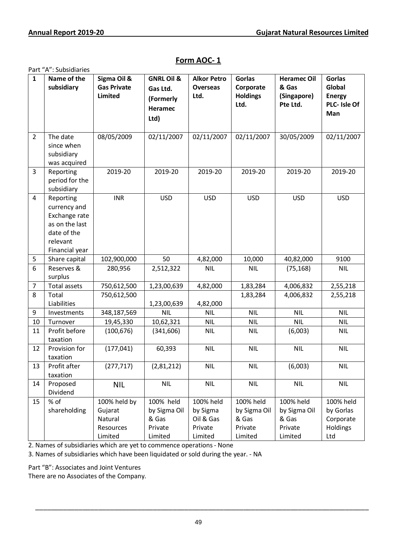Part "A": Subsidiaries

| $\mathbf{1}$   | Name of the<br>subsidiary                                                                                 | Sigma Oil &<br><b>Gas Private</b><br>Limited               | <b>GNRL Oil &amp;</b><br>Gas Ltd.<br>(Formerly<br><b>Heramec</b><br>Ltd) | <b>Alkor Petro</b><br><b>Overseas</b><br>Ltd.            | Gorlas<br>Corporate<br><b>Holdings</b><br>Ltd.           | <b>Heramec Oil</b><br>& Gas<br>(Singapore)<br>Pte Ltd.   | Gorlas<br>Global<br><b>Energy</b><br>PLC- Isle Of<br>Man |
|----------------|-----------------------------------------------------------------------------------------------------------|------------------------------------------------------------|--------------------------------------------------------------------------|----------------------------------------------------------|----------------------------------------------------------|----------------------------------------------------------|----------------------------------------------------------|
| $\overline{2}$ | The date<br>since when<br>subsidiary<br>was acquired                                                      | 08/05/2009                                                 | 02/11/2007                                                               | 02/11/2007                                               | 02/11/2007                                               | 30/05/2009                                               | 02/11/2007                                               |
| 3              | Reporting<br>period for the<br>subsidiary                                                                 | 2019-20                                                    | 2019-20                                                                  | 2019-20                                                  | 2019-20                                                  | 2019-20                                                  | 2019-20                                                  |
| 4              | Reporting<br>currency and<br>Exchange rate<br>as on the last<br>date of the<br>relevant<br>Financial year | <b>INR</b>                                                 | <b>USD</b>                                                               | <b>USD</b>                                               | <b>USD</b>                                               | <b>USD</b>                                               | <b>USD</b>                                               |
| 5              | Share capital                                                                                             | 102,900,000                                                | 50                                                                       | 4,82,000                                                 | 10,000                                                   | 40,82,000                                                | 9100                                                     |
| 6              | Reserves &<br>surplus                                                                                     | 280,956                                                    | 2,512,322                                                                | <b>NIL</b>                                               | <b>NIL</b>                                               | (75, 168)                                                | <b>NIL</b>                                               |
| $\overline{7}$ | <b>Total assets</b>                                                                                       | 750,612,500                                                | 1,23,00,639                                                              | 4,82,000                                                 | 1,83,284                                                 | 4,006,832                                                | 2,55,218                                                 |
| 8              | Total<br>Liabilities                                                                                      | 750,612,500                                                | 1,23,00,639                                                              | 4,82,000                                                 | 1,83,284                                                 | 4,006,832                                                | 2,55,218                                                 |
| 9              | Investments                                                                                               | 348,187,569                                                | <b>NIL</b>                                                               | <b>NIL</b>                                               | <b>NIL</b>                                               | <b>NIL</b>                                               | <b>NIL</b>                                               |
| 10             | Turnover                                                                                                  | 19,45,330                                                  | 10,62,321                                                                | <b>NIL</b>                                               | <b>NIL</b>                                               | <b>NIL</b>                                               | <b>NIL</b>                                               |
| 11             | Profit before<br>taxation                                                                                 | (100, 676)                                                 | (341, 606)                                                               | <b>NIL</b>                                               | <b>NIL</b>                                               | (6,003)                                                  | <b>NIL</b>                                               |
| 12             | Provision for<br>taxation                                                                                 | (177, 041)                                                 | 60,393                                                                   | <b>NIL</b>                                               | <b>NIL</b>                                               | <b>NIL</b>                                               | <b>NIL</b>                                               |
| 13             | Profit after<br>taxation                                                                                  | (277, 717)                                                 | (2,81,212)                                                               | <b>NIL</b>                                               | <b>NIL</b>                                               | (6,003)                                                  | <b>NIL</b>                                               |
| 14             | Proposed<br>Dividend                                                                                      | <b>NIL</b>                                                 | <b>NIL</b>                                                               | <b>NIL</b>                                               | <b>NIL</b>                                               | <b>NIL</b>                                               | <b>NIL</b>                                               |
| 15             | $%$ of<br>shareholding                                                                                    | 100% held by<br>Gujarat<br>Natural<br>Resources<br>Limited | 100% held<br>by Sigma Oil<br>& Gas<br>Private<br>Limited                 | 100% held<br>by Sigma<br>Oil & Gas<br>Private<br>Limited | 100% held<br>by Sigma Oil<br>& Gas<br>Private<br>Limited | 100% held<br>by Sigma Oil<br>& Gas<br>Private<br>Limited | 100% held<br>by Gorlas<br>Corporate<br>Holdings<br>Ltd   |

## **Form AOC- 1**

2. Names of subsidiaries which are yet to commence operations - None

3. Names of subsidiaries which have been liquidated or sold during the year. - NA

Part "B": Associates and Joint Ventures

There are no Associates of the Company.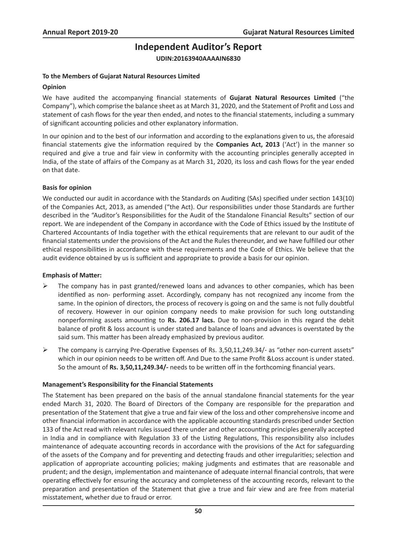## **Independent Auditor's Report**

**UDIN:20163940AAAAIN6830**

#### **To the Members of Gujarat Natural Resources Limited**

#### **Opinion**

We have audited the accompanying financial statements of **Gujarat Natural Resources Limited** ("the Company"), which comprise the balance sheet as at March 31, 2020, and the Statement of Profit and Loss and statement of cash flows for the year then ended, and notes to the financial statements, including a summary of significant accounting policies and other explanatory information.

In our opinion and to the best of our information and according to the explanations given to us, the aforesaid financial statements give the information required by the **[Companies Act, 2013](https://taxguru.in/company-law/presidents-assent-companies-act-2013.html)** ('Act') in the manner so required and give a true and fair view in conformity with the accounting principles generally accepted in India, of the state of affairs of the Company as at March 31, 2020, its loss and cash flows for the year ended on that date.

#### **Basis for opinion**

We conducted our audit in accordance with the Standards on Auditing (SAs) specified under section 143(10) of the Companies Act, 2013, as amended ("the Act). Our responsibilities under those Standards are further described in the "Auditor's Responsibilities for the Audit of the Standalone Financial Results" section of our report. We are independent of the Company in accordance with the Code of Ethics issued by the Institute of Chartered Accountants of India together with the ethical requirements that are relevant to our audit of the financial statements under the provisions of the Act and the Rules thereunder, and we have fulfilled our other ethical responsibilities in accordance with these requirements and the Code of Ethics. We believe that the audit evidence obtained by us is sufficient and appropriate to provide a basis for our opinion.

#### **Emphasis of Matter:**

- $\triangleright$  The company has in past granted/renewed loans and advances to other companies, which has been identified as non- performing asset. Accordingly, company has not recognized any income from the same. In the opinion of directors, the process of recovery is going on and the same is not fully doubtful of recovery. However in our opinion company needs to make provision for such long outstanding nonperforming assets amounting to **Rs. 206.17 lacs.** Due to non-provision in this regard the debit balance of profit & loss account is under stated and balance of loans and advances is overstated by the said sum. This matter has been already emphasized by previous auditor.
- $\triangleright$  The company is carrying Pre-Operative Expenses of Rs. 3,50,11,249.34/- as "other non-current assets" which in our opinion needs to be written off. And Due to the same Profit &Loss account is under stated. So the amount of **Rs. 3,50,11,249.34/-** needs to be written off in the forthcoming financial years.

#### **Management's Responsibility for the Financial Statements**

The Statement has been prepared on the basis of the annual standalone financial statements for the year ended March 31, 2020. The Board of Directors of the Company are responsible for the preparation and presentation of the Statement that give a true and fair view of the loss and other comprehensive income and other financial information in accordance with the applicable accounting standards prescribed under Section 133 of the Act read with relevant rules issued there under and other accounting principles generally accepted in India and in compliance with Regulation 33 of the Listing Regulations, This responsibility also includes maintenance of adequate accounting records in accordance with the provisions of the Act for safeguarding of the assets of the Company and for preventing and detecting frauds and other irregularities; selection and application of appropriate accounting policies; making judgments and estimates that are reasonable and prudent; and the design, implementation and maintenance of adequate internal financial controls, that were operating effectively for ensuring the accuracy and completeness of the accounting records, relevant to the preparation and presentation of the Statement that give a true and fair view and are free from material misstatement, whether due to fraud or error.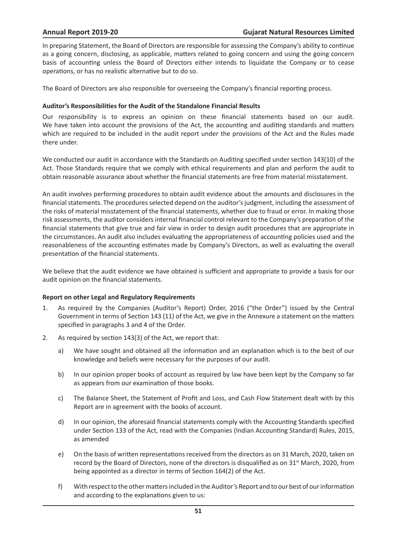In preparing Statement, the Board of Directors are responsible for assessing the Company's ability to continue as a going concern, disclosing, as applicable, matters related to going concern and using the going concern basis of accounting unless the Board of Directors either intends to liquidate the Company or to cease operations, or has no realistic alternative but to do so.

The Board of Directors are also responsible for overseeing the Company's financial reporting process.

#### **Auditor's Responsibilities for the Audit of the Standalone Financial Results**

Our responsibility is to express an opinion on these financial statements based on our audit. We have taken into account the provisions of the Act, the accounting and auditing standards and matters which are required to be included in the audit report under the provisions of the Act and the Rules made there under.

We conducted our audit in accordance with the Standards on Auditing specified under section 143(10) of the Act. Those Standards require that we comply with ethical requirements and plan and perform the audit to obtain reasonable assurance about whether the financial statements are free from material misstatement.

An audit involves performing procedures to obtain audit evidence about the amounts and disclosures in the financial statements. The procedures selected depend on the auditor's judgment, including the assessment of the risks of material misstatement of the financial statements, whether due to fraud or error. In making those risk assessments, the auditor considers internal financial control relevant to the Company's preparation of the financial statements that give true and fair view in order to design audit procedures that are appropriate in the circumstances. An audit also includes evaluating the appropriateness of accounting policies used and the reasonableness of the accounting estimates made by Company's Directors, as well as evaluating the overall presentation of the financial statements.

We believe that the audit evidence we have obtained is sufficient and appropriate to provide a basis for our audit opinion on the financial statements.

#### **Report on other Legal and Regulatory Requirements**

- 1. As required by the Companies (Auditor's Report) Order, 2016 ("the Order") issued by the Central Government in terms of Section 143 (11) of the Act, we give in the Annexure a statement on the matters specified in paragraphs 3 and 4 of the Order.
- 2. As required by section 143(3) of the Act, we report that:
	- a) We have sought and obtained all the information and an explanation which is to the best of our knowledge and beliefs were necessary for the purposes of our audit.
	- b) In our opinion proper books of account as required by law have been kept by the Company so far as appears from our examination of those books.
	- c) The Balance Sheet, the Statement of Profit and Loss, and Cash Flow Statement dealt with by this Report are in agreement with the books of account.
	- d) In our opinion, the aforesaid financial statements comply with the Accounting Standards specified under Section 133 of the Act, read with the Companies (Indian Accounting Standard) Rules, 2015, as amended
	- e) On the basis of written representations received from the directors as on 31 March, 2020, taken on record by the Board of Directors, none of the directors is disqualified as on 31<sup>st</sup> March, 2020, from being appointed as a director in terms of Section 164(2) of the Act.
	- f) With respect to the other matters included in the Auditor's Report and to our best of our information and according to the explanations given to us: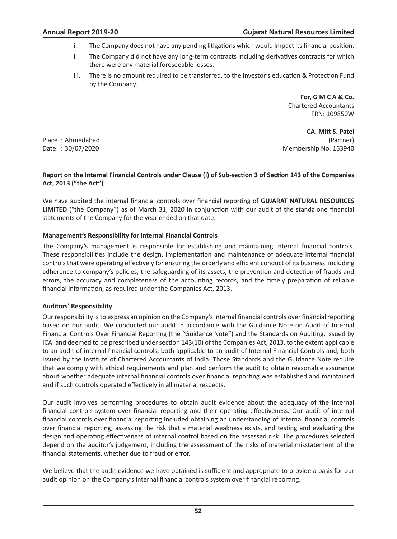- i. The Company does not have any pending litigations which would impact its financial position.
- ii. The Company did not have any long-term contracts including derivatives contracts for which there were any material foreseeable losses.
- iii. There is no amount required to be transferred, to the investor's education & Protection Fund by the Company.

**For, G M C A & Co.** Chartered Accountants FRN: 109850W

**CA. Mitt S. Patel** Place : Ahmedabad (Partner) Date : 30/07/2020 Membership No. 163940

#### **Report on the Internal Financial Controls under Clause (i) of Sub-section 3 of Section 143 of the Companies Act, 2013 ("the Act")**

We have audited the internal financial controls over financial reporting of **GUJARAT NATURAL RESOURCES LIMITED** ("the Company") as of March 31, 2020 in conjunction with our audit of the standalone financial statements of the Company for the year ended on that date.

#### **Management's Responsibility for Internal Financial Controls**

The Company's management is responsible for establishing and maintaining internal financial controls. These responsibilities include the design, implementation and maintenance of adequate internal financial controls that were operating effectively for ensuring the orderly and efficient conduct of its business, including adherence to company's policies, the safeguarding of its assets, the prevention and detection of frauds and errors, the accuracy and completeness of the accounting records, and the timely preparation of reliable financial information, as required under the Companies Act, 2013.

#### **Auditors' Responsibility**

Our responsibility is to express an opinion on the Company's internal financial controls over financial reporting based on our audit. We conducted our audit in accordance with the Guidance Note on Audit of Internal Financial Controls Over Financial Reporting (the "Guidance Note") and the Standards on Auditing, issued by ICAI and deemed to be prescribed under section 143(10) of the Companies Act, 2013, to the extent applicable to an audit of internal financial controls, both applicable to an audit of Internal Financial Controls and, both issued by the Institute of Chartered Accountants of India. Those Standards and the Guidance Note require that we comply with ethical requirements and plan and perform the audit to obtain reasonable assurance about whether adequate internal financial controls over financial reporting was established and maintained and if such controls operated effectively in all material respects.

Our audit involves performing procedures to obtain audit evidence about the adequacy of the internal financial controls system over financial reporting and their operating effectiveness. Our audit of internal financial controls over financial reporting included obtaining an understanding of internal financial controls over financial reporting, assessing the risk that a material weakness exists, and testing and evaluating the design and operating effectiveness of internal control based on the assessed risk. The procedures selected depend on the auditor's judgement, including the assessment of the risks of material misstatement of the financial statements, whether due to fraud or error.

We believe that the audit evidence we have obtained is sufficient and appropriate to provide a basis for our audit opinion on the Company's internal financial controls system over financial reporting.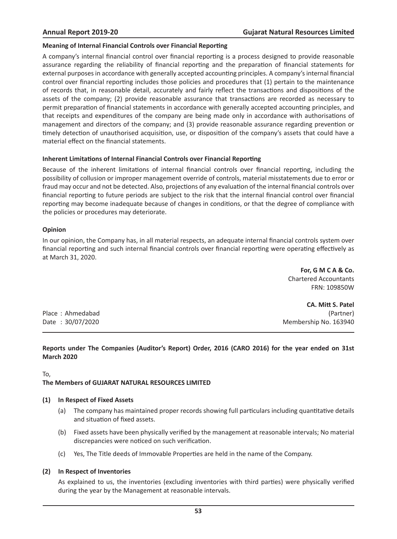#### **Meaning of Internal Financial Controls over Financial Reporting**

A company's internal financial control over financial reporting is a process designed to provide reasonable assurance regarding the reliability of financial reporting and the preparation of financial statements for external purposes in accordance with generally accepted accounting principles. A company's internal financial control over financial reporting includes those policies and procedures that (1) pertain to the maintenance of records that, in reasonable detail, accurately and fairly reflect the transactions and dispositions of the assets of the company; (2) provide reasonable assurance that transactions are recorded as necessary to permit preparation of financial statements in accordance with generally accepted accounting principles, and that receipts and expenditures of the company are being made only in accordance with authorisations of management and directors of the company; and (3) provide reasonable assurance regarding prevention or timely detection of unauthorised acquisition, use, or disposition of the company's assets that could have a material effect on the financial statements.

#### **Inherent Limitations of Internal Financial Controls over Financial Reporting**

Because of the inherent limitations of internal financial controls over financial reporting, including the possibility of collusion or improper management override of controls, material misstatements due to error or fraud may occur and not be detected. Also, projections of any evaluation of the internal financial controls over financial reporting to future periods are subject to the risk that the internal financial control over financial reporting may become inadequate because of changes in conditions, or that the degree of compliance with the policies or procedures may deteriorate.

#### **Opinion**

In our opinion, the Company has, in all material respects, an adequate internal financial controls system over financial reporting and such internal financial controls over financial reporting were operating effectively as at March 31, 2020.

> **For, G M C A & Co.** Chartered Accountants FRN: 109850W

**CA. Mitt S. Patel** Place : Ahmedabad (Partner) Date : 30/07/2020 Membership No. 163940

#### **Reports under The Companies (Auditor's Report) Order, 2016 (CARO 2016) for the year ended on 31st March 2020**

To,

#### **The Members of GUJARAT NATURAL RESOURCES LIMITED**

#### **(1) In Respect of Fixed Assets**

- (a) The company has maintained proper records showing full particulars including quantitative details and situation of fixed assets.
- (b) Fixed assets have been physically verified by the management at reasonable intervals; No material discrepancies were noticed on such verification.
- (c) Yes, The Title deeds of Immovable Properties are held in the name of the Company.

#### **(2) In Respect of Inventories**

As explained to us, the inventories (excluding inventories with third parties) were physically verified during the year by the Management at reasonable intervals.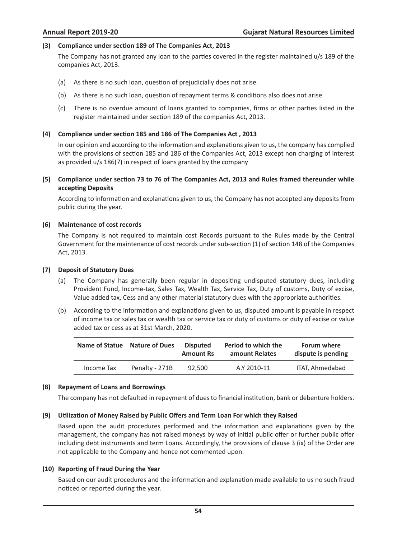#### **(3) Compliance under section 189 of The Companies Act, 2013**

The Company has not granted any loan to the parties covered in the register maintained u/s 189 of the companies Act, 2013.

- (a) As there is no such loan, question of prejudicially does not arise.
- (b) As there is no such loan, question of repayment terms & conditions also does not arise.
- (c) There is no overdue amount of loans granted to companies, firms or other parties listed in the register maintained under section 189 of the companies Act, 2013.

#### **(4) Compliance under section 185 and 186 of The Companies Act , 2013**

In our opinion and according to the information and explanations given to us, the company has complied with the provisions of section 185 and 186 of the Companies Act, 2013 except non charging of interest as provided u/s 186(7) in respect of loans granted by the company

**(5) Compliance under section 73 to 76 of The Companies Act, 2013 and Rules framed thereunder while accepting Deposits**

According to information and explanations given to us, the Company has not accepted any deposits from public during the year.

#### **(6) Maintenance of cost records**

The Company is not required to maintain cost Records pursuant to the Rules made by the Central Government for the maintenance of cost records under sub-section (1) of section 148 of the Companies Act, 2013.

#### **(7) Deposit of Statutory Dues**

- (a) The Company has generally been regular in depositing undisputed statutory dues, including Provident Fund, Income-tax, Sales Tax, Wealth Tax, Service Tax, Duty of customs, Duty of excise, Value added tax, Cess and any other material statutory dues with the appropriate authorities.
- (b) According to the information and explanations given to us, disputed amount is payable in respect of income tax or sales tax or wealth tax or service tax or duty of customs or duty of excise or value added tax or cess as at 31st March, 2020.

| Name of Statue Nature of Dues |                | <b>Disputed</b><br><b>Amount Rs</b> | Period to which the<br>amount Relates | Forum where<br>dispute is pending |
|-------------------------------|----------------|-------------------------------------|---------------------------------------|-----------------------------------|
| Income Tax                    | Penalty - 271B | 92.500                              | A.Y 2010-11                           | ITAT, Ahmedabad                   |

#### **(8) Repayment of Loans and Borrowings**

The company has not defaulted in repayment of dues to financial institution, bank or debenture holders.

#### **(9) Utilization of Money Raised by Public Offers and Term Loan For which they Raised**

Based upon the audit procedures performed and the information and explanations given by the management, the company has not raised moneys by way of initial public offer or further public offer including debt instruments and term Loans. Accordingly, the provisions of clause 3 (ix) of the Order are not applicable to the Company and hence not commented upon.

#### **(10) Reporting of Fraud During the Year**

Based on our audit procedures and the information and explanation made available to us no such fraud noticed or reported during the year.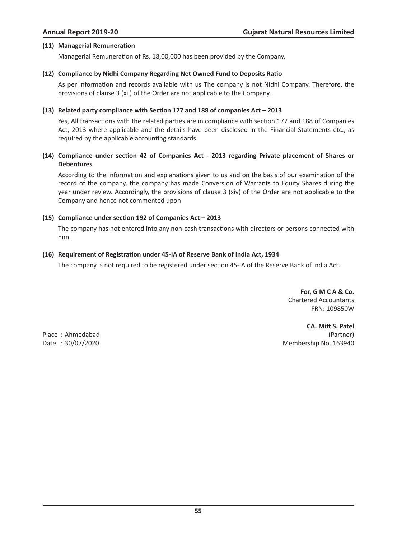#### **(11) Managerial Remuneration**

Managerial Remuneration of Rs. 18,00,000 has been provided by the Company.

#### **(12) Compliance by Nidhi Company Regarding Net Owned Fund to Deposits Ratio**

As per information and records available with us The company is not Nidhi Company. Therefore, the provisions of clause 3 (xii) of the Order are not applicable to the Company.

#### **(13) Related party compliance with Section 177 and 188 of companies Act – 2013**

Yes, All transactions with the related parties are in compliance with section 177 and 188 of Companies Act, 2013 where applicable and the details have been disclosed in the Financial Statements etc., as required by the applicable accounting standards.

#### **(14) Compliance under section 42 of Companies Act - 2013 regarding Private placement of Shares or Debentures**

According to the information and explanations given to us and on the basis of our examination of the record of the company, the company has made Conversion of Warrants to Equity Shares during the year under review. Accordingly, the provisions of clause 3 (xiv) of the Order are not applicable to the Company and hence not commented upon

#### **(15) Compliance under section 192 of Companies Act – 2013**

The company has not entered into any non-cash transactions with directors or persons connected with him.

#### **(16) Requirement of Registration under 45-IA of Reserve Bank of India Act, 1934**

The company is not required to be registered under section 45-IA of the Reserve Bank of lndia Act.

**For, G M C A & Co.** Chartered Accountants FRN: 109850W

**CA. Mitt S. Patel** Place : Ahmedabad (Partner) Date : 30/07/2020 Membership No. 163940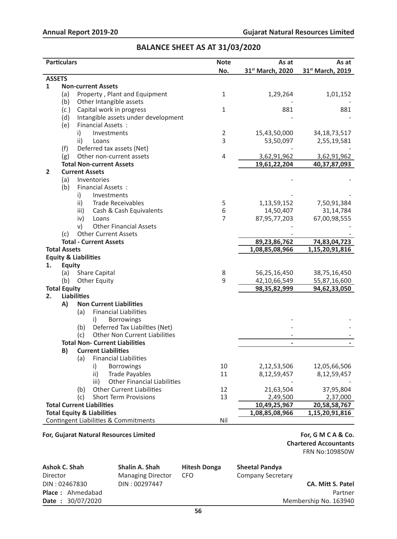## **BALANCE SHEET AS AT 31/03/2020**

| <b>Particulars</b>  |                     |                                                  | <b>Note</b>    | As at            | As at            |
|---------------------|---------------------|--------------------------------------------------|----------------|------------------|------------------|
|                     |                     |                                                  | No.            | 31st March, 2020 | 31st March, 2019 |
| <b>ASSETS</b>       |                     |                                                  |                |                  |                  |
| 1                   |                     | <b>Non-current Assets</b>                        |                |                  |                  |
|                     | (a)                 | Property, Plant and Equipment                    | 1              | 1,29,264         | 1,01,152         |
|                     | (b)                 | Other Intangible assets                          |                |                  |                  |
|                     | (c)                 | Capital work in progress                         | $\mathbf{1}$   | 881              | 881              |
|                     | (d)                 | Intangible assets under development              |                |                  |                  |
|                     | (e)                 | Financial Assets:                                |                |                  |                  |
|                     |                     | i)<br>Investments                                | $\overline{2}$ | 15,43,50,000     | 34, 18, 73, 517  |
|                     |                     | ii)<br>Loans                                     | 3              | 53,50,097        | 2,55,19,581      |
|                     | (f)                 | Deferred tax assets (Net)                        |                |                  |                  |
|                     | (g)                 | Other non-current assets                         | $\overline{4}$ | 3,62,91,962      | 3,62,91,962      |
|                     |                     | <b>Total Non-current Assets</b>                  |                | 19,61,22,204     | 40,37,87,093     |
| $\overline{2}$      |                     | <b>Current Assets</b>                            |                |                  |                  |
|                     | (a)                 | Inventories                                      |                |                  |                  |
|                     | (b)                 | <b>Financial Assets:</b>                         |                |                  |                  |
|                     |                     | i)<br>Investments                                |                |                  |                  |
|                     |                     | <b>Trade Receivables</b><br>ii)                  | 5              | 1,13,59,152      | 7,50,91,384      |
|                     |                     | Cash & Cash Equivalents<br>iii)                  | 6              | 14,50,407        | 31,14,784        |
|                     |                     | iv)<br>Loans                                     | $\overline{7}$ | 87,95,77,203     | 67,00,98,555     |
|                     |                     | <b>Other Financial Assets</b><br>v)              |                |                  |                  |
|                     | (c)                 | <b>Other Current Assets</b>                      |                |                  |                  |
|                     |                     | <b>Total - Current Assets</b>                    |                | 89,23,86,762     | 74,83,04,723     |
| <b>Total Assets</b> |                     |                                                  | 1,08,85,08,966 | 1,15,20,91,816   |                  |
|                     |                     | <b>Equity &amp; Liabilities</b>                  |                |                  |                  |
| 1.                  | Equity              |                                                  |                |                  |                  |
|                     | (a)                 | <b>Share Capital</b>                             | 8              | 56,25,16,450     | 38,75,16,450     |
|                     | (b)                 | Other Equity                                     | 9              | 42,10,66,549     | 55,87,16,600     |
|                     | <b>Total Equity</b> |                                                  |                | 98,35,82,999     | 94,62,33,050     |
| 2.                  |                     | <b>Liabilities</b>                               |                |                  |                  |
|                     | A)                  | <b>Non Current Liabilities</b>                   |                |                  |                  |
|                     |                     | <b>Financial Liabilities</b><br>(a)              |                |                  |                  |
|                     |                     | <b>Borrowings</b><br>i)                          |                |                  |                  |
|                     |                     | Deferred Tax Liabilties (Net)<br>(b)             |                |                  |                  |
|                     |                     | <b>Other Non Current Liabilities</b><br>(c)      |                |                  |                  |
|                     |                     | <b>Total Non- Current Liabilities</b>            |                | L,               |                  |
|                     | B)                  | <b>Current Liabilities</b>                       |                |                  |                  |
|                     |                     | <b>Financial Liabilities</b>                     |                |                  |                  |
|                     |                     | (a)                                              | 10             |                  |                  |
|                     |                     | i)<br><b>Borrowings</b><br><b>Trade Payables</b> | 11             | 2,12,53,506      | 12,05,66,506     |
|                     |                     | ii)                                              |                | 8,12,59,457      | 8,12,59,457      |
|                     |                     | <b>Other Financial Liabilities</b><br>iii)       |                |                  |                  |
|                     |                     | <b>Other Current Liabilities</b><br>(b)          | 12             | 21,63,504        | 37,95,804        |
|                     |                     | (c)<br><b>Short Term Provisions</b>              | 13             | 2,49,500         | 2,37,000         |
|                     |                     | <b>Total Current Liabilities</b>                 |                | 10,49,25,967     | 20,58,58,767     |
|                     |                     | <b>Total Equity &amp; Liabilities</b>            |                | 1,08,85,08,966   | 1,15,20,91,816   |
|                     |                     | Contingent Liabilities & Commitments             | Nil            |                  |                  |

#### **For, Gujarat Natural Resources Limited For, G M C A & Co.**

 **Chartered Accountants** FRN No:109850W

| Ashok C. Shah           | Shalin A. Shah           | <b>Hitesh Donga</b> | <b>Sheetal Pandya</b>    |
|-------------------------|--------------------------|---------------------|--------------------------|
| Director                | <b>Managing Director</b> | CFO.                | Company Secretary        |
| DIN: 02467830           | DIN: 00297447            |                     | <b>CA. Mitt S. Patel</b> |
| <b>Place:</b> Ahmedabad |                          |                     | Partner                  |
| <b>Date: 30/07/2020</b> |                          |                     | Membership No. 163940    |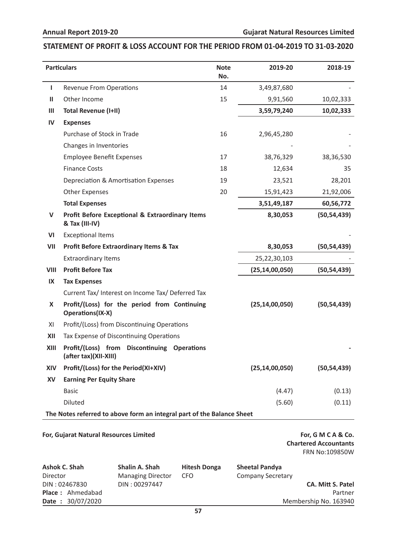## **STATEMENT OF PROFIT & LOSS ACCOUNT FOR THE PERIOD FROM 01-04-2019 TO 31-03-2020**

|                | <b>Particulars</b>                                                     | <b>Note</b> | 2019-20           | 2018-19       |
|----------------|------------------------------------------------------------------------|-------------|-------------------|---------------|
|                |                                                                        | No.         |                   |               |
| L              | <b>Revenue From Operations</b>                                         | 14          | 3,49,87,680       |               |
| Ш              | Other Income                                                           | 15          | 9,91,560          | 10,02,333     |
| $\mathbf{III}$ | Total Revenue (I+II)                                                   |             | 3,59,79,240       | 10,02,333     |
| IV             | <b>Expenses</b>                                                        |             |                   |               |
|                | Purchase of Stock in Trade                                             | 16          | 2,96,45,280       |               |
|                | Changes in Inventories                                                 |             |                   |               |
|                | <b>Employee Benefit Expenses</b>                                       | 17          | 38,76,329         | 38,36,530     |
|                | <b>Finance Costs</b>                                                   | 18          | 12,634            | 35            |
|                | Depreciation & Amortisation Expenses                                   | 19          | 23,521            | 28,201        |
|                | Other Expenses                                                         | 20          | 15,91,423         | 21,92,006     |
|                | <b>Total Expenses</b>                                                  |             | 3,51,49,187       | 60,56,772     |
| v              | Profit Before Exceptional & Extraordinary Items<br>& Tax (III-IV)      |             | 8,30,053          | (50, 54, 439) |
| VI             | <b>Exceptional Items</b>                                               |             |                   |               |
| VII            | Profit Before Extraordinary Items & Tax                                |             | 8,30,053          | (50, 54, 439) |
|                | <b>Extraordinary Items</b>                                             |             | 25,22,30,103      |               |
| <b>VIII</b>    | <b>Profit Before Tax</b>                                               |             | (25, 14, 00, 050) | (50, 54, 439) |
| IX             | <b>Tax Expenses</b>                                                    |             |                   |               |
|                | Current Tax/ Interest on Income Tax/ Deferred Tax                      |             |                   |               |
| X              | Profit/(Loss) for the period from Continuing<br>Operations(IX-X)       |             | (25, 14, 00, 050) | (50, 54, 439) |
| XI             | Profit/(Loss) from Discontinuing Operations                            |             |                   |               |
| XII            | Tax Expense of Discontinuing Operations                                |             |                   |               |
| XIII           | Profit/(Loss) from Discontinuing Operations<br>(after tax)(XII-XIII)   |             |                   |               |
| <b>XIV</b>     | Profit/(Loss) for the Period(XI+XIV)                                   |             | (25, 14, 00, 050) | (50, 54, 439) |
| XV             | <b>Earning Per Equity Share</b>                                        |             |                   |               |
|                | <b>Basic</b>                                                           |             | (4.47)            | (0.13)        |
|                | <b>Diluted</b>                                                         |             | (5.60)            | (0.11)        |
|                | The Notes referred to above form an integral part of the Balance Sheet |             |                   |               |

#### **For, Gujarat Natural Resources Limited For, G M C A & Co.**

# **Chartered Accountants** FRN No:109850W

| Ashok C. Shah           | Shalin A. Shah           | <b>Hitesh Donga</b> | <b>Sheetal Pandya</b>    |
|-------------------------|--------------------------|---------------------|--------------------------|
| Director                | <b>Managing Director</b> | CFO                 | <b>Company Secretary</b> |
| DIN: 02467830           | DIN: 00297447            |                     | <b>CA. Mitt S. Patel</b> |
| <b>Place:</b> Ahmedabad |                          |                     | Partner                  |
| <b>Date: 30/07/2020</b> |                          |                     | Membership No. 163940    |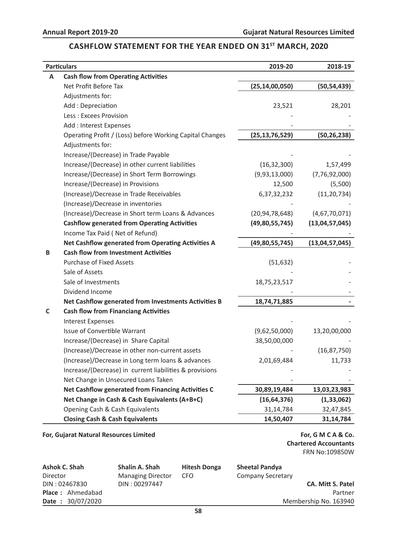## **CASHFLOW STATEMENT FOR THE YEAR ENDED ON 31ST MARCH, 2020**

|   | <b>Particulars</b>                                       | 2019-20           | 2018-19          |
|---|----------------------------------------------------------|-------------------|------------------|
| A | <b>Cash flow from Operating Activities</b>               |                   |                  |
|   | Net Profit Before Tax                                    | (25, 14, 00, 050) | (50, 54, 439)    |
|   | Adjustments for:                                         |                   |                  |
|   | Add: Depreciation                                        | 23,521            | 28,201           |
|   | Less: Excees Provision                                   |                   |                  |
|   | Add: Interest Expenses                                   |                   |                  |
|   | Operating Profit / (Loss) before Working Capital Changes | (25, 13, 76, 529) | (50, 26, 238)    |
|   | Adjustments for:                                         |                   |                  |
|   | Increase/(Decrease) in Trade Payable                     |                   |                  |
|   | Increase/(Decrease) in other current liabilities         | (16, 32, 300)     | 1,57,499         |
|   | Increase/(Decrease) in Short Term Borrowings             | (9,93,13,000)     | (7, 76, 92, 000) |
|   | Increase/(Decrease) in Provisions                        | 12,500            | (5,500)          |
|   | (Increase)/Decrease in Trade Receivables                 | 6,37,32,232       | (11, 20, 734)    |
|   | (Increase)/Decrease in inventories                       |                   |                  |
|   | (Increase)/Decrease in Short term Loans & Advances       | (20, 94, 78, 648) | (4,67,70,071)    |
|   | <b>Cashflow generated from Operating Activities</b>      | (49, 80, 55, 745) | (13,04,57,045)   |
|   | Income Tax Paid (Net of Refund)                          |                   |                  |
|   | Net Cashflow generated from Operating Activities A       | (49,80,55,745)    | (13,04,57,045)   |
| В | <b>Cash flow from Investment Activities</b>              |                   |                  |
|   | <b>Purchase of Fixed Assets</b>                          | (51, 632)         |                  |
|   | Sale of Assets                                           |                   |                  |
|   | Sale of Investments                                      | 18,75,23,517      |                  |
|   | Dividend Income                                          |                   |                  |
|   | Net Cashflow generated from Investments Activities B     | 18,74,71,885      |                  |
| C | <b>Cash flow from Financiang Activities</b>              |                   |                  |
|   | <b>Interest Expenses</b>                                 |                   |                  |
|   | <b>Issue of Convertible Warrant</b>                      | (9,62,50,000)     | 13,20,00,000     |
|   | Increase/(Decrease) in Share Capital                     | 38,50,00,000      |                  |
|   | (Increase)/Decrease in other non-current assets          |                   | (16, 87, 750)    |
|   | (Increase)/Decrease in Long term loans & advances        | 2,01,69,484       | 11,733           |
|   | Increase/(Decrease) in current liabilities & provisions  |                   |                  |
|   | Net Change in Unsecured Loans Taken                      |                   |                  |
|   | Net Cashflow generated from Financing Activities C       | 30,89,19,484      | 13,03,23,983     |
|   | Net Change in Cash & Cash Equivalents (A+B+C)            | (16, 64, 376)     | (1, 33, 062)     |
|   | Opening Cash & Cash Equivalents                          | 31,14,784         | 32,47,845        |
|   | <b>Closing Cash &amp; Cash Equivalents</b>               | 14,50,407         | 31, 14, 784      |

#### **For, Gujarat Natural Resources Limited For, G M C A & Co.**

 **Chartered Accountants** FRN No:109850W

Director Managing Director CFO Company Secretary **Date :** 30/07/2020 Membership No. 163940

**Ashok C. Shah Shalin A. Shah Hitesh Donga Sheetal Pandya**

DIN : 02467830 DIN : 00297447 **CA. Mitt S. Patel Place :** Ahmedabad Partner **Place Partner**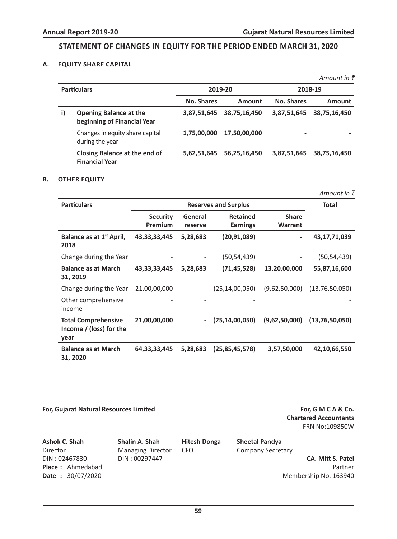## **STATEMENT OF CHANGES IN EQUITY FOR THE PERIOD ENDED MARCH 31, 2020**

## **A. EQUITY SHARE CAPITAL**

|    |                                                              |             |              |                | Amount in $\bar{\tau}$ |
|----|--------------------------------------------------------------|-------------|--------------|----------------|------------------------|
|    | <b>Particulars</b>                                           |             | 2019-20      | 2018-19        |                        |
|    |                                                              | No. Shares  | Amount       | No. Shares     | Amount                 |
| i) | <b>Opening Balance at the</b><br>beginning of Financial Year | 3,87,51,645 | 38,75,16,450 | 3,87,51,645    | 38,75,16,450           |
|    | Changes in equity share capital<br>during the year           | 1,75,00,000 | 17,50,00,000 | $\overline{a}$ |                        |
|    | Closing Balance at the end of<br><b>Financial Year</b>       | 5,62,51,645 | 56,25,16,450 | 3,87,51,645    | 38,75,16,450           |

#### **B. OTHER EQUITY**

Amount in  $\bar{z}$ 

| <b>Particulars</b>                                            |                            |                    | <b>Reserves and Surplus</b>        |                                | Total             |
|---------------------------------------------------------------|----------------------------|--------------------|------------------------------------|--------------------------------|-------------------|
|                                                               | <b>Security</b><br>Premium | General<br>reserve | <b>Retained</b><br><b>Earnings</b> | <b>Share</b><br><b>Warrant</b> |                   |
| Balance as at 1 <sup>st</sup> April,<br>2018                  | 43,33,33,445               | 5,28,683           | (20,91,089)                        |                                | 43,17,71,039      |
| Change during the Year                                        |                            |                    | (50,54,439)                        |                                | (50,54,439)       |
| <b>Balance as at March</b><br>31, 2019                        | 43,33,33,445               | 5,28,683           | (71,45,528)                        | 13,20,00,000                   | 55,87,16,600      |
| Change during the Year                                        | 21,00,00,000               |                    | (25, 14, 00, 050)                  | (9,62,50,000)                  | (13, 76, 50, 050) |
| Other comprehensive<br>income                                 |                            |                    |                                    |                                |                   |
| <b>Total Comprehensive</b><br>Income / (loss) for the<br>year | 21,00,00,000               |                    | (25, 14, 00, 050)                  | (9,62,50,000)                  | (13,76,50,050)    |
| <b>Balance as at March</b><br>31, 2020                        | 64,33,33,445               | 5,28,683           | (25, 85, 45, 578)                  | 3,57,50,000                    | 42,10,66,550      |

#### **For, Gujarat Natural Resources Limited For, G M C A & Co.**

 **Chartered Accountants** FRN No:109850W

**Ashok C. Shah Shalin A. Shah Hitesh Donga Sheetal Pandya** Director **Managing Director** CFO Company Secretary

DIN : 02467830 DIN : 00297447 **CA. Mitt S. Patel Place :** Ahmedabad Partner **Date :** 30/07/2020 **Place :** 830/07/2020 Membership No. 163940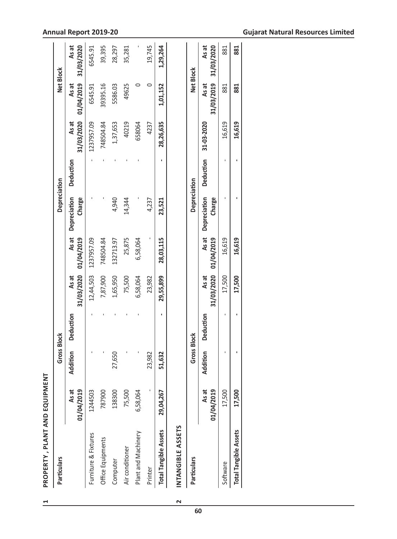| Particulars                  |                      | <b>Gross Block</b> |           |           |                                | Depreciation           |           |                     | Net Block                      |                     |
|------------------------------|----------------------|--------------------|-----------|-----------|--------------------------------|------------------------|-----------|---------------------|--------------------------------|---------------------|
|                              | 01/04/2019<br>As at  | Addition           | Deduction | As at     | As at<br>31/03/2020 01/04/2019 | Depreciation<br>Charge | Deduction | 31/03/2020<br>As at | 01/04/2019<br>As at            | As at<br>31/03/2020 |
| Furniture & Fixtures         | 1244503              |                    |           | 12,44,503 | 1237957.09                     |                        |           | 1237957.09          | 6545.91                        | 6545.91             |
| Office Equipments            | 787900               |                    |           | 7,87,900  | 748504.84                      |                        |           | 748504.84           | 39395.16                       | 39,395              |
| Computer                     | 138300               | 27,650             |           | 1,65,950  | 132713.97                      | 4,940                  |           | 1,37,653            | 5586.03                        | 28,297              |
| Air conditioner              | 75,500               |                    |           | 75,500    | 25,875                         | 14,344                 |           | 40219               | 49625                          | 35,281              |
| Plant and Machinery          | 6,58,064             |                    |           | 6,58,064  | 6,58,064                       |                        |           | 658064              |                                |                     |
| Printer                      | f                    | 23,982             |           | 23,982    |                                | 4,237                  |           | 4237                | 0                              | 19,745              |
| <b>Total Tangible Assets</b> | 29,04,267            | 51,632             |           | 29,55,899 | 28,03,115                      | 23,521                 |           | 28,26,635           | 1,01,152                       | 1,29,264            |
| INTANGIBLE ASSETS            |                      |                    |           |           |                                |                        |           |                     |                                |                     |
| Particulars                  |                      | Gross Block        |           |           |                                | Depreciation           |           |                     | Net Block                      |                     |
|                              | 01/04/2019<br>ᄫ<br>ä | Addition           | Deduction | As at     | As at<br>31/03/2020 01/04/2019 | Depreciation<br>Charge | Deduction | 31-03-2020          | 31/03/2019 31/03/2020<br>As at | As at               |
| Software                     | 17,500               |                    |           | 17,500    | 16,619                         |                        |           | 16,619              | 881                            | 881                 |

**1**

## **Gujarat Natural Resources Limited**

**Total Tangible Assets 17,500 - - 17,500 16,619 - - 16,619 881 881** 

17,500

 $\bar{1}$ 

 $\bar{1}$ 

17,500

**Total Tangible Assets** 

16,619

881

16,619

 $\bar{\phantom{a}}$ 

l,

**2**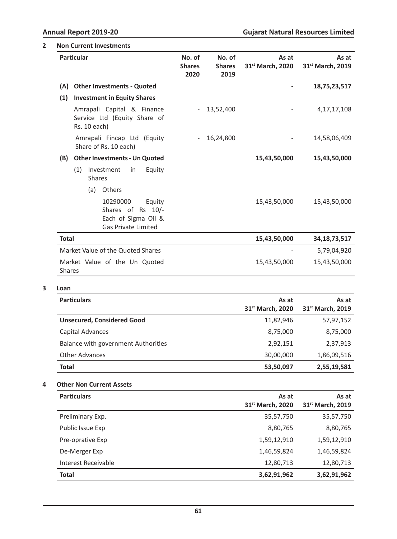|               | <b>Particular</b>                                                                            | No. of<br><b>Shares</b><br>2020 | No. of<br><b>Shares</b><br>2019 | As at<br>31 <sup>st</sup> March, 2020 | As at<br>31 <sup>st</sup> March, 2019 |
|---------------|----------------------------------------------------------------------------------------------|---------------------------------|---------------------------------|---------------------------------------|---------------------------------------|
| (A)           | <b>Other Investments - Quoted</b>                                                            |                                 |                                 |                                       | 18,75,23,517                          |
| (1)           | <b>Investment in Equity Shares</b>                                                           |                                 |                                 |                                       |                                       |
|               | Amrapali Capital & Finance<br>Service Ltd (Equity Share of<br>Rs. 10 each)                   |                                 | 13,52,400                       |                                       | 4, 17, 17, 108                        |
|               | Amrapali Fincap Ltd (Equity<br>Share of Rs. 10 each)                                         |                                 | 16,24,800                       |                                       | 14,58,06,409                          |
| (B)           | <b>Other Investments - Un Quoted</b>                                                         |                                 |                                 | 15,43,50,000                          | 15,43,50,000                          |
|               | Investment<br>Equity<br>(1)<br>in<br><b>Shares</b>                                           |                                 |                                 |                                       |                                       |
|               | (a)<br>Others                                                                                |                                 |                                 |                                       |                                       |
|               | 10290000<br>Equity<br>Shares of Rs 10/-<br>Each of Sigma Oil &<br><b>Gas Private Limited</b> |                                 |                                 | 15,43,50,000                          | 15,43,50,000                          |
| <b>Total</b>  |                                                                                              |                                 |                                 | 15,43,50,000                          | 34, 18, 73, 517                       |
|               | Market Value of the Quoted Shares                                                            |                                 |                                 |                                       | 5,79,04,920                           |
| <b>Shares</b> | Market Value of the Un Quoted                                                                |                                 |                                 | 15,43,50,000                          | 15,43,50,000                          |

### **3 Loan**

| <b>Particulars</b>                  | As at                        | As at            |
|-------------------------------------|------------------------------|------------------|
|                                     | 31 <sup>st</sup> March, 2020 | 31st March, 2019 |
| <b>Unsecured, Considered Good</b>   | 11,82,946                    | 57,97,152        |
| Capital Advances                    | 8,75,000                     | 8,75,000         |
| Balance with government Authorities | 2,92,151                     | 2,37,913         |
| <b>Other Advances</b>               | 30,00,000                    | 1,86,09,516      |
| Total                               | 53,50,097                    | 2,55,19,581      |

### **4 Other Non Current Assets**

| <b>Particulars</b>  | As at<br>31 <sup>st</sup> March, 2020 | As at<br>31 <sup>st</sup> March, 2019 |
|---------------------|---------------------------------------|---------------------------------------|
| Preliminary Exp.    | 35,57,750                             | 35,57,750                             |
| Public Issue Exp    | 8,80,765                              | 8,80,765                              |
| Pre-oprative Exp    | 1,59,12,910                           | 1,59,12,910                           |
| De-Merger Exp       | 1,46,59,824                           | 1,46,59,824                           |
| Interest Receivable | 12,80,713                             | 12,80,713                             |
| <b>Total</b>        | 3,62,91,962                           | 3,62,91,962                           |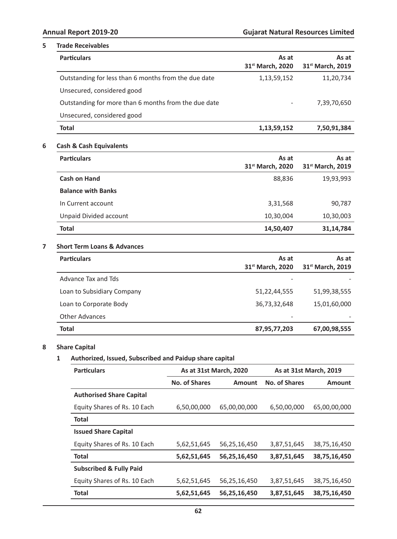#### **5 Trade Receivables**

| <b>Particulars</b>                                   | As at<br>31st March, 2020             | As at<br>31st March, 2019 |
|------------------------------------------------------|---------------------------------------|---------------------------|
| Outstanding for less than 6 months from the due date | 1,13,59,152                           | 11,20,734                 |
| Unsecured, considered good                           |                                       |                           |
| Outstanding for more than 6 months from the due date |                                       | 7,39,70,650               |
| Unsecured, considered good                           |                                       |                           |
| Total                                                | 1,13,59,152                           | 7,50,91,384               |
| <b>Cash &amp; Cash Equivalents</b>                   |                                       |                           |
| <b>Particulars</b>                                   | As at<br>31st March, 2020             | As at<br>31st March, 2019 |
| <b>Cash on Hand</b>                                  | 88,836                                | 19,93,993                 |
| <b>Balance with Banks</b>                            |                                       |                           |
| In Current account                                   | 3,31,568                              | 90,787                    |
| <b>Unpaid Divided account</b>                        | 10,30,004                             | 10,30,003                 |
| <b>Total</b>                                         | 14,50,407                             | 31, 14, 784               |
| <b>Short Term Loans &amp; Advances</b>               |                                       |                           |
| <b>Particulars</b>                                   | As at<br>31 <sup>st</sup> March, 2020 | As at<br>31st March, 2019 |
| <b>Advance Tax and Tds</b>                           |                                       |                           |
| Loan to Subsidiary Company                           | 51,22,44,555                          | 51,99,38,555              |
| Loan to Corporate Body                               | 36,73,32,648                          | 15,01,60,000              |
| <b>Other Advances</b>                                |                                       |                           |
|                                                      | 87,95,77,203                          | 67,00,98,555              |

| <b>Particulars</b>                 |                      | As at 31st March, 2020 |               | As at 31st March, 2019 |  |
|------------------------------------|----------------------|------------------------|---------------|------------------------|--|
|                                    | <b>No. of Shares</b> | <b>Amount</b>          | No. of Shares | Amount                 |  |
| <b>Authorised Share Capital</b>    |                      |                        |               |                        |  |
| Equity Shares of Rs. 10 Each       | 6,50,00,000          | 65,00,00,000           | 6,50,00,000   | 65,00,00,000           |  |
| Total                              |                      |                        |               |                        |  |
| <b>Issued Share Capital</b>        |                      |                        |               |                        |  |
| Equity Shares of Rs. 10 Each       | 5,62,51,645          | 56,25,16,450           | 3,87,51,645   | 38,75,16,450           |  |
| Total                              | 5,62,51,645          | 56,25,16,450           | 3,87,51,645   | 38,75,16,450           |  |
| <b>Subscribed &amp; Fully Paid</b> |                      |                        |               |                        |  |
| Equity Shares of Rs. 10 Each       | 5,62,51,645          | 56,25,16,450           | 3,87,51,645   | 38,75,16,450           |  |
| <b>Total</b>                       | 5,62,51,645          | 56,25,16,450           | 3,87,51,645   | 38,75,16,450           |  |
|                                    | 62                   |                        |               |                        |  |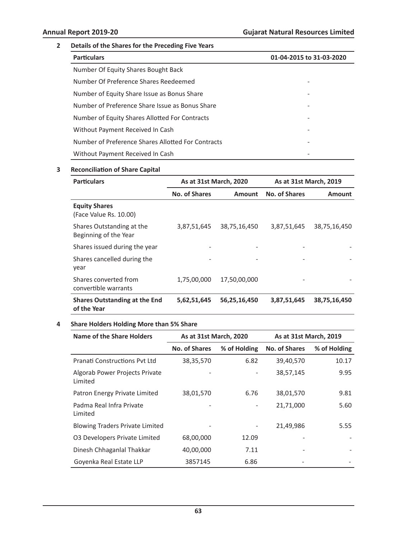## **2 Details of the Shares for the Preceding Five Years**

| <b>Particulars</b>                                 | 01-04-2015 to 31-03-2020 |
|----------------------------------------------------|--------------------------|
| Number Of Equity Shares Bought Back                |                          |
| Number Of Preference Shares Reedeemed              |                          |
| Number of Equity Share Issue as Bonus Share        |                          |
| Number of Preference Share Issue as Bonus Share    |                          |
| Number of Equity Shares Allotted For Contracts     |                          |
| Without Payment Received In Cash                   |                          |
| Number of Preference Shares Allotted For Contracts |                          |
| Without Payment Received In Cash                   |                          |

## **3 Reconciliation of Share Capital**

| <b>Particulars</b>                                 |               | As at 31st March, 2020<br>As at 31st March, 2019 |               |              |
|----------------------------------------------------|---------------|--------------------------------------------------|---------------|--------------|
|                                                    | No. of Shares | Amount                                           | No. of Shares | Amount       |
| <b>Equity Shares</b><br>(Face Value Rs. 10.00)     |               |                                                  |               |              |
| Shares Outstanding at the<br>Beginning of the Year | 3,87,51,645   | 38,75,16,450                                     | 3,87,51,645   | 38,75,16,450 |
| Shares issued during the year                      |               |                                                  |               |              |
| Shares cancelled during the<br>year                |               |                                                  |               |              |
| Shares converted from<br>convertible warrants      | 1,75,00,000   | 17,50,00,000                                     |               |              |
| Shares Outstanding at the End<br>of the Year       | 5,62,51,645   | 56,25,16,450                                     | 3,87,51,645   | 38,75,16,450 |

## **4 Share Holders Holding More than 5% Share**

| Name of the Share Holders                 | As at 31st March, 2020 |              | As at 31st March, 2019 |              |  |
|-------------------------------------------|------------------------|--------------|------------------------|--------------|--|
|                                           | No. of Shares          | % of Holding | No. of Shares          | % of Holding |  |
| Pranati Constructions Pyt Ltd             | 38,35,570              | 6.82         | 39,40,570              | 10.17        |  |
| Algorab Power Projects Private<br>Limited |                        |              | 38,57,145              | 9.95         |  |
| Patron Energy Private Limited             | 38,01,570              | 6.76         | 38,01,570              | 9.81         |  |
| Padma Real Infra Private<br>Limited       |                        |              | 21,71,000              | 5.60         |  |
| <b>Blowing Traders Private Limited</b>    |                        |              | 21,49,986              | 5.55         |  |
| O3 Developers Private Limited             | 68,00,000              | 12.09        |                        |              |  |
| Dinesh Chhaganlal Thakkar                 | 40,00,000              | 7.11         |                        |              |  |
| Govenka Real Estate LLP                   | 3857145                | 6.86         |                        |              |  |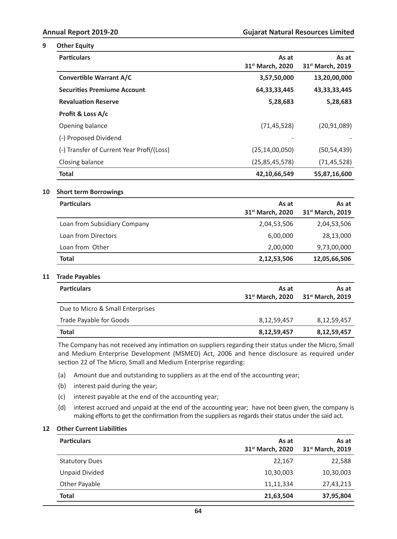**9 Other Equity**

| <b>Particulars</b>                        | As at                        | As at            |
|-------------------------------------------|------------------------------|------------------|
|                                           | 31 <sup>st</sup> March, 2020 | 31st March, 2019 |
| Convertible Warrant A/C                   | 3,57,50,000                  | 13,20,00,000     |
| <b>Securities Premiume Account</b>        | 64,33,33,445                 | 43, 33, 33, 445  |
| <b>Revaluation Reserve</b>                | 5,28,683                     | 5,28,683         |
| Profit & Loss A/c                         |                              |                  |
| Opening balance                           | (71, 45, 528)                | (20, 91, 089)    |
| (-) Proposed Dividend                     |                              |                  |
| (-) Transfer of Current Year Profi/(Loss) | (25, 14, 00, 050)            | (50,54,439)      |
| Closing balance                           | (25, 85, 45, 578)            | (71, 45, 528)    |
| <b>Total</b>                              | 42,10,66,549                 | 55,87,16,600     |

#### **10 Short term Borrowings**

| <b>Particulars</b>           | As at                        | As at                        |
|------------------------------|------------------------------|------------------------------|
|                              | 31 <sup>st</sup> March, 2020 | 31 <sup>st</sup> March, 2019 |
| Loan from Subsidiary Company | 2,04,53,506                  | 2,04,53,506                  |
| Loan from Directors          | 6,00,000                     | 28,13,000                    |
| Loan from Other              | 2,00,000                     | 9,73,00,000                  |
| <b>Total</b>                 | 2,12,53,506                  | 12,05,66,506                 |

#### **11 Trade Payables**

| <b>Particulars</b>               | As at<br>31 <sup>st</sup> March, 2020 | As at<br>31 <sup>st</sup> March, 2019 |
|----------------------------------|---------------------------------------|---------------------------------------|
| Due to Micro & Small Enterprises |                                       |                                       |
| Trade Payable for Goods          | 8,12,59,457                           | 8,12,59,457                           |
| <b>Total</b>                     | 8,12,59,457                           | 8,12,59,457                           |

The Company has not received any intimation on suppliers regarding their status under the Micro, Small and Medium Enterprise Development (MSMED) Act, 2006 and hence disclosure as required under section 22 of The Micro, Small and Medium Enterprise regarding:

- (a) Amount due and outstanding to suppliers as at the end of the accounting year;
- (b) interest paid during the year;
- (c) interest payable at the end of the accounting year;
- (d) interest accrued and unpaid at the end of the accounting year; have not been given, the company is making efforts to get the confirmation from the suppliers as regards their status under the said act.

#### **12 Other Current Liabilities**

| <b>Particulars</b>    | As at<br>31 <sup>st</sup> March, 2020 | As at<br>31 <sup>st</sup> March, 2019 |
|-----------------------|---------------------------------------|---------------------------------------|
| <b>Statutory Dues</b> | 22.167                                | 22,588                                |
| Unpaid Divided        | 10,30,003                             | 10,30,003                             |
| Other Payable         | 11,11,334                             | 27,43,213                             |
| <b>Total</b>          | 21,63,504                             | 37,95,804                             |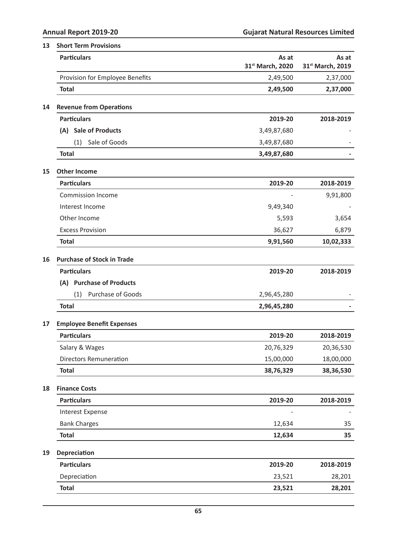| 13 | <b>Short Term Provisions</b>      |                           |                           |
|----|-----------------------------------|---------------------------|---------------------------|
|    | <b>Particulars</b>                | As at<br>31st March, 2020 | As at<br>31st March, 2019 |
|    | Provision for Employee Benefits   | 2,49,500                  | 2,37,000                  |
|    | Total                             | 2,49,500                  | 2,37,000                  |
| 14 | <b>Revenue from Operations</b>    |                           |                           |
|    | <b>Particulars</b>                | 2019-20                   | 2018-2019                 |
|    | (A) Sale of Products              | 3,49,87,680               |                           |
|    | Sale of Goods<br>(1)              | 3,49,87,680               |                           |
|    | Total                             | 3,49,87,680               |                           |
| 15 | <b>Other Income</b>               |                           |                           |
|    | <b>Particulars</b>                | 2019-20                   | 2018-2019                 |
|    | <b>Commission Income</b>          |                           | 9,91,800                  |
|    | Interest Income                   | 9,49,340                  |                           |
|    | Other Income                      | 5,593                     | 3,654                     |
|    | <b>Excess Provision</b>           | 36,627                    | 6,879                     |
|    | Total                             | 9,91,560                  | 10,02,333                 |
| 16 | <b>Purchase of Stock in Trade</b> |                           |                           |
|    | <b>Particulars</b>                | 2019-20                   | 2018-2019                 |
|    | (A) Purchase of Products          |                           |                           |
|    | <b>Purchase of Goods</b><br>(1)   | 2,96,45,280               |                           |
|    | Total                             | 2,96,45,280               |                           |
| 17 | <b>Employee Benefit Expenses</b>  |                           |                           |
|    | <b>Particulars</b>                | 2019-20                   | 2018-2019                 |
|    | Salary & Wages                    | 20,76,329                 | 20,36,530                 |
|    | <b>Directors Remuneration</b>     | 15,00,000                 | 18,00,000                 |
|    | Total                             | 38,76,329                 | 38,36,530                 |
| 18 | <b>Finance Costs</b>              |                           |                           |
|    | <b>Particulars</b>                | 2019-20                   | 2018-2019                 |
|    | <b>Interest Expense</b>           |                           |                           |
|    | <b>Bank Charges</b>               | 12,634                    | 35                        |
|    | <b>Total</b>                      | 12,634                    | 35                        |
| 19 | Depreciation                      |                           |                           |
|    | <b>Particulars</b>                | 2019-20                   | 2018-2019                 |
|    | Depreciation                      | 23,521                    | 28,201                    |
|    | <b>Total</b>                      | 23,521                    | 28,201                    |
|    |                                   |                           |                           |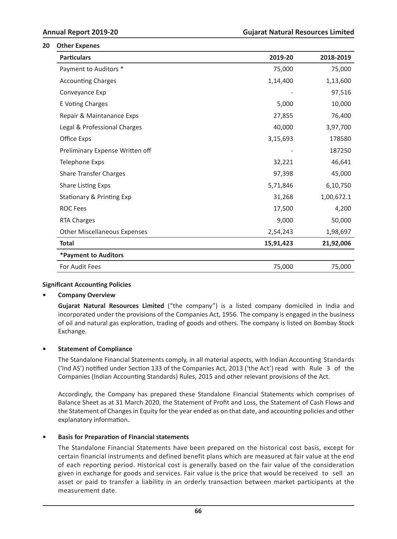# **20 Other Expenes Particulars 2019-20 2018-2019**  Payment to Auditors \* The Contract of the Contract of the Contract of the Contract of the Contract of the Contract of T5,000  $\sim$  75,000  $\sim$  75,000  $\sim$  75,000  $\sim$  75,000  $\sim$  75,000  $\sim$  75,000  $\sim$  75,000  $\sim$  75,000 Accounting Charges **1,14,400** 1,13,600 Conveyance Exp expression and the set of the set of the set of the set of the set of the set of the set of the set of the set of the set of the set of the set of the set of the set of the set of the set of the set of the s E Voting Charges 5,000 10,000 Repair & Maintanance Exps 27,855 27,855 76,400 Legal & Professional Charges 1996 1000 3,97,700 40,000 3,97,700 Office Exps 3,15,693 178580 Preliminary Expense Written off **187250** Telephone Exps 32,221 46,641 Share Transfer Charges 61 and the state of the state of the 97,398 45,000 Share Listing Exps 5,71,846 6,10,750 Stationary & Printing Exp 31,268 1,00,672.1 ROC Fees 17,500 4,200 RTA Charges **19,000** 50,000 50,000 50,000 50,000 50,000 50,000 50,000 50,000 50,000 50,000 50,000 50,000 50,000 50,000 50,000 50,000 50,000 50,000 50,000 50,000 50,000 50,000 50,000 50,000 50,000 50,000 50,000 50,000 50,00 Other Miscellaneous Expenses 2,54,243 1,98,697 **Total 15,91,423 21,92,006 \*Payment to Auditors** For Audit Fees 75,000 75,000

#### **Significant Accounting Policies**

#### **• Company Overview**

**Gujarat Natural Resources Limited** ("the company") is a listed company domiciled in India and incorporated under the provisions of the Companies Act, 1956. The company is engaged in the business of oil and natural gas exploration, trading of goods and others. The company is listed on Bombay Stock Exchange.

#### **• Statement of Compliance**

The Standalone Financial Statements comply, in all material aspects, with Indian Accounting Standards ('Ind AS') notified under Section 133 of the Companies Act, 2013 ('the Act') read with Rule 3 of the Companies (Indian Accounting Standards) Rules, 2015 and other relevant provisions of the Act.

Accordingly, the Company has prepared these Standalone Financial Statements which comprises of Balance Sheet as at 31 March 2020, the Statement of Profit and Loss, the Statement of Cash Flows and the Statement of Changes in Equity for the year ended as on that date, and accounting policies and other explanatory information.

#### **• Basis for Preparation of Financial statements**

The Standalone Financial Statements have been prepared on the historical cost basis, except for certain financial instruments and defined benefit plans which are measured at fair value at the end of each reporting period. Historical cost is generally based on the fair value of the consideration given in exchange for goods and services. Fair value is the price that would be received to sell an asset or paid to transfer a liability in an orderly transaction between market participants at the measurement date.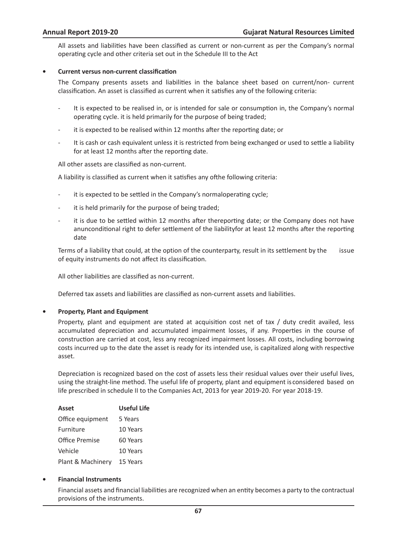All assets and liabilities have been classified as current or non-current as per the Company's normal operating cycle and other criteria set out in the Schedule III to the Act

#### **• Current versus non-current classification**

The Company presents assets and liabilities in the balance sheet based on current/non- current classification. An asset is classified as current when it satisfies any of the following criteria:

- It is expected to be realised in, or is intended for sale or consumption in, the Company's normal operating cycle. it is held primarily for the purpose of being traded;
- it is expected to be realised within 12 months after the reporting date; or
- It is cash or cash equivalent unless it is restricted from being exchanged or used to settle a liability for at least 12 months after the reporting date.

All other assets are classified as non-current.

A liability is classified as current when it satisfies any ofthe following criteria:

- it is expected to be settled in the Company's normaloperating cycle;
- it is held primarily for the purpose of being traded;
- it is due to be settled within 12 months after thereporting date; or the Company does not have anunconditional right to defer settlement of the liabilityfor at least 12 months after the reporting date

Terms of a liability that could, at the option of the counterparty, result in its settlement by the issue of equity instruments do not affect its classification.

All other liabilities are classified as non-current.

Deferred tax assets and liabilities are classified as non-current assets and liabilities.

#### **• Property, Plant and Equipment**

Property, plant and equipment are stated at acquisition cost net of tax / duty credit availed, less accumulated depreciation and accumulated impairment losses, if any. Properties in the course of construction are carried at cost, less any recognized impairment losses. All costs, including borrowing costs incurred up to the date the asset is ready for its intended use, is capitalized along with respective asset.

Depreciation is recognized based on the cost of assets less their residual values over their useful lives, using the straight-line method. The useful life of property, plant and equipment is considered based on life prescribed in schedule II to the Companies Act, 2013 for year 2019-20. For year 2018-19.

| Asset             | Useful Life |
|-------------------|-------------|
| Office equipment  | 5 Years     |
| Furniture         | 10 Years    |
| Office Premise    | 60 Years    |
| Vehicle           | 10 Years    |
| Plant & Machinery | 15 Years    |

#### **• Financial Instruments**

Financial assets and financial liabilities are recognized when an entity becomes a party to the contractual provisions of the instruments.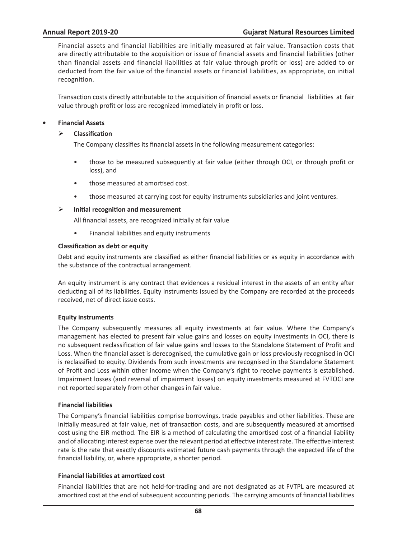#### **Gujarat Natural Resources Limited**

Financial assets and financial liabilities are initially measured at fair value. Transaction costs that are directly attributable to the acquisition or issue of financial assets and financial liabilities (other than financial assets and financial liabilities at fair value through profit or loss) are added to or deducted from the fair value of the financial assets or financial liabilities, as appropriate, on initial recognition.

Transaction costs directly attributable to the acquisition of financial assets or financial liabilities at fair value through profit or loss are recognized immediately in profit or loss.

#### **• Financial Assets**

#### **Classification**

The Company classifies its financial assets in the following measurement categories:

- those to be measured subsequently at fair value (either through OCI, or through profit or loss), and
- those measured at amortised cost.
- those measured at carrying cost for equity instruments subsidiaries and joint ventures.

#### **Initial recognition and measurement**

All financial assets, are recognized initially at fair value

• Financial liabilities and equity instruments

#### **Classification as debt or equity**

Debt and equity instruments are classified as either financial liabilities or as equity in accordance with the substance of the contractual arrangement.

An equity instrument is any contract that evidences a residual interest in the assets of an entity after deducting all of its liabilities. Equity instruments issued by the Company are recorded at the proceeds received, net of direct issue costs.

#### **Equity instruments**

The Company subsequently measures all equity investments at fair value. Where the Company's management has elected to present fair value gains and losses on equity investments in OCI, there is no subsequent reclassification of fair value gains and losses to the Standalone Statement of Profit and Loss. When the financial asset is derecognised, the cumulative gain or loss previously recognised in OCI is reclassified to equity. Dividends from such investments are recognised in the Standalone Statement of Profit and Loss within other income when the Company's right to receive payments is established. Impairment losses (and reversal of impairment losses) on equity investments measured at FVTOCI are not reported separately from other changes in fair value.

#### **Financial liabilities**

The Company's financial liabilities comprise borrowings, trade payables and other liabilities. These are initially measured at fair value, net of transaction costs, and are subsequently measured at amortised cost using the EIR method. The EIR is a method of calculating the amortised cost of a financial liability and of allocating interest expense over the relevant period at effective interest rate. The effective interest rate is the rate that exactly discounts estimated future cash payments through the expected life of the financial liability, or, where appropriate, a shorter period.

#### **Financial liabilities at amortized cost**

Financial liabilities that are not held-for-trading and are not designated as at FVTPL are measured at amortized cost at the end of subsequent accounting periods. The carrying amounts of financial liabilities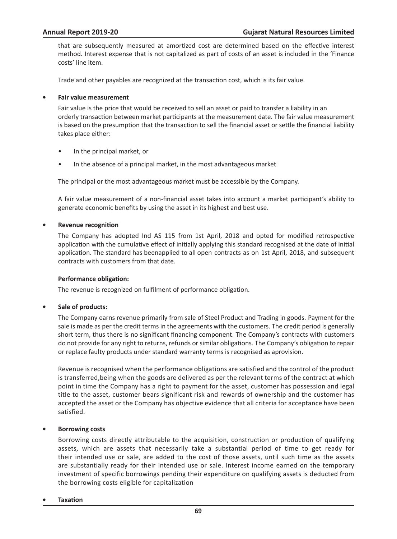that are subsequently measured at amortized cost are determined based on the effective interest method. Interest expense that is not capitalized as part of costs of an asset is included in the 'Finance costs' line item.

Trade and other payables are recognized at the transaction cost, which is its fair value.

#### **• Fair value measurement**

Fair value is the price that would be received to sell an asset or paid to transfer a liability in an orderly transaction between market participants at the measurement date. The fair value measurement is based on the presumption that the transaction to sell the financial asset or settle the financial liability takes place either:

- In the principal market, or
- In the absence of a principal market, in the most advantageous market

The principal or the most advantageous market must be accessible by the Company.

A fair value measurement of a non-financial asset takes into account a market participant's ability to generate economic benefits by using the asset in its highest and best use.

#### **• Revenue recognition**

The Company has adopted Ind AS 115 from 1st April, 2018 and opted for modified retrospective application with the cumulative effect of initially applying this standard recognised at the date of initial application. The standard has beenapplied to all open contracts as on 1st April, 2018, and subsequent contracts with customers from that date.

#### **Performance obligation:**

The revenue is recognized on fulfilment of performance obligation.

#### **• Sale of products:**

The Company earns revenue primarily from sale of Steel Product and Trading in goods. Payment for the sale is made as per the credit terms in the agreements with the customers. The credit period is generally short term, thus there is no significant financing component. The Company's contracts with customers do not provide for any right to returns, refunds or similar obligations. The Company's obligation to repair or replace faulty products under standard warranty terms is recognised as aprovision.

Revenue is recognised when the performance obligations are satisfied and the control of the product is transferred,being when the goods are delivered as per the relevant terms of the contract at which point in time the Company has a right to payment for the asset, customer has possession and legal title to the asset, customer bears significant risk and rewards of ownership and the customer has accepted the asset or the Company has objective evidence that all criteria for acceptance have been satisfied.

#### **• Borrowing costs**

Borrowing costs directly attributable to the acquisition, construction or production of qualifying assets, which are assets that necessarily take a substantial period of time to get ready for their intended use or sale, are added to the cost of those assets, until such time as the assets are substantially ready for their intended use or sale. Interest income earned on the temporary investment of specific borrowings pending their expenditure on qualifying assets is deducted from the borrowing costs eligible for capitalization

#### **• Taxation**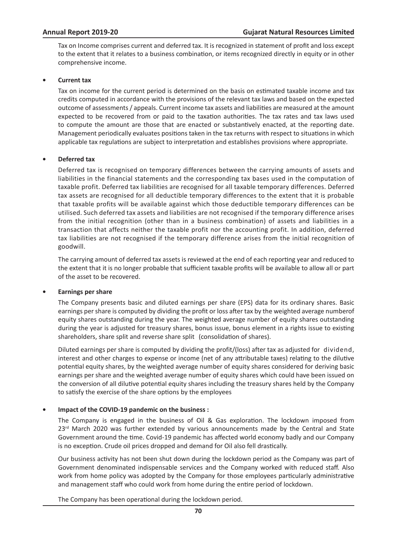Tax on Income comprises current and deferred tax. It is recognized in statement of profit and loss except to the extent that it relates to a business combination, or items recognized directly in equity or in other comprehensive income.

#### **• Current tax**

Tax on income for the current period is determined on the basis on estimated taxable income and tax credits computed in accordance with the provisions of the relevant tax laws and based on the expected outcome of assessments / appeals. Current income tax assets and liabilities are measured at the amount expected to be recovered from or paid to the taxation authorities. The tax rates and tax laws used to compute the amount are those that are enacted or substantively enacted, at the reporting date. Management periodically evaluates positions taken in the tax returns with respect to situations in which applicable tax regulations are subject to interpretation and establishes provisions where appropriate.

#### **• Deferred tax**

Deferred tax is recognised on temporary differences between the carrying amounts of assets and liabilities in the financial statements and the corresponding tax bases used in the computation of taxable profit. Deferred tax liabilities are recognised for all taxable temporary differences. Deferred tax assets are recognised for all deductible temporary differences to the extent that it is probable that taxable profits will be available against which those deductible temporary differences can be utilised. Such deferred tax assets and liabilities are not recognised if the temporary difference arises from the initial recognition (other than in a business combination) of assets and liabilities in a transaction that affects neither the taxable profit nor the accounting profit. In addition, deferred tax liabilities are not recognised if the temporary difference arises from the initial recognition of goodwill.

The carrying amount of deferred tax assets is reviewed at the end of each reporting year and reduced to the extent that it is no longer probable that sufficient taxable profits will be available to allow all or part of the asset to be recovered.

#### **• Earnings per share**

The Company presents basic and diluted earnings per share (EPS) data for its ordinary shares. Basic earnings per share is computed by dividing the profit or loss after tax by the weighted average numberof equity shares outstanding during the year. The weighted average number of equity shares outstanding during the year is adjusted for treasury shares, bonus issue, bonus element in a rights issue to existing shareholders, share split and reverse share split (consolidation of shares).

Diluted earnings per share is computed by dividing the profit/(loss) after tax as adjusted for dividend, interest and other charges to expense or income (net of any attributable taxes) relating to the dilutive potential equity shares, by the weighted average number of equity shares considered for deriving basic earnings per share and the weighted average number of equity shares which could have been issued on the conversion of all dilutive potential equity shares including the treasury shares held by the Company to satisfy the exercise of the share options by the employees

#### **• Impact of the COVID-19 pandemic on the business :**

The Company is engaged in the business of Oil & Gas exploration. The lockdown imposed from 23<sup>rd</sup> March 2020 was further extended by various announcements made by the Central and State Government around the time. Covid-19 pandemic has affected world economy badly and our Company is no exception. Crude oil prices dropped and demand for Oil also fell drastically.

Our business activity has not been shut down during the lockdown period as the Company was part of Government denominated indispensable services and the Company worked with reduced staff. Also work from home policy was adopted by the Company for those employees particularly administrative and management staff who could work from home during the entire period of lockdown.

The Company has been operational during the lockdown period.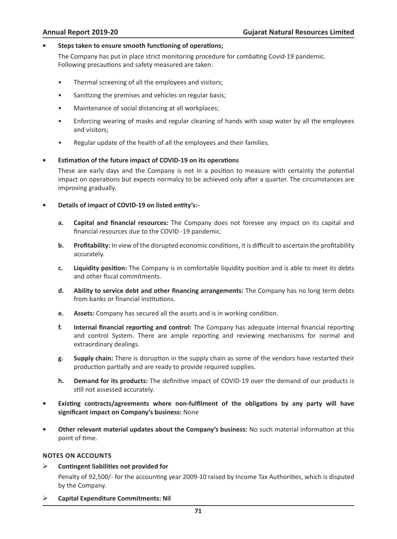#### **• Steps taken to ensure smooth functioning of operations;**

The Company has put in place strict monitoring procedure for combating Covid-19 pandemic. Following precautions and safety measured are taken:

- Thermal screening of all the employees and visitors;
- Sanitizing the premises and vehicles on regular basis;
- Maintenance of social distancing at all workplaces;
- Enforcing wearing of masks and regular cleaning of hands with soap water by all the employees and visitors;
- Regular update of the health of all the employees and their families.

#### **• Estimation of the future impact of COVID-19 on its operations**

These are early days and the Company is not in a position to measure with certainty the potential impact on operations but expects normalcy to be achieved only after a quarter. The circumstances are improving gradually.

#### **• Details of impact of COVID-19 on listed entity's:-**

- **a. Capital and financial resources:** The Company does not foresee any impact on its capital and financial resources due to the COVID -19 pandemic.
- **b. Profitability:** In view of the disrupted economic conditions, it is difficult to ascertain the profitability accurately.
- **c. Liquidity position:** The Company is in comfortable liquidity position and is able to meet its debts and other fiscal commitments.
- **d. Ability to service debt and other financing arrangements:** The Company has no long term debts from banks or financial institutions.
- **e. Assets:** Company has secured all the assets and is in working condition.
- **f. Internal financial reporting and control:** The Company has adequate internal financial reporting and control System. There are ample reporting and reviewing mechanisms for normal and extraordinary dealings.
- **g. Supply chain:** There is disruption in the supply chain as some of the vendors have restarted their production partially and are ready to provide required supplies.
- **h. Demand for its products:** The definitive impact of COVID-19 over the demand of our products is still not assessed accurately.
- **• Existing contracts/agreements where non-fulfilment of the obligations by any party will have significant impact on Company's business:** None
- **Other relevant material updates about the Company's business:** No such material information at this point of time.

#### **NOTES ON ACCOUNTS**

#### **Contingent liabilities not provided for**

Penalty of 92,500/- for the accounting year 2009-10 raised by Income Tax Authorities, which is disputed by the Company.

**Capital Expenditure Commitments: Nil**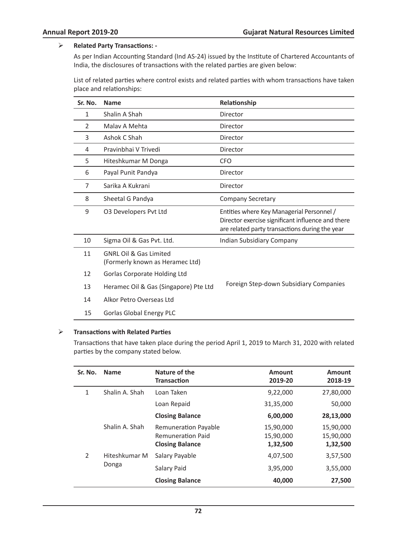# **Related Party Transactions: -**

As per Indian Accounting Standard (Ind AS-24) issued by the Institute of Chartered Accountants of India, the disclosures of transactions with the related parties are given below:

List of related parties where control exists and related parties with whom transactions have taken place and relationships:

| Sr. No.        | <b>Name</b>                                                          | Relationship                                                                                                                                     |
|----------------|----------------------------------------------------------------------|--------------------------------------------------------------------------------------------------------------------------------------------------|
| $\mathbf{1}$   | Shalin A Shah                                                        | Director                                                                                                                                         |
| $\overline{2}$ | Malay A Mehta                                                        | Director                                                                                                                                         |
| 3              | Ashok C Shah                                                         | Director                                                                                                                                         |
| 4              | Pravinbhai V Trivedi                                                 | Director                                                                                                                                         |
| 5              | Hiteshkumar M Donga                                                  | CFO                                                                                                                                              |
| 6              | Payal Punit Pandya                                                   | Director                                                                                                                                         |
| 7              | Sarika A Kukrani                                                     | Director                                                                                                                                         |
| 8              | Sheetal G Pandya                                                     | <b>Company Secretary</b>                                                                                                                         |
| 9              | O3 Developers Pvt Ltd                                                | Entities where Key Managerial Personnel /<br>Director exercise significant influence and there<br>are related party transactions during the year |
| 10             | Sigma Oil & Gas Pvt. Ltd.                                            | Indian Subsidiary Company                                                                                                                        |
| 11             | <b>GNRL Oil &amp; Gas Limited</b><br>(Formerly known as Heramec Ltd) |                                                                                                                                                  |
| 12             | Gorlas Corporate Holding Ltd                                         |                                                                                                                                                  |
| 13             | Heramec Oil & Gas (Singapore) Pte Ltd                                | Foreign Step-down Subsidiary Companies                                                                                                           |
| 14             | Alkor Petro Overseas Ltd                                             |                                                                                                                                                  |
| 15             | <b>Gorlas Global Energy PLC</b>                                      |                                                                                                                                                  |

#### **Transactions with Related Parties**

Transactions that have taken place during the period April 1, 2019 to March 31, 2020 with related parties by the company stated below.

| Sr. No.        | <b>Name</b>    | Nature of the<br><b>Transaction</b>                                               | Amount<br>2019-20                  | Amount<br>2018-19                  |
|----------------|----------------|-----------------------------------------------------------------------------------|------------------------------------|------------------------------------|
| $\mathbf{1}$   | Shalin A. Shah | Loan Taken                                                                        | 9,22,000                           | 27,80,000                          |
|                |                | Loan Repaid                                                                       | 31,35,000                          | 50,000                             |
|                |                | <b>Closing Balance</b>                                                            | 6,00,000                           | 28,13,000                          |
|                | Shalin A. Shah | <b>Remuneration Payable</b><br><b>Remuneration Paid</b><br><b>Closing Balance</b> | 15,90,000<br>15,90,000<br>1,32,500 | 15,90,000<br>15,90,000<br>1,32,500 |
| $\mathfrak{D}$ | Hiteshkumar M  | Salary Payable                                                                    | 4,07,500                           | 3,57,500                           |
|                | Donga          | Salary Paid                                                                       | 3,95,000                           | 3,55,000                           |
|                |                | <b>Closing Balance</b>                                                            | 40,000                             | 27,500                             |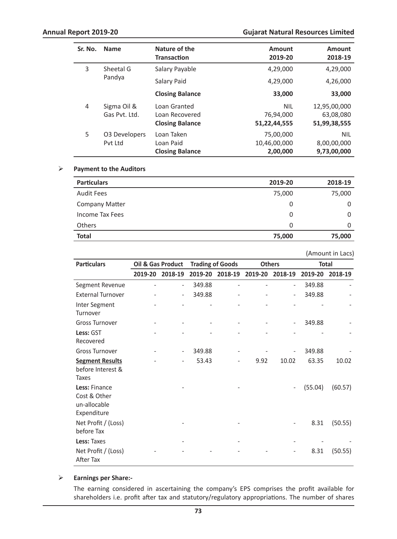| Sr. No. | <b>Name</b>                  | Nature of the<br><b>Transaction</b>                      | Amount<br>2019-20                       | Amount<br>2018-19                         |
|---------|------------------------------|----------------------------------------------------------|-----------------------------------------|-------------------------------------------|
| 3       | Sheetal G                    | Salary Payable                                           | 4,29,000                                | 4,29,000                                  |
|         | Pandya                       | Salary Paid                                              | 4,29,000                                | 4,26,000                                  |
|         |                              | <b>Closing Balance</b>                                   | 33,000                                  | 33,000                                    |
| 4       | Sigma Oil &<br>Gas Pyt. Ltd. | Loan Granted<br>Loan Recovered<br><b>Closing Balance</b> | <b>NIL</b><br>76,94,000<br>51,22,44,555 | 12,95,00,000<br>63,08,080<br>51,99,38,555 |
| 5       | O3 Developers<br>Pvt Ltd     | Loan Taken<br>Loan Paid<br><b>Closing Balance</b>        | 75,00,000<br>10,46,00,000<br>2,00,000   | <b>NIL</b><br>8,00,00,000<br>9,73,00,000  |

# **Payment to the Auditors**

| <b>Particulars</b>    | 2019-20 | 2018-19 |
|-----------------------|---------|---------|
| <b>Audit Fees</b>     | 75,000  | 75,000  |
| <b>Company Matter</b> | 0       | 0       |
| Income Tax Fees       | 0       | 0       |
| Others                | 0       | 0       |
| Total                 | 75,000  | 75,000  |
|                       |         |         |

| (Amount in Lacs) |  |  |
|------------------|--|--|
|------------------|--|--|

| <b>Particulars</b>                                           | Oil & Gas Product |                          | <b>Trading of Goods</b> |         | <b>Others</b> |                          | <b>Total</b> |         |
|--------------------------------------------------------------|-------------------|--------------------------|-------------------------|---------|---------------|--------------------------|--------------|---------|
|                                                              | 2019-20           | 2018-19                  | 2019-20                 | 2018-19 | 2019-20       | 2018-19                  | 2019-20      | 2018-19 |
| Segment Revenue                                              |                   | $\overline{\phantom{0}}$ | 349.88                  |         |               | ٠                        | 349.88       |         |
| <b>External Turnover</b>                                     |                   | $\overline{\phantom{a}}$ | 349.88                  |         |               | $\overline{\phantom{a}}$ | 349.88       |         |
| Inter Segment<br>Turnover                                    |                   |                          |                         |         |               |                          |              |         |
| Gross Turnover                                               |                   |                          |                         |         |               |                          | 349.88       |         |
| Less: GST<br>Recovered                                       |                   |                          |                         |         |               |                          |              |         |
| Gross Turnover                                               |                   |                          | 349.88                  |         |               |                          | 349.88       |         |
| <b>Segment Results</b><br>before Interest &<br><b>Taxes</b>  |                   |                          | 53.43                   |         | 9.92          | 10.02                    | 63.35        | 10.02   |
| Less: Finance<br>Cost & Other<br>un-allocable<br>Expenditure |                   |                          |                         |         |               |                          | (55.04)      | (60.57) |
| Net Profit / (Loss)<br>before Tax                            |                   |                          |                         |         |               |                          | 8.31         | (50.55) |
| Less: Taxes                                                  |                   |                          |                         |         |               |                          |              |         |
| Net Profit / (Loss)<br>After Tax                             |                   |                          |                         |         |               |                          | 8.31         | (50.55) |

# **Earnings per Share:-**

The earning considered in ascertaining the company's EPS comprises the profit available for shareholders i.e. profit after tax and statutory/regulatory appropriations. The number of shares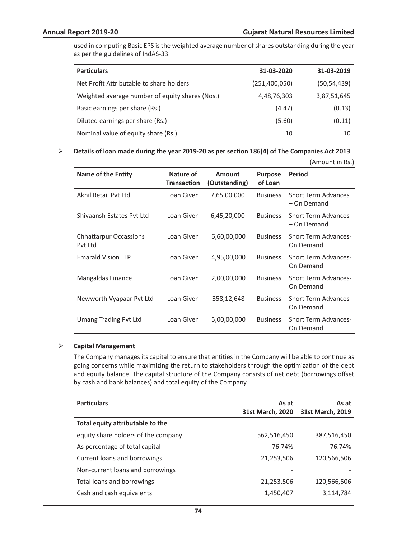used in computing Basic EPS is the weighted average number of shares outstanding during the year as per the guidelines of IndAS-33.

| <b>Particulars</b>                              | 31-03-2020      | 31-03-2019    |
|-------------------------------------------------|-----------------|---------------|
| Net Profit Attributable to share holders        | (251, 400, 050) | (50, 54, 439) |
| Weighted average number of equity shares (Nos.) | 4,48,76,303     | 3,87,51,645   |
| Basic earnings per share (Rs.)                  | (4.47)          | (0.13)        |
| Diluted earnings per share (Rs.)                | (5.60)          | (0.11)        |
| Nominal value of equity share (Rs.)             | 10              | 10            |

# **Details of loan made during the year 2019-20 as per section 186(4) of The Companies Act 2013**

|                                          |                                 |                                |                           | (Amount in Rs.)                           |
|------------------------------------------|---------------------------------|--------------------------------|---------------------------|-------------------------------------------|
| Name of the Entity                       | Nature of<br><b>Transaction</b> | <b>Amount</b><br>(Outstanding) | <b>Purpose</b><br>of Loan | Period                                    |
| Akhil Retail Pyt Ltd                     | Loan Given                      | 7,65,00,000                    | <b>Business</b>           | <b>Short Term Advances</b><br>– On Demand |
| Shivaansh Estates Pyt Ltd                | Loan Given                      | 6,45,20,000                    | <b>Business</b>           | <b>Short Term Advances</b><br>– On Demand |
| <b>Chhattarpur Occassions</b><br>Pvt Ltd | Loan Given                      | 6,60,00,000                    | <b>Business</b>           | <b>Short Term Advances-</b><br>On Demand  |
| <b>Emarald Vision LLP</b>                | Loan Given                      | 4,95,00,000                    | <b>Business</b>           | <b>Short Term Advances-</b><br>On Demand  |
| Mangaldas Finance                        | Loan Given                      | 2,00,00,000                    | <b>Business</b>           | <b>Short Term Advances-</b><br>On Demand  |
| Newworth Vyapaar Pyt Ltd                 | Loan Given                      | 358,12,648                     | <b>Business</b>           | <b>Short Term Advances-</b><br>On Demand  |
| Umang Trading Pvt Ltd                    | Loan Given                      | 5,00,00,000                    | <b>Business</b>           | <b>Short Term Advances-</b><br>On Demand  |

# **Capital Management**

The Company manages its capital to ensure that entities in the Company will be able to continue as going concerns while maximizing the return to stakeholders through the optimization of the debt and equity balance. The capital structure of the Company consists of net debt (borrowings offset by cash and bank balances) and total equity of the Company.

| <b>Particulars</b>                  | As at            | As at            |
|-------------------------------------|------------------|------------------|
|                                     | 31st March, 2020 | 31st March, 2019 |
| Total equity attributable to the    |                  |                  |
| equity share holders of the company | 562,516,450      | 387,516,450      |
| As percentage of total capital      | 76.74%           | 76.74%           |
| Current loans and borrowings        | 21,253,506       | 120,566,506      |
| Non-current loans and borrowings    |                  |                  |
| Total loans and borrowings          | 21,253,506       | 120,566,506      |
| Cash and cash equivalents           | 1,450,407        | 3,114,784        |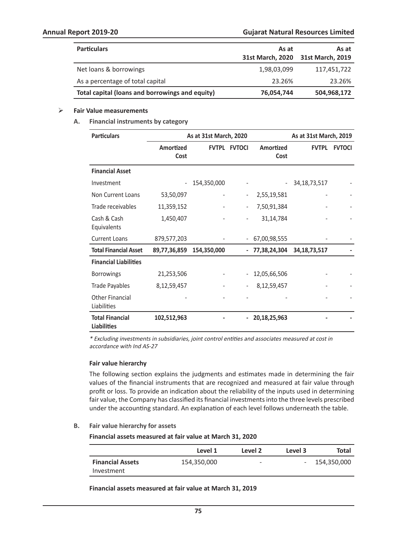| <b>Particulars</b>                              | As at<br>31st March, 2020 | As at<br>31st March, 2019 |
|-------------------------------------------------|---------------------------|---------------------------|
| Net loans & borrowings                          | 1,98,03,099               | 117,451,722               |
| As a percentage of total capital                | 23.26%                    | 23.26%                    |
| Total capital (loans and borrowings and equity) | 76,054,744                | 504,968,172               |

# **Fair Value measurements**

**A. Financial instruments by category**

| <b>Particulars</b>                    | As at 31st March, 2020 |             |                          |                   | As at 31st March, 2019 |               |
|---------------------------------------|------------------------|-------------|--------------------------|-------------------|------------------------|---------------|
|                                       | Amortized<br>Cost      |             | <b>FVTPL FVTOCI</b>      | Amortized<br>Cost | <b>FVTPL</b>           | <b>FVTOCI</b> |
| <b>Financial Asset</b>                |                        |             |                          |                   |                        |               |
| Investment                            | ٠                      | 154,350,000 |                          | ٠                 | 34, 18, 73, 517        |               |
| Non Current Loans                     | 53,50,097              |             | $\overline{\phantom{0}}$ | 2,55,19,581       |                        |               |
| Trade receivables                     | 11,359,152             |             | $\overline{\phantom{0}}$ | 7,50,91,384       |                        |               |
| Cash & Cash<br>Equivalents            | 1,450,407              |             |                          | 31,14,784         |                        |               |
| <b>Current Loans</b>                  | 879,577,203            |             | ٠                        | 67,00,98,555      |                        |               |
| <b>Total Financial Asset</b>          | 89,77,36,859           | 154,350,000 | ٠                        | 77,38,24,304      | 34, 18, 73, 517        |               |
| <b>Financial Liabilities</b>          |                        |             |                          |                   |                        |               |
| <b>Borrowings</b>                     | 21,253,506             |             | ÷,                       | 12,05,66,506      |                        |               |
| <b>Trade Payables</b>                 | 8,12,59,457            |             | ۰                        | 8,12,59,457       |                        |               |
| <b>Other Financial</b><br>Liabilities |                        |             |                          |                   |                        |               |
| <b>Total Financial</b><br>Liabilities | 102,512,963            |             | ٠                        | 20,18,25,963      |                        |               |

\* Excluding investments in subsidiaries, joint control entities and associates measured at cost in accordance with Ind AS-27

#### **Fair value hierarchy**

The following section explains the judgments and estimates made in determining the fair values of the financial instruments that are recognized and measured at fair value through profit or loss. To provide an indication about the reliability of the inputs used in determining fair value, the Company has classified its financial investments into the three levels prescribed under the accounting standard. An explanation of each level follows underneath the table.

#### **B. Fair value hierarchy for assets**

 **Financial assets measured at fair value at March 31, 2020**

|                                       | Level 1     | Level 2                  | Level 3 | Total       |
|---------------------------------------|-------------|--------------------------|---------|-------------|
| <b>Financial Assets</b><br>Investment | 154,350,000 | $\overline{\phantom{a}}$ | $\sim$  | 154,350,000 |

 **Financial assets measured at fair value at March 31, 2019**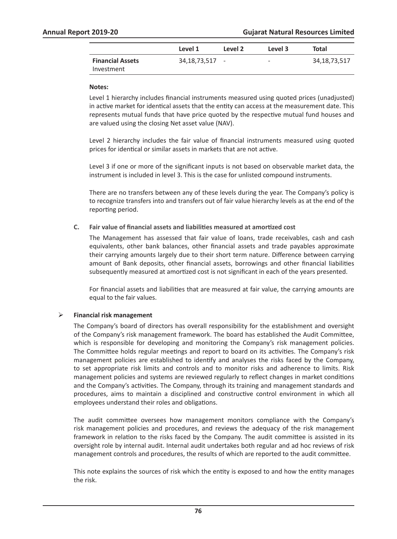|                         | Level 1           | Level 2 | Level 3                  | Total           |
|-------------------------|-------------------|---------|--------------------------|-----------------|
| <b>Financial Assets</b> | 34, 18, 73, 517 - |         | $\overline{\phantom{a}}$ | 34, 18, 73, 517 |
| Investment              |                   |         |                          |                 |

#### **Notes:**

Level 1 hierarchy includes financial instruments measured using quoted prices (unadjusted) in active market for identical assets that the entity can access at the measurement date. This represents mutual funds that have price quoted by the respective mutual fund houses and are valued using the closing Net asset value (NAV).

Level 2 hierarchy includes the fair value of financial instruments measured using quoted prices for identical or similar assets in markets that are not active.

Level 3 if one or more of the significant inputs is not based on observable market data, the instrument is included in level 3. This is the case for unlisted compound instruments.

There are no transfers between any of these levels during the year. The Company's policy is to recognize transfers into and transfers out of fair value hierarchy levels as at the end of the reporting period.

# **C. Fair value of financial assets and liabilities measured at amortized cost**

The Management has assessed that fair value of loans, trade receivables, cash and cash equivalents, other bank balances, other financial assets and trade payables approximate their carrying amounts largely due to their short term nature. Difference between carrying amount of Bank deposits, other financial assets, borrowings and other financial liabilities subsequently measured at amortized cost is not significant in each of the years presented.

For financial assets and liabilities that are measured at fair value, the carrying amounts are equal to the fair values.

# **Financial risk management**

The Company's board of directors has overall responsibility for the establishment and oversight of the Company's risk management framework. The board has established the Audit Committee, which is responsible for developing and monitoring the Company's risk management policies. The Committee holds regular meetings and report to board on its activities. The Company's risk management policies are established to identify and analyses the risks faced by the Company, to set appropriate risk limits and controls and to monitor risks and adherence to limits. Risk management policies and systems are reviewed regularly to reflect changes in market conditions and the Company's activities. The Company, through its training and management standards and procedures, aims to maintain a disciplined and constructive control environment in which all employees understand their roles and obligations.

The audit committee oversees how management monitors compliance with the Company's risk management policies and procedures, and reviews the adequacy of the risk management framework in relation to the risks faced by the Company. The audit committee is assisted in its oversight role by internal audit. Internal audit undertakes both regular and ad hoc reviews of risk management controls and procedures, the results of which are reported to the audit committee.

This note explains the sources of risk which the entity is exposed to and how the entity manages the risk.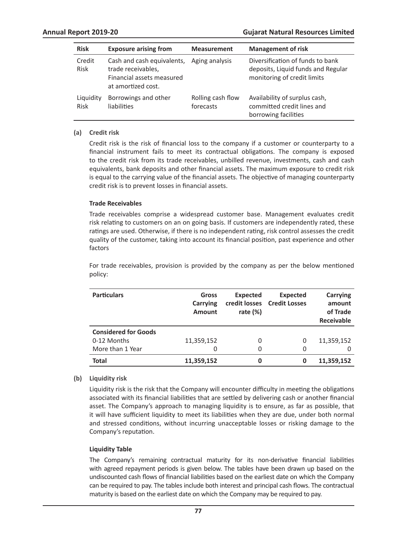| <b>Risk</b>           | <b>Exposure arising from</b>                                                                        | <b>Measurement</b>             | <b>Management of risk</b>                                                                             |
|-----------------------|-----------------------------------------------------------------------------------------------------|--------------------------------|-------------------------------------------------------------------------------------------------------|
| Credit<br><b>Risk</b> | Cash and cash equivalents,<br>trade receivables,<br>Financial assets measured<br>at amortized cost. | Aging analysis                 | Diversification of funds to bank<br>deposits, Liquid funds and Regular<br>monitoring of credit limits |
| Liquidity<br>Risk     | Borrowings and other<br>liabilities                                                                 | Rolling cash flow<br>forecasts | Availability of surplus cash,<br>committed credit lines and<br>borrowing facilities                   |

### **(a) Credit risk**

Credit risk is the risk of financial loss to the company if a customer or counterparty to a financial instrument fails to meet its contractual obligations. The company is exposed to the credit risk from its trade receivables, unbilled revenue, investments, cash and cash equivalents, bank deposits and other financial assets. The maximum exposure to credit risk is equal to the carrying value of the financial assets. The objective of managing counterparty credit risk is to prevent losses in financial assets.

# **Trade Receivables**

Trade receivables comprise a widespread customer base. Management evaluates credit risk relating to customers on an on going basis. If customers are independently rated, these ratings are used. Otherwise, if there is no independent rating, risk control assesses the credit quality of the customer, taking into account its financial position, past experience and other factors

For trade receivables, provision is provided by the company as per the below mentioned policy:

| <b>Particulars</b>          | Gross<br>Carrying<br>Amount | Expected<br>rate $(%)$ | Expected<br>credit losses Credit Losses | Carrying<br>amount<br>of Trade<br><b>Receivable</b> |
|-----------------------------|-----------------------------|------------------------|-----------------------------------------|-----------------------------------------------------|
| <b>Considered for Goods</b> |                             |                        |                                         |                                                     |
| 0-12 Months                 | 11,359,152                  | 0                      | 0                                       | 11,359,152                                          |
| More than 1 Year            | 0                           | 0                      | 0                                       |                                                     |
| Total                       | 11,359,152                  | 0                      | 0                                       | 11,359,152                                          |

# **(b) Liquidity risk**

Liquidity risk is the risk that the Company will encounter difficulty in meeting the obligations associated with its financial liabilities that are settled by delivering cash or another financial asset. The Company's approach to managing liquidity is to ensure, as far as possible, that it will have sufficient liquidity to meet its liabilities when they are due, under both normal and stressed conditions, without incurring unacceptable losses or risking damage to the Company's reputation.

#### **Liquidity Table**

The Company's remaining contractual maturity for its non-derivative financial liabilities with agreed repayment periods is given below. The tables have been drawn up based on the undiscounted cash flows of financial liabilities based on the earliest date on which the Company can be required to pay. The tables include both interest and principal cash flows. The contractual maturity is based on the earliest date on which the Company may be required to pay.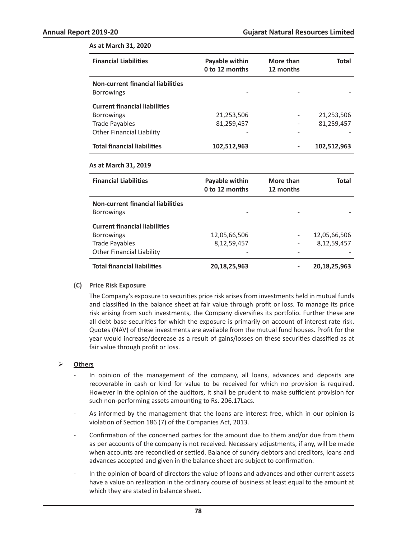#### **As at March 31, 2020**

| <b>Financial Liabilities</b>                                  | Payable within<br>0 to 12 months | More than<br>12 months | Total       |
|---------------------------------------------------------------|----------------------------------|------------------------|-------------|
| <b>Non-current financial liabilities</b><br><b>Borrowings</b> |                                  |                        |             |
| <b>Current financial liabilities</b>                          |                                  |                        |             |
| <b>Borrowings</b>                                             | 21,253,506                       |                        | 21,253,506  |
| <b>Trade Payables</b>                                         | 81,259,457                       |                        | 81,259,457  |
| <b>Other Financial Liability</b>                              |                                  |                        |             |
| <b>Total financial liabilities</b>                            | 102,512,963                      |                        | 102,512,963 |

#### **As at March 31, 2019**

| <b>Financial Liabilities</b>                                  | Payable within<br>0 to 12 months | More than<br>12 months | Total        |
|---------------------------------------------------------------|----------------------------------|------------------------|--------------|
| <b>Non-current financial liabilities</b><br><b>Borrowings</b> | ۰                                |                        |              |
| <b>Current financial liabilities</b>                          |                                  |                        |              |
| <b>Borrowings</b>                                             | 12,05,66,506                     |                        | 12,05,66,506 |
| <b>Trade Payables</b>                                         | 8,12,59,457                      |                        | 8,12,59,457  |
| <b>Other Financial Liability</b>                              |                                  |                        |              |
| <b>Total financial liabilities</b>                            | 20,18,25,963                     |                        | 20,18,25,963 |

#### **(C) Price Risk Exposure**

The Company's exposure to securities price risk arises from investments held in mutual funds and classified in the balance sheet at fair value through profit or loss. To manage its price risk arising from such investments, the Company diversifies its portfolio. Further these are all debt base securities for which the exposure is primarily on account of interest rate risk. Quotes (NAV) of these investments are available from the mutual fund houses. Profit for the year would increase/decrease as a result of gains/losses on these securities classified as at fair value through profit or loss.

#### **Others**

- In opinion of the management of the company, all loans, advances and deposits are recoverable in cash or kind for value to be received for which no provision is required. However in the opinion of the auditors, it shall be prudent to make sufficient provision for such non-performing assets amounting to Rs. 206.17Lacs.
- As informed by the management that the loans are interest free, which in our opinion is violation of Section 186 (7) of the Companies Act, 2013.
- Confirmation of the concerned parties for the amount due to them and/or due from them as per accounts of the company is not received. Necessary adjustments, if any, will be made when accounts are reconciled or settled. Balance of sundry debtors and creditors, loans and advances accepted and given in the balance sheet are subject to confirmation.
- In the opinion of board of directors the value of loans and advances and other current assets have a value on realization in the ordinary course of business at least equal to the amount at which they are stated in balance sheet.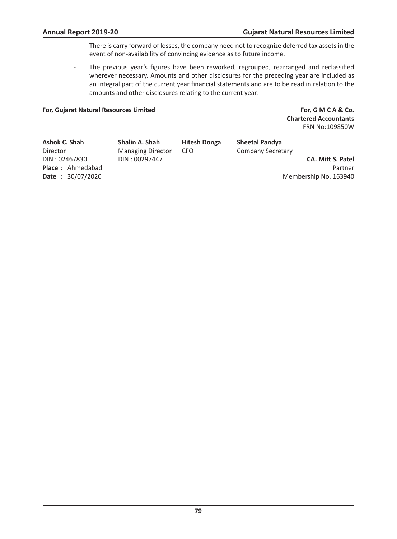# **Annual Report 2019-20**

- There is carry forward of losses, the company need not to recognize deferred tax assets in the event of non-availability of convincing evidence as to future income.
- The previous year's figures have been reworked, regrouped, rearranged and reclassified wherever necessary. Amounts and other disclosures for the preceding year are included as an integral part of the current year financial statements and are to be read in relation to the amounts and other disclosures relating to the current year.

#### **For, Gujarat Natural Resources Limited For, G M C A & Co.**

 **Chartered Accountants** FRN No:109850W

**Ashok C. Shah Shalin A. Shah Hitesh Donga Sheetal Pandya** Director **Managing Director CFO** Company Secretary<br>
DIN : 02467830 DIN : 00297447

DIN : 02467830 DIN : 00297447 **CA. Mitt S. Patel Place :** Ahmedabad Partner **Partner** Partner **Partner Date :** 30/07/2020 Membership No. 163940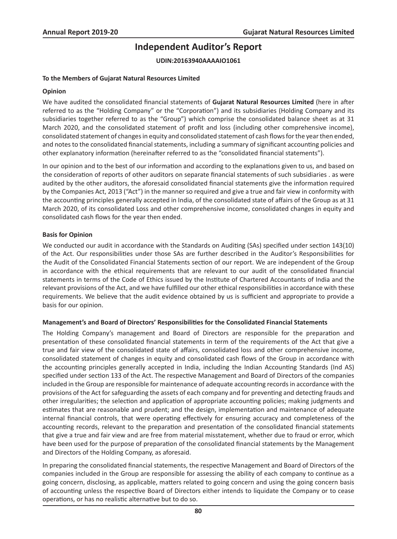# **Independent Auditor's Report**

### **UDIN:20163940AAAAIO1061**

### **To the Members of Gujarat Natural Resources Limited**

#### **Opinion**

We have audited the consolidated financial statements of **Gujarat Natural Resources Limited** (here in after referred to as the "Holding Company" or the "Corporation") and its subsidiaries (Holding Company and its subsidiaries together referred to as the "Group") which comprise the consolidated balance sheet as at 31 March 2020, and the consolidated statement of profit and loss (including other comprehensive income), consolidated statement of changes in equity and consolidated statement of cash flows for the year then ended, and notes to the consolidated financial statements, including a summary of significant accounting policies and other explanatory information (hereinafter referred to as the "consolidated financial statements").

In our opinion and to the best of our information and according to the explanations given to us, and based on the consideration of reports of other auditors on separate financial statements of such subsidiaries . as were audited by the other auditors, the aforesaid consolidated financial statements give the information required by the Companies Act, 2013 ("Act") in the manner so required and give a true and fair view in conformity with the accounting principles generally accepted in India, of the consolidated state of affairs of the Group as at 31 March 2020, of its consolidated Loss and other comprehensive income, consolidated changes in equity and consolidated cash flows for the year then ended.

# **Basis for Opinion**

We conducted our audit in accordance with the Standards on Auditing (SAs) specified under section 143(10) of the Act. Our responsibilities under those SAs are further described in the Auditor's Responsibilities for the Audit of the Consolidated Financial Statements section of our report. We are independent of the Group in accordance with the ethical requirements that are relevant to our audit of the consolidated financial statements in terms of the Code of Ethics issued by the Institute of Chartered Accountants of India and the relevant provisions of the Act, and we have fulfilled our other ethical responsibilities in accordance with these requirements. We believe that the audit evidence obtained by us is sufficient and appropriate to provide a basis for our opinion.

#### **Management's and Board of Directors' Responsibilities for the Consolidated Financial Statements**

The Holding Company's management and Board of Directors are responsible for the preparation and presentation of these consolidated financial statements in term of the requirements of the Act that give a true and fair view of the consolidated state of affairs, consolidated loss and other comprehensive income, consolidated statement of changes in equity and consolidated cash flows of the Group in accordance with the accounting principles generally accepted in India, including the Indian Accounting Standards (Ind AS) specified under section 133 of the Act. The respective Management and Board of Directors of the companies included in the Group are responsible for maintenance of adequate accounting records in accordance with the provisions of the Act for safeguarding the assets of each company and for preventing and detecting frauds and other irregularities; the selection and application of appropriate accounting policies; making judgments and estimates that are reasonable and prudent; and the design, implementation and maintenance of adequate internal financial controls, that were operating effectively for ensuring accuracy and completeness of the accounting records, relevant to the preparation and presentation of the consolidated financial statements that give a true and fair view and are free from material misstatement, whether due to fraud or error, which have been used for the purpose of preparation of the consolidated financial statements by the Management and Directors of the Holding Company, as aforesaid.

In preparing the consolidated financial statements, the respective Management and Board of Directors of the companies included in the Group are responsible for assessing the ability of each company to continue as a going concern, disclosing, as applicable, matters related to going concern and using the going concern basis of accounting unless the respective Board of Directors either intends to liquidate the Company or to cease operations, or has no realistic alternative but to do so.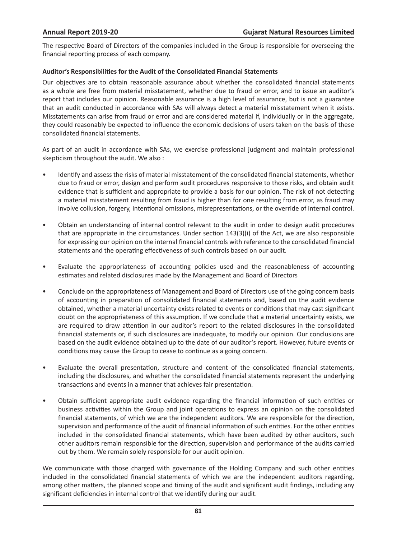The respective Board of Directors of the companies included in the Group is responsible for overseeing the financial reporting process of each company.

# **Auditor's Responsibilities for the Audit of the Consolidated Financial Statements**

Our objectives are to obtain reasonable assurance about whether the consolidated financial statements as a whole are free from material misstatement, whether due to fraud or error, and to issue an auditor's report that includes our opinion. Reasonable assurance is a high level of assurance, but is not a guarantee that an audit conducted in accordance with SAs will always detect a material misstatement when it exists. Misstatements can arise from fraud or error and are considered material if, individually or in the aggregate, they could reasonably be expected to influence the economic decisions of users taken on the basis of these consolidated financial statements.

As part of an audit in accordance with SAs, we exercise professional judgment and maintain professional skepticism throughout the audit. We also :

- Identify and assess the risks of material misstatement of the consolidated financial statements, whether due to fraud or error, design and perform audit procedures responsive to those risks, and obtain audit evidence that is sufficient and appropriate to provide a basis for our opinion. The risk of not detecting a material misstatement resulting from fraud is higher than for one resulting from error, as fraud may involve collusion, forgery, intentional omissions, misrepresentations, or the override of internal control.
- Obtain an understanding of internal control relevant to the audit in order to design audit procedures that are appropriate in the circumstances. Under section 143(3)(i) of the Act, we are also responsible for expressing our opinion on the internal financial controls with reference to the consolidated financial statements and the operating effectiveness of such controls based on our audit.
- Evaluate the appropriateness of accounting policies used and the reasonableness of accounting estimates and related disclosures made by the Management and Board of Directors
- Conclude on the appropriateness of Management and Board of Directors use of the going concern basis of accounting in preparation of consolidated financial statements and, based on the audit evidence obtained, whether a material uncertainty exists related to events or conditions that may cast significant doubt on the appropriateness of this assumption. If we conclude that a material uncertainty exists, we are required to draw attention in our auditor's report to the related disclosures in the consolidated financial statements or, if such disclosures are inadequate, to modify our opinion. Our conclusions are based on the audit evidence obtained up to the date of our auditor's report. However, future events or conditions may cause the Group to cease to continue as a going concern.
- Evaluate the overall presentation, structure and content of the consolidated financial statements, including the disclosures, and whether the consolidated financial statements represent the underlying transactions and events in a manner that achieves fair presentation.
- Obtain sufficient appropriate audit evidence regarding the financial information of such entities or business activities within the Group and joint operations to express an opinion on the consolidated financial statements, of which we are the independent auditors. We are responsible for the direction, supervision and performance of the audit of financial information of such entities. For the other entities included in the consolidated financial statements, which have been audited by other auditors, such other auditors remain responsible for the direction, supervision and performance of the audits carried out by them. We remain solely responsible for our audit opinion.

We communicate with those charged with governance of the Holding Company and such other entities included in the consolidated financial statements of which we are the independent auditors regarding, among other matters, the planned scope and timing of the audit and significant audit findings, including any significant deficiencies in internal control that we identify during our audit.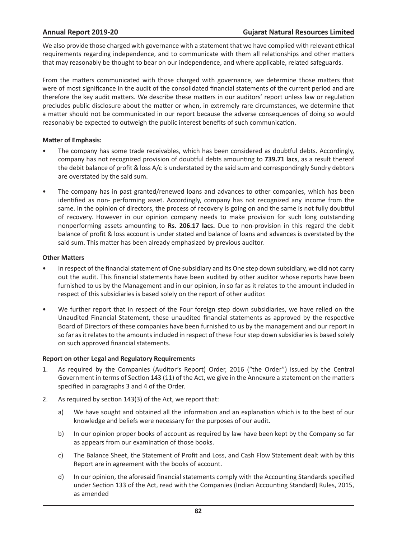We also provide those charged with governance with a statement that we have complied with relevant ethical requirements regarding independence, and to communicate with them all relationships and other matters that may reasonably be thought to bear on our independence, and where applicable, related safeguards.

From the matters communicated with those charged with governance, we determine those matters that were of most significance in the audit of the consolidated financial statements of the current period and are therefore the key audit matters. We describe these matters in our auditors' report unless law or regulation precludes public disclosure about the matter or when, in extremely rare circumstances, we determine that a matter should not be communicated in our report because the adverse consequences of doing so would reasonably be expected to outweigh the public interest benefits of such communication.

# **Matter of Emphasis:**

- The company has some trade receivables, which has been considered as doubtful debts. Accordingly, company has not recognized provision of doubtful debts amounting to **739.71 lacs**, as a result thereof the debit balance of profit & loss A/c is understated by the said sum and correspondingly Sundry debtors are overstated by the said sum.
- The company has in past granted/renewed loans and advances to other companies, which has been identified as non- performing asset. Accordingly, company has not recognized any income from the same. In the opinion of directors, the process of recovery is going on and the same is not fully doubtful of recovery. However in our opinion company needs to make provision for such long outstanding nonperforming assets amounting to **Rs. 206.17 lacs.** Due to non-provision in this regard the debit balance of profit & loss account is under stated and balance of loans and advances is overstated by the said sum. This matter has been already emphasized by previous auditor.

# **Other Matters**

- In respect of the financial statement of One subsidiary and its One step down subsidiary, we did not carry out the audit. This financial statements have been audited by other auditor whose reports have been furnished to us by the Management and in our opinion, in so far as it relates to the amount included in respect of this subsidiaries is based solely on the report of other auditor.
- We further report that in respect of the Four foreign step down subsidiaries, we have relied on the Unaudited Financial Statement, these unaudited financial statements as approved by the respective Board of Directors of these companies have been furnished to us by the management and our report in so far as it relates to the amounts included in respect of these Four step down subsidiaries is based solely on such approved financial statements.

# **Report on other Legal and Regulatory Requirements**

- 1. As required by the Companies (Auditor's Report) Order, 2016 ("the Order") issued by the Central Government in terms of Section 143 (11) of the Act, we give in the Annexure a statement on the matters specified in paragraphs 3 and 4 of the Order.
- 2. As required by section 143(3) of the Act, we report that:
	- a) We have sought and obtained all the information and an explanation which is to the best of our knowledge and beliefs were necessary for the purposes of our audit.
	- b) In our opinion proper books of account as required by law have been kept by the Company so far as appears from our examination of those books.
	- c) The Balance Sheet, the Statement of Profit and Loss, and Cash Flow Statement dealt with by this Report are in agreement with the books of account.
	- d) In our opinion, the aforesaid financial statements comply with the Accounting Standards specified under Section 133 of the Act, read with the Companies (Indian Accounting Standard) Rules, 2015, as amended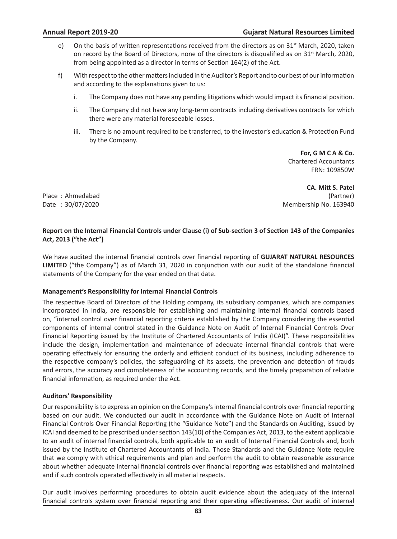- e) On the basis of written representations received from the directors as on  $31<sup>st</sup>$  March, 2020, taken on record by the Board of Directors, none of the directors is disqualified as on  $31^{st}$  March, 2020, from being appointed as a director in terms of Section 164(2) of the Act.
- f) With respect to the other matters included in the Auditor's Report and to our best of our information and according to the explanations given to us:
	- i. The Company does not have any pending litigations which would impact its financial position.
	- ii. The Company did not have any long-term contracts including derivatives contracts for which there were any material foreseeable losses.
	- iii. There is no amount required to be transferred, to the investor's education & Protection Fund by the Company.

**For, G M C A & Co.** Chartered Accountants FRN: 109850W

|                  | CA. Mitt S. Patel     |
|------------------|-----------------------|
| Place: Ahmedabad | (Partner)             |
| Date: 30/07/2020 | Membership No. 163940 |

# **Report on the Internal Financial Controls under Clause (i) of Sub-section 3 of Section 143 of the Companies Act, 2013 ("the Act")**

We have audited the internal financial controls over financial reporting of **GUJARAT NATURAL RESOURCES LIMITED** ("the Company") as of March 31, 2020 in conjunction with our audit of the standalone financial statements of the Company for the year ended on that date.

# **Management's Responsibility for Internal Financial Controls**

The respective Board of Directors of the Holding company, its subsidiary companies, which are companies incorporated in India, are responsible for establishing and maintaining internal financial controls based on, "internal control over financial reporting criteria established by the Company considering the essential components of internal control stated in the Guidance Note on Audit of Internal Financial Controls Over Financial Reporting issued by the Institute of Chartered Accountants of India (ICAI)". These responsibilities include the design, implementation and maintenance of adequate internal financial controls that were operating effectively for ensuring the orderly and efficient conduct of its business, including adherence to the respective company's policies, the safeguarding of its assets, the prevention and detection of frauds and errors, the accuracy and completeness of the accounting records, and the timely preparation of reliable financial information, as required under the Act.

#### **Auditors' Responsibility**

Our responsibility is to express an opinion on the Company's internal financial controls over financial reporting based on our audit. We conducted our audit in accordance with the Guidance Note on Audit of Internal Financial Controls Over Financial Reporting (the "Guidance Note") and the Standards on Auditing, issued by ICAI and deemed to be prescribed under section 143(10) of the Companies Act, 2013, to the extent applicable to an audit of internal financial controls, both applicable to an audit of Internal Financial Controls and, both issued by the Institute of Chartered Accountants of India. Those Standards and the Guidance Note require that we comply with ethical requirements and plan and perform the audit to obtain reasonable assurance about whether adequate internal financial controls over financial reporting was established and maintained and if such controls operated effectively in all material respects.

Our audit involves performing procedures to obtain audit evidence about the adequacy of the internal financial controls system over financial reporting and their operating effectiveness. Our audit of internal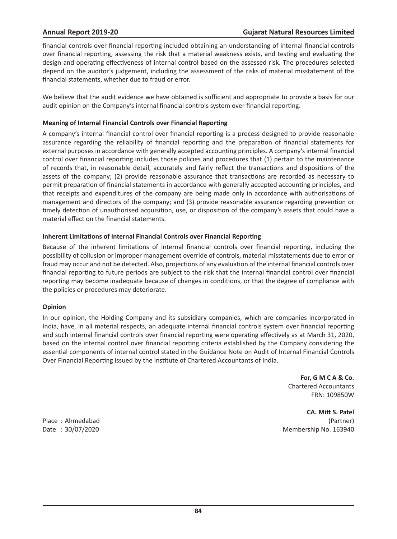# **Annual Report 2019-20**

financial controls over financial reporting included obtaining an understanding of internal financial controls over financial reporting, assessing the risk that a material weakness exists, and testing and evaluating the design and operating effectiveness of internal control based on the assessed risk. The procedures selected depend on the auditor's judgement, including the assessment of the risks of material misstatement of the financial statements, whether due to fraud or error.

We believe that the audit evidence we have obtained is sufficient and appropriate to provide a basis for our audit opinion on the Company's internal financial controls system over financial reporting.

# **Meaning of Internal Financial Controls over Financial Reporting**

A company's internal financial control over financial reporting is a process designed to provide reasonable assurance regarding the reliability of financial reporting and the preparation of financial statements for external purposes in accordance with generally accepted accounting principles. A company's internal financial control over financial reporting includes those policies and procedures that (1) pertain to the maintenance of records that, in reasonable detail, accurately and fairly reflect the transactions and dispositions of the assets of the company; (2) provide reasonable assurance that transactions are recorded as necessary to permit preparation of financial statements in accordance with generally accepted accounting principles, and that receipts and expenditures of the company are being made only in accordance with authorisations of management and directors of the company; and (3) provide reasonable assurance regarding prevention or timely detection of unauthorised acquisition, use, or disposition of the company's assets that could have a material effect on the financial statements.

# **Inherent Limitations of Internal Financial Controls over Financial Reporting**

Because of the inherent limitations of internal financial controls over financial reporting, including the possibility of collusion or improper management override of controls, material misstatements due to error or fraud may occur and not be detected. Also, projections of any evaluation of the internal financial controls over financial reporting to future periods are subject to the risk that the internal financial control over financial reporting may become inadequate because of changes in conditions, or that the degree of compliance with the policies or procedures may deteriorate.

#### **Opinion**

In our opinion, the Holding Company and its subsidiary companies, which are companies incorporated in India, have, in all material respects, an adequate internal financial controls system over financial reporting and such internal financial controls over financial reporting were operating effectively as at March 31, 2020, based on the internal control over financial reporting criteria established by the Company considering the essential components of internal control stated in the Guidance Note on Audit of Internal Financial Controls Over Financial Reporting issued by the Institute of Chartered Accountants of India.

> **For, G M C A & Co.** Chartered Accountants FRN: 109850W

**CA. Mitt S. Patel** Place : Ahmedabad (Partner) Date : 30/07/2020 Membership No. 163940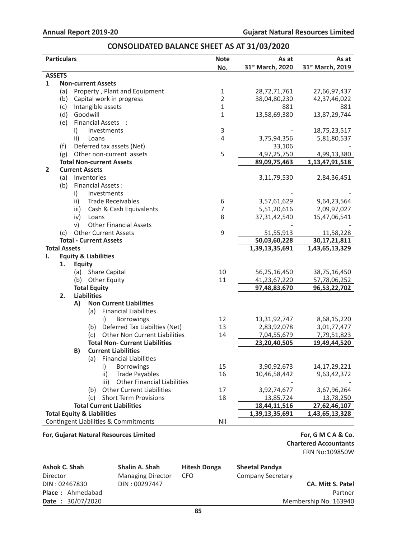# **CONSOLIDATED BALANCE SHEET AS AT 31/03/2020**

| <b>Particulars</b> |                     |                                       | <b>Note</b>         | As at                    | As at                                 |                |                  |                  |
|--------------------|---------------------|---------------------------------------|---------------------|--------------------------|---------------------------------------|----------------|------------------|------------------|
|                    |                     |                                       |                     |                          |                                       | No.            | 31st March, 2020 | 31st March, 2019 |
| <b>ASSETS</b>      |                     |                                       |                     |                          |                                       |                |                  |                  |
| $\mathbf{1}$       |                     | <b>Non-current Assets</b>             |                     |                          |                                       |                |                  |                  |
|                    | (a)                 |                                       |                     |                          | Property, Plant and Equipment         | 1              | 28,72,71,761     | 27,66,97,437     |
|                    | (b)                 |                                       |                     |                          | Capital work in progress              | $\overline{2}$ | 38,04,80,230     | 42,37,46,022     |
|                    | (c)                 |                                       |                     | Intangible assets        |                                       | $\mathbf{1}$   | 881              | 881              |
|                    |                     | (d) Goodwill                          |                     |                          |                                       | $\mathbf{1}$   | 13,58,69,380     | 13,87,29,744     |
|                    | (e)                 |                                       |                     |                          | Financial Assets :                    |                |                  |                  |
|                    |                     | i)                                    |                     | Investments              |                                       | 3              |                  | 18,75,23,517     |
|                    |                     | ii)                                   | Loans               |                          |                                       | 4              | 3,75,94,356      | 5,81,80,537      |
|                    | (f)                 |                                       |                     |                          | Deferred tax assets (Net)             |                | 33,106           |                  |
|                    | (g)                 |                                       |                     |                          | Other non-current assets              | 5              | 4,97,25,750      | 4,99,13,380      |
|                    |                     |                                       |                     |                          | <b>Total Non-current Assets</b>       |                | 89,09,75,463     | 1,13,47,91,518   |
| $\overline{2}$     |                     | <b>Current Assets</b>                 |                     |                          |                                       |                |                  |                  |
|                    | (a)                 |                                       | Inventories         |                          |                                       |                | 3,11,79,530      | 2,84,36,451      |
|                    | (b)                 |                                       |                     | <b>Financial Assets:</b> |                                       |                |                  |                  |
|                    |                     | i)                                    |                     | Investments              |                                       |                |                  |                  |
|                    |                     | ii)                                   |                     |                          | <b>Trade Receivables</b>              | 6              | 3,57,61,629      | 9,64,23,564      |
|                    |                     | iii)                                  |                     |                          | Cash & Cash Equivalents               | 7              | 5,51,20,616      | 2,09,97,027      |
|                    |                     | iv)                                   | Loans               |                          |                                       | 8              | 37, 31, 42, 540  | 15,47,06,541     |
|                    |                     | v)                                    |                     |                          | <b>Other Financial Assets</b>         |                |                  |                  |
|                    | (c)                 |                                       |                     |                          | <b>Other Current Assets</b>           | 9              | 51,55,913        | 11,58,228        |
|                    |                     | <b>Total - Current Assets</b>         |                     |                          |                                       |                | 50,03,60,228     | 30, 17, 21, 811  |
|                    | <b>Total Assets</b> |                                       |                     |                          |                                       |                | 1,39,13,35,691   | 1,43,65,13,329   |
| ı.                 |                     | <b>Equity &amp; Liabilities</b>       |                     |                          |                                       |                |                  |                  |
|                    | 1.                  | <b>Equity</b>                         |                     |                          |                                       |                |                  |                  |
|                    |                     |                                       |                     | (a) Share Capital        |                                       | 10             | 56,25,16,450     | 38,75,16,450     |
|                    |                     |                                       |                     | (b) Other Equity         |                                       | 11             | 41,23,67,220     | 57,78,06,252     |
|                    |                     |                                       | <b>Total Equity</b> |                          |                                       |                | 97,48,83,670     | 96,53,22,702     |
|                    | 2.                  |                                       | <b>Liabilities</b>  |                          |                                       |                |                  |                  |
|                    |                     | A)                                    |                     |                          | <b>Non Current Liabilities</b>        |                |                  |                  |
|                    |                     |                                       | (a)                 |                          | <b>Financial Liabilities</b>          |                |                  |                  |
|                    |                     |                                       |                     | i)                       | <b>Borrowings</b>                     | 12             | 13,31,92,747     | 8,68,15,220      |
|                    |                     |                                       | (b)                 |                          | Deferred Tax Liabilties (Net)         | 13             | 2,83,92,078      | 3,01,77,477      |
|                    |                     |                                       |                     |                          | (c) Other Non Current Liabilities     | 14             | 7,04,55,679      | 7,79,51,823      |
|                    |                     |                                       |                     |                          | <b>Total Non- Current Liabilities</b> |                | 23,20,40,505     | 19,49,44,520     |
|                    |                     | B)                                    |                     |                          | <b>Current Liabilities</b>            |                |                  |                  |
|                    |                     |                                       | (a)                 |                          | <b>Financial Liabilities</b>          |                |                  |                  |
|                    |                     |                                       |                     | i)                       | <b>Borrowings</b>                     | 15             | 3,90,92,673      | 14, 17, 29, 221  |
|                    |                     |                                       |                     | ii)                      | <b>Trade Payables</b>                 | 16             | 10,46,58,442     | 9,63,42,372      |
|                    |                     |                                       |                     | iii)                     | <b>Other Financial Liabilities</b>    |                |                  |                  |
|                    |                     |                                       | (b)                 |                          | <b>Other Current Liabilities</b>      | 17             | 3,92,74,677      | 3,67,96,264      |
|                    |                     |                                       | (c)                 |                          | <b>Short Term Provisions</b>          | 18             | 13,85,724        | 13,78,250        |
|                    |                     |                                       |                     |                          | <b>Total Current Liabilities</b>      |                | 18,44,11,516     | 27,62,46,107     |
|                    |                     | <b>Total Equity &amp; Liabilities</b> |                     |                          |                                       |                | 1,39,13,35,691   | 1,43,65,13,328   |
|                    |                     |                                       |                     |                          | Contingent Liabilities & Commitments  | Nil            |                  |                  |

# **For, Gujarat Natural Resources Limited For, G M C A & Co.**

**Chartered Accountants** FRN No:109850W

| Ashok C. Shah           | Shalin A. Shah           | <b>Hitesh Donga</b> | <b>Sheetal Pandya</b>    |
|-------------------------|--------------------------|---------------------|--------------------------|
| Director                | <b>Managing Director</b> | CFO                 | <b>Company Secretary</b> |
| DIN: 02467830           | DIN: 00297447            |                     | <b>CA. Mitt S. Patel</b> |
| <b>Place:</b> Ahmedabad |                          |                     | Partner                  |
| <b>Date: 30/07/2020</b> |                          |                     | Membership No. 163940    |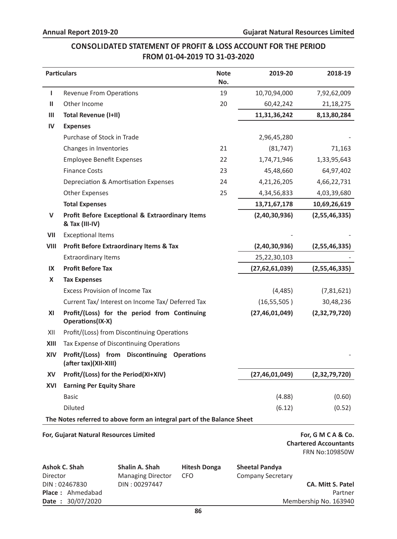# **CONSOLIDATED STATEMENT OF PROFIT & LOSS ACCOUNT FOR THE PERIOD FROM 01-04-2019 TO 31-03-2020**

|          | <b>Particulars</b>                                                     |                          |                                   | <b>Note</b><br>No. | 2019-20                                           | 2018-19                                                              |
|----------|------------------------------------------------------------------------|--------------------------|-----------------------------------|--------------------|---------------------------------------------------|----------------------------------------------------------------------|
| L        | <b>Revenue From Operations</b>                                         |                          |                                   | 19                 | 10,70,94,000                                      | 7,92,62,009                                                          |
| Ш        | Other Income                                                           |                          |                                   | 20                 | 60,42,242                                         | 21, 18, 275                                                          |
| Ш        | Total Revenue (I+II)                                                   |                          |                                   |                    | 11,31,36,242                                      | 8,13,80,284                                                          |
| IV       | <b>Expenses</b>                                                        |                          |                                   |                    |                                                   |                                                                      |
|          | Purchase of Stock in Trade                                             |                          |                                   |                    | 2,96,45,280                                       |                                                                      |
|          | Changes in Inventories                                                 |                          |                                   | 21                 | (81, 747)                                         | 71,163                                                               |
|          | <b>Employee Benefit Expenses</b>                                       |                          |                                   | 22                 | 1,74,71,946                                       | 1,33,95,643                                                          |
|          | <b>Finance Costs</b>                                                   |                          |                                   | 23                 | 45,48,660                                         | 64,97,402                                                            |
|          | Depreciation & Amortisation Expenses                                   |                          |                                   | 24                 | 4,21,26,205                                       | 4,66,22,731                                                          |
|          | Other Expenses                                                         |                          |                                   | 25                 | 4,34,56,833                                       | 4,03,39,680                                                          |
|          | <b>Total Expenses</b>                                                  |                          |                                   |                    | 13,71,67,178                                      | 10,69,26,619                                                         |
| V        | Profit Before Exceptional & Extraordinary Items<br>& Tax (III-IV)      |                          |                                   |                    | (2,40,30,936)                                     | (2,55,46,335)                                                        |
| VII      | <b>Exceptional Items</b>                                               |                          |                                   |                    |                                                   |                                                                      |
| VIII     | <b>Profit Before Extraordinary Items &amp; Tax</b>                     |                          |                                   |                    | (2,40,30,936)                                     | (2,55,46,335)                                                        |
|          | <b>Extraordinary Items</b>                                             |                          |                                   |                    | 25,22,30,103                                      |                                                                      |
| IX       | <b>Profit Before Tax</b>                                               |                          |                                   |                    | (27, 62, 61, 039)                                 | (2,55,46,335)                                                        |
| X        | <b>Tax Expenses</b>                                                    |                          |                                   |                    |                                                   |                                                                      |
|          | <b>Excess Provision of Income Tax</b>                                  |                          |                                   |                    | (4, 485)                                          | (7,81,621)                                                           |
|          | Current Tax/ Interest on Income Tax/ Deferred Tax                      |                          |                                   |                    | (16, 55, 505)                                     | 30,48,236                                                            |
| ΧI       | Profit/(Loss) for the period from Continuing<br>Operations(IX-X)       |                          |                                   |                    | (27, 46, 01, 049)                                 | (2,32,79,720)                                                        |
| XII      | Profit/(Loss) from Discontinuing Operations                            |                          |                                   |                    |                                                   |                                                                      |
| XIII     | Tax Expense of Discontinuing Operations                                |                          |                                   |                    |                                                   |                                                                      |
| XIV      | Profit/(Loss) from Discontinuing Operations<br>(after tax)(XII-XIII)   |                          |                                   |                    |                                                   |                                                                      |
| XV       | Profit/(Loss) for the Period(XI+XIV)                                   |                          |                                   |                    | (27, 46, 01, 049)                                 | (2,32,79,720)                                                        |
| XVI      | <b>Earning Per Equity Share</b>                                        |                          |                                   |                    |                                                   |                                                                      |
|          | <b>Basic</b>                                                           |                          |                                   |                    | (4.88)                                            | (0.60)                                                               |
|          | <b>Diluted</b>                                                         |                          |                                   |                    | (6.12)                                            | (0.52)                                                               |
|          | The Notes referred to above form an integral part of the Balance Sheet |                          |                                   |                    |                                                   |                                                                      |
|          | For, Gujarat Natural Resources Limited                                 |                          |                                   |                    |                                                   | For, G M C A & Co.<br><b>Chartered Accountants</b><br>FRN No:109850W |
| Director | Ashok C. Shah<br>Shalin A. Shah                                        | <b>Managing Director</b> | <b>Hitesh Donga</b><br><b>CFO</b> |                    | <b>Sheetal Pandya</b><br><b>Company Secretary</b> |                                                                      |

| Asnok C. Shan           | Shalin A. Shah           | <b>Hitesh Donga</b> | Sheetal Pandya           |
|-------------------------|--------------------------|---------------------|--------------------------|
| Director                | <b>Managing Director</b> | CFO                 | Company Secretary        |
| DIN : 02467830          | DIN: 00297447            |                     | <b>CA. Mitt S. Patel</b> |
| <b>Place:</b> Ahmedabad |                          |                     | Partner                  |
| <b>Date: 30/07/2020</b> |                          |                     | Membership No. 163940    |
|                         |                          |                     |                          |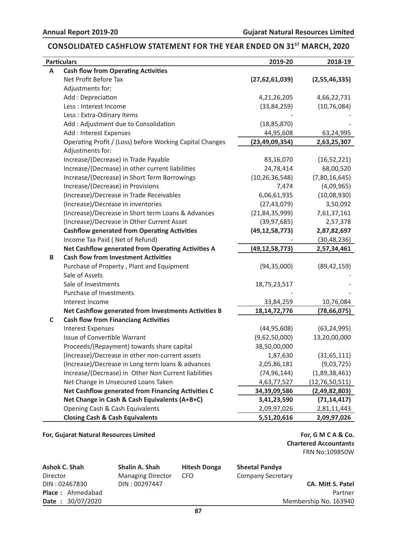# **CONSOLIDATED CASHFLOW STATEMENT FOR THE YEAR ENDED ON 31ST MARCH, 2020**

|   | <b>Particulars</b>                                       | 2019-20           | 2018-19           |
|---|----------------------------------------------------------|-------------------|-------------------|
| А | <b>Cash flow from Operating Activities</b>               |                   |                   |
|   | Net Profit Before Tax                                    | (27, 62, 61, 039) | (2,55,46,335)     |
|   | Adjustments for:                                         |                   |                   |
|   | Add: Depreciation                                        | 4,21,26,205       | 4,66,22,731       |
|   | Less : Interest Income                                   | (33, 84, 259)     | (10, 76, 084)     |
|   | Less: Extra-Odinary Items                                |                   |                   |
|   | Add : Adjustment due to Consolidation                    | (18, 85, 870)     |                   |
|   | Add : Interest Expenses                                  | 44,95,608         | 63,24,995         |
|   | Operating Profit / (Loss) before Working Capital Changes | (23, 49, 09, 354) | 2,63,25,307       |
|   | Adjustments for:                                         |                   |                   |
|   | Increase/(Decrease) in Trade Payable                     | 83,16,070         | (16, 52, 221)     |
|   | Increase/(Decrease) in other current liabilities         | 24,78,414         | 68,00,520         |
|   | Increase/(Decrease) in Short Term Borrowings             | (10, 26, 36, 548) | (7,80,16,645)     |
|   | Increase/(Decrease) in Provisions                        | 7,474             | (4,09,965)        |
|   | (Increase)/Decrease in Trade Receivables                 | 6,06,61,935       | (10,08,930)       |
|   | (Increase)/Decrease in inventories                       | (27, 43, 079)     | 3,50,092          |
|   | (Increase)/Decrease in Short term Loans & Advances       | (21, 84, 35, 999) | 7,61,37,161       |
|   | (Increase)/Decrease in Other Current Asset               | (39, 97, 685)     | 2,57,378          |
|   | <b>Cashflow generated from Operating Activities</b>      | (49, 12, 58, 773) | 2,87,82,697       |
|   | Income Tax Paid (Net of Refund)                          |                   | (30, 48, 236)     |
|   | Net Cashflow generated from Operating Activities A       | (49, 12, 58, 773) | 2,57,34,461       |
| В | <b>Cash flow from Investment Activities</b>              |                   |                   |
|   | Purchase of Property, Plant and Equipment                | (94, 35, 000)     | (89, 42, 159)     |
|   | Sale of Assets                                           |                   |                   |
|   | Sale of Investments                                      | 18,75,23,517      |                   |
|   | Purchase of Investments                                  |                   |                   |
|   | Interest Income                                          | 33,84,259         | 10,76,084         |
|   | Net Cashflow generated from Investments Activities B     | 18, 14, 72, 776   | (78, 66, 075)     |
| C | <b>Cash flow from Financiang Activities</b>              |                   |                   |
|   | <b>Interest Expenses</b>                                 | (44, 95, 608)     | (63, 24, 995)     |
|   | <b>Issue of Convertible Warrant</b>                      | (9,62,50,000)     | 13,20,00,000      |
|   | Proceeds/(Repayment) towards share capital               | 38,50,00,000      |                   |
|   | (Increase)/Decrease in other non-current assets          | 1,87,630          | (31, 65, 111)     |
|   | (Increase)/Decrease in Long term loans & advances        | 2,05,86,181       | (9,03,725)        |
|   | Increase/(Decrease) in Other Non Current liabilities     | (74, 96, 144)     | (1,89,38,461)     |
|   | Net Change in Unsecured Loans Taken                      | 4,63,77,527       | (12, 76, 50, 511) |
|   | Net Cashflow generated from Financing Activities C       | 34,39,09,586      | (2, 49, 82, 803)  |
|   | Net Change in Cash & Cash Equivalents (A+B+C)            | 3,41,23,590       | (71, 14, 417)     |
|   | Opening Cash & Cash Equivalents                          | 2,09,97,026       | 2,81,11,443       |
|   | <b>Closing Cash &amp; Cash Equivalents</b>               | 5,51,20,616       | 2,09,97,026       |

#### **For, Gujarat Natural Resources Limited For, G M C A & Co.**

**Chartered Accountants** FRN No:109850W

Director Managing Director CFO Company Secretary **Date :** 30/07/2020 **Membership No. 163940** 

**Ashok C. Shah Shalin A. Shah Hitesh Donga Sheetal Pandya**

DIN : 02467830 DIN : 00297447 **CA. Mitt S. Patel Place :** Ahmedabad Partner **Partner** Partner **Partner** Partner **Partner**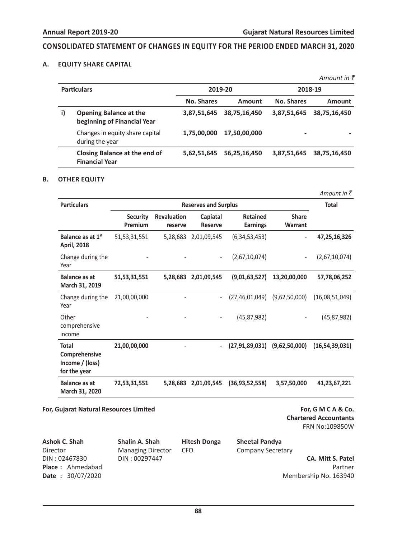# **CONSOLIDATED STATEMENT OF CHANGES IN EQUITY FOR THE PERIOD ENDED MARCH 31, 2020**

# **A. EQUITY SHARE CAPITAL**

|    |                                                              |             |              |             | Amount in $\bar{\tau}$ |
|----|--------------------------------------------------------------|-------------|--------------|-------------|------------------------|
|    | <b>Particulars</b>                                           | 2019-20     |              |             |                        |
|    | No. Shares<br>Amount                                         |             |              |             | Amount                 |
| i) | <b>Opening Balance at the</b><br>beginning of Financial Year | 3,87,51,645 | 38,75,16,450 | 3,87,51,645 | 38,75,16,450           |
|    | Changes in equity share capital<br>during the year           | 1,75,00,000 | 17,50,00,000 | ٠           | -                      |
|    | Closing Balance at the end of<br><b>Financial Year</b>       | 5,62,51,645 | 56,25,16,450 | 3,87,51,645 | 38,75,16,450           |

# **B. OTHER EQUITY**

|                                                                  |                            |                               |                             |                             |                                | Amount in $\bar{\bar{\tau}}$ |
|------------------------------------------------------------------|----------------------------|-------------------------------|-----------------------------|-----------------------------|--------------------------------|------------------------------|
| <b>Particulars</b>                                               |                            |                               | <b>Reserves and Surplus</b> |                             |                                | <b>Total</b>                 |
|                                                                  | <b>Security</b><br>Premium | <b>Revaluation</b><br>reserve | Capiatal<br><b>Reserve</b>  | Retained<br><b>Earnings</b> | <b>Share</b><br><b>Warrant</b> |                              |
| Balance as at 1 <sup>st</sup><br>April, 2018                     | 51,53,31,551               | 5,28,683                      | 2,01,09,545                 | (6, 34, 53, 453)            |                                | 47,25,16,326                 |
| Change during the<br>Year                                        |                            |                               | ٠                           | (2,67,10,074)               | ٠                              | (2,67,10,074)                |
| <b>Balance as at</b><br>March 31, 2019                           | 51,53,31,551               | 5,28,683                      | 2,01,09,545                 | (9,01,63,527)               | 13,20,00,000                   | 57,78,06,252                 |
| Change during the<br>Year                                        | 21,00,00,000               |                               |                             | (27, 46, 01, 049)           | (9,62,50,000)                  | (16,08,51,049)               |
| Other<br>comprehensive<br>income                                 |                            |                               |                             | (45, 87, 982)               |                                | (45, 87, 982)                |
| <b>Total</b><br>Comprehensive<br>Income / (loss)<br>for the year | 21,00,00,000               |                               | ۰                           | (27, 91, 89, 031)           | (9,62,50,000)                  | (16, 54, 39, 031)            |
| <b>Balance as at</b><br>March 31, 2020                           | 72,53,31,551               | 5,28,683                      | 2,01,09,545                 | (36, 93, 52, 558)           | 3,57,50,000                    | 41,23,67,221                 |

### **For, Gujarat Natural Resources Limited For, G M C A & Co.**

**Chartered Accountants** FRN No:109850W

| Ashok C. Shah           | Shalin A. Shah           | <b>Hitesh Donga</b> | <b>Sheetal Pandya</b>    |
|-------------------------|--------------------------|---------------------|--------------------------|
| Director                | <b>Managing Director</b> | <b>CFO</b>          | <b>Company Secretary</b> |
| DIN: 02467830           | DIN: 00297447            |                     | CA. Mitt S. Patel        |
| <b>Place:</b> Ahmedabad |                          |                     | Partner                  |
| <b>Date: 30/07/2020</b> |                          |                     | Membership No. 163940    |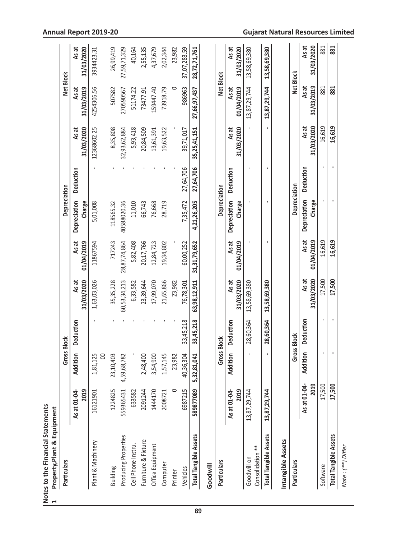| -inepre<br>ì<br>ะ<br>ö | č<br>Ĺ |
|------------------------|--------|
| ancia<br>п<br>ò        | å      |
| ś<br>ţ<br>Σ<br>Votes   | iner   |
|                        |        |

| Ľ |
|---|
|   |
| œ |
|   |
|   |
| 2 |
|   |
|   |
|   |
|   |
|   |
|   |
|   |
|   |
|   |
|   |
|   |
|   |
|   |
| ⊣ |

| Particulars                     |                      | <b>Gross Block</b> |                    |                     |                     | Depreciation           |           |                     | Net Block           |                            |
|---------------------------------|----------------------|--------------------|--------------------|---------------------|---------------------|------------------------|-----------|---------------------|---------------------|----------------------------|
|                                 |                      |                    |                    |                     |                     |                        |           |                     |                     |                            |
|                                 | 2019<br>As at 01-04- | Addition           | Deduction          | 31/03/2020<br>As at | 01/04/2019<br>As at | Depreciation<br>Charge | Deduction | 31/03/2020<br>As at | 31/03/2019<br>As at | <b>As at</b><br>31/03/2020 |
| Plant & Machinery               | 16121901             | 8<br>1,81,125      |                    | 1,63,03,026         | 11867594            | 5,01,008               |           | 12368602.25         | 4254306.56          | 3934423.31                 |
| <b>Building</b>                 | 1224825              | 23,10,403          |                    | 35,35,228           | 717243              | 118565.32              |           | 8,35,808            | 507582              | 26,99,419                  |
| Producing Properties            | 559365431            | 4,59,68,782        |                    | 60,53,34,213        | 28,87,74,864        | 40588020.36            |           | 32,93,62,884        | 270590567           | 27,59,71,329               |
| Cell Phone Instru.              | 633582               |                    |                    | 6,33,582            | 5,82,408            | 11,010                 |           | 5,93,418            | 51174.22            | 40,164                     |
| Furniture & Fixture             | 2091244              | 2,48,400           |                    | 23,39,644           | 20,17,766           | 66,743                 |           | 20,84,509           | 73477.91            | 2,55,135                   |
| Office Equipment                | 1444170              | 3,54,900           |                    | 17,99,070           | 12,84,723           | 76,668                 |           | 13,61,391           | 159447.40           | 4,37,679                   |
| Computer                        | 2008721              | 1,57,145           |                    | 21,65,866           | 19,34,802           | 28,719                 |           | 19,63,522           | 73918.79            | 2,02,344                   |
| Printer                         | $\circ$              | 23,982             |                    | 23,982              |                     |                        |           |                     |                     | 23,982                     |
| Vehicles                        | 6987215              | 40,36,304          | 33,45,218          | 76,78,301           | 60.00.252           | 7,35,472               | 27,64,706 | 39.71.017           | 986963              | 37,07,283.59               |
| <b>Total Tangible Assets</b>    | 589877089            | 5,32,81,041        | 33,45,218          | 63, 98, 12, 911     | 31, 31, 79, 652     | 4,21,26,205            | 27,64,706 | 35,25,41,151        | 27,66,97,437        | 28,72,71,761               |
| Goodwill                        |                      |                    |                    |                     |                     |                        |           |                     |                     |                            |
| Particulars                     |                      | Gross Block        |                    |                     |                     | Depreciation           |           |                     | Net Block           |                            |
|                                 | As at 01-04-         | Addition           | Deduction          | As at               | As at               | Depreciation           | Deduction | As at               | As at               | As at                      |
|                                 | 2019                 |                    |                    | 31/03/2020          | 01/04/2019          | Charge                 |           | 31/03/2020          | 01/04/2019          | 31/03/2020                 |
| Consolidation **<br>Goodwill on | 13,87,29,744         |                    | 28,60,364          | 13,58,69,380        |                     |                        |           |                     | 13,87,29,744        | 13,58,69,380               |
| <b>Total Tangible Assets</b>    | 144<br>13,87,29,7    |                    | 28,60,364          | 13,58,69,380        |                     |                        |           |                     | 13,87,29,744        | 13,58,69,380               |
| Intangible Assets               |                      |                    |                    |                     |                     |                        |           |                     |                     |                            |
| Particulars                     |                      |                    | <b>Gross Block</b> |                     |                     | Depreciation           |           |                     |                     | Net Block                  |
|                                 | As at 01-04-         | Addition           | Deduction          | As at               | As at               | Depreciation           | Deduction | As at               | As at               | As at                      |
|                                 | 2019                 |                    |                    | 31/03/2020          | 01/04/2019          | Charge                 |           | 31/03/2020          | 31/03/2019          | 31/03/2020                 |
| Software                        | 7,500                |                    |                    | 17,500              | 16,619              |                        |           | 16,619              | 881                 | 881                        |

881

881

16,619

ı

**Total Tangible Assets 17,500 - - 17,500 16,619 - - 16,619 881 881** 

17,500

 $\mathbf{I}$ 

 $\overline{1}$ 

17,500

16,619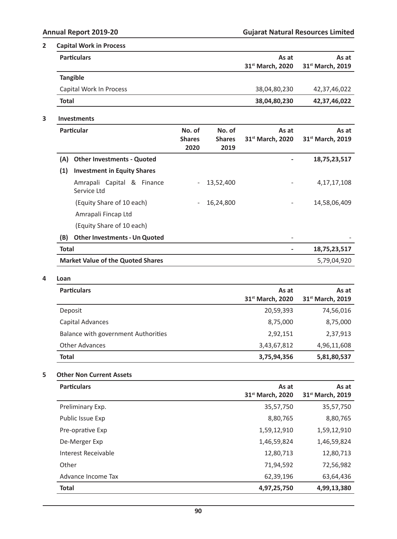#### **2 Capital Work in Process**

| <b>Particulars</b>      | As at                        | As at                        |
|-------------------------|------------------------------|------------------------------|
|                         | 31 <sup>st</sup> March, 2020 | 31 <sup>st</sup> March, 2019 |
| <b>Tangible</b>         |                              |                              |
| Capital Work In Process | 38,04,80,230                 | 42,37,46,022                 |
| Total                   | 38,04,80,230                 | 42,37,46,022                 |

#### **3 Investments**

|       | Particular                                | No. of<br><b>Shares</b><br>2020 | No. of<br><b>Shares</b><br>2019 | As at<br>31 <sup>st</sup> March, 2020 | As at<br>31 <sup>st</sup> March, 2019 |
|-------|-------------------------------------------|---------------------------------|---------------------------------|---------------------------------------|---------------------------------------|
| (A)   | <b>Other Investments - Quoted</b>         |                                 |                                 |                                       | 18,75,23,517                          |
| (1)   | <b>Investment in Equity Shares</b>        |                                 |                                 |                                       |                                       |
|       | Amrapali Capital & Finance<br>Service Ltd | $\overline{\phantom{a}}$        | 13,52,400                       |                                       | 4, 17, 17, 108                        |
|       | (Equity Share of 10 each)                 | $\overline{\phantom{m}}$        | 16,24,800                       |                                       | 14,58,06,409                          |
|       | Amrapali Fincap Ltd                       |                                 |                                 |                                       |                                       |
|       | (Equity Share of 10 each)                 |                                 |                                 |                                       |                                       |
| (B)   | <b>Other Investments - Un Quoted</b>      |                                 |                                 | ٠                                     |                                       |
| Total |                                           |                                 |                                 |                                       | 18,75,23,517                          |
|       | <b>Market Value of the Quoted Shares</b>  |                                 |                                 |                                       | 5,79,04,920                           |

#### **4 Loan**

| <b>Particulars</b>                  | As at<br>31 <sup>st</sup> March, 2020 | As at<br>31 <sup>st</sup> March, 2019 |
|-------------------------------------|---------------------------------------|---------------------------------------|
| Deposit                             | 20,59,393                             | 74,56,016                             |
| Capital Advances                    | 8,75,000                              | 8,75,000                              |
| Balance with government Authorities | 2,92,151                              | 2,37,913                              |
| <b>Other Advances</b>               | 3,43,67,812                           | 4,96,11,608                           |
| <b>Total</b>                        | 3,75,94,356                           | 5,81,80,537                           |

# **5 Other Non Current Assets**

| <b>Particulars</b>  | As at<br>31 <sup>st</sup> March, 2020 | As at<br>31 <sup>st</sup> March, 2019 |
|---------------------|---------------------------------------|---------------------------------------|
| Preliminary Exp.    | 35,57,750                             | 35,57,750                             |
| Public Issue Exp    | 8,80,765                              | 8,80,765                              |
| Pre-oprative Exp    | 1,59,12,910                           | 1,59,12,910                           |
| De-Merger Exp       | 1,46,59,824                           | 1,46,59,824                           |
| Interest Receivable | 12,80,713                             | 12,80,713                             |
| Other               | 71,94,592                             | 72,56,982                             |
| Advance Income Tax  | 62,39,196                             | 63,64,436                             |
| <b>Total</b>        | 4,97,25,750                           | 4,99,13,380                           |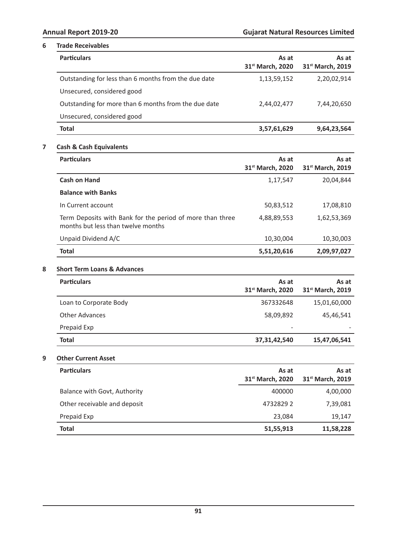#### **6 Trade Receivables**

| <b>Particulars</b>                                   | As at<br>31 <sup>st</sup> March, 2020 | As at<br>31 <sup>st</sup> March, 2019 |
|------------------------------------------------------|---------------------------------------|---------------------------------------|
| Outstanding for less than 6 months from the due date | 1,13,59,152                           | 2,20,02,914                           |
| Unsecured, considered good                           |                                       |                                       |
| Outstanding for more than 6 months from the due date | 2,44,02,477                           | 7,44,20,650                           |
| Unsecured, considered good                           |                                       |                                       |
| Total                                                | 3,57,61,629                           | 9,64,23,564                           |

# **7 Cash & Cash Equivalents**

| <b>Particulars</b>                                                                              | As at<br>31 <sup>st</sup> March, 2020 | As at<br>31 <sup>st</sup> March, 2019 |
|-------------------------------------------------------------------------------------------------|---------------------------------------|---------------------------------------|
| Cash on Hand                                                                                    | 1,17,547                              | 20,04,844                             |
| <b>Balance with Banks</b>                                                                       |                                       |                                       |
| In Current account                                                                              | 50,83,512                             | 17,08,810                             |
| Term Deposits with Bank for the period of more than three<br>months but less than twelve months | 4,88,89,553                           | 1,62,53,369                           |
| Unpaid Dividend A/C                                                                             | 10,30,004                             | 10,30,003                             |
| <b>Total</b>                                                                                    | 5,51,20,616                           | 2,09,97,027                           |

# **8 Short Term Loans & Advances**

| <b>Particulars</b>     | As at                        | As at                        |
|------------------------|------------------------------|------------------------------|
|                        | 31 <sup>st</sup> March, 2020 | 31 <sup>st</sup> March, 2019 |
| Loan to Corporate Body | 367332648                    | 15,01,60,000                 |
| <b>Other Advances</b>  | 58,09,892                    | 45,46,541                    |
| Prepaid Exp            | $\overline{\phantom{a}}$     |                              |
| Total                  | 37, 31, 42, 540              | 15,47,06,541                 |

# **9 Other Current Asset**

| <b>Particulars</b>           | As at                        | As at            |
|------------------------------|------------------------------|------------------|
|                              | 31 <sup>st</sup> March, 2020 | 31st March, 2019 |
| Balance with Govt, Authority | 400000                       | 4,00,000         |
| Other receivable and deposit | 47328292                     | 7,39,081         |
| Prepaid Exp                  | 23,084                       | 19,147           |
| Total                        | 51,55,913                    | 11,58,228        |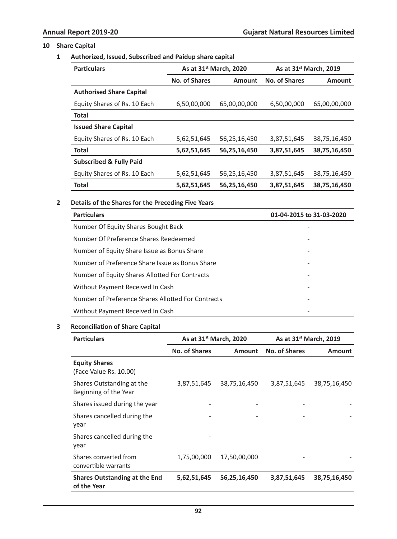# **10 Share Capital**

**1 Authorized, Issued, Subscribed and Paidup share capital**

| <b>Particulars</b>                 | As at 31 <sup>st</sup> March, 2020 |               | As at 31 <sup>st</sup> March, 2019 |              |
|------------------------------------|------------------------------------|---------------|------------------------------------|--------------|
|                                    | <b>No. of Shares</b>               | <b>Amount</b> | <b>No. of Shares</b>               | Amount       |
| <b>Authorised Share Capital</b>    |                                    |               |                                    |              |
| Equity Shares of Rs. 10 Each       | 6,50,00,000                        | 65,00,00,000  | 6,50,00,000                        | 65,00,00,000 |
| <b>Total</b>                       |                                    |               |                                    |              |
| <b>Issued Share Capital</b>        |                                    |               |                                    |              |
| Equity Shares of Rs. 10 Each       | 5,62,51,645                        | 56,25,16,450  | 3,87,51,645                        | 38,75,16,450 |
| <b>Total</b>                       | 5,62,51,645                        | 56,25,16,450  | 3,87,51,645                        | 38,75,16,450 |
| <b>Subscribed &amp; Fully Paid</b> |                                    |               |                                    |              |
| Equity Shares of Rs. 10 Each       | 5,62,51,645                        | 56,25,16,450  | 3,87,51,645                        | 38,75,16,450 |
| <b>Total</b>                       | 5,62,51,645                        | 56,25,16,450  | 3,87,51,645                        | 38,75,16,450 |

# **2 Details of the Shares for the Preceding Five Years**

| <b>Particulars</b>                                 | 01-04-2015 to 31-03-2020 |
|----------------------------------------------------|--------------------------|
| Number Of Equity Shares Bought Back                |                          |
| Number Of Preference Shares Reedeemed              |                          |
| Number of Equity Share Issue as Bonus Share        |                          |
| Number of Preference Share Issue as Bonus Share    |                          |
| Number of Equity Shares Allotted For Contracts     |                          |
| Without Payment Received In Cash                   |                          |
| Number of Preference Shares Allotted For Contracts |                          |
| Without Payment Received In Cash                   |                          |

# **3 Reconciliation of Share Capital**

| <b>Particulars</b>                                  | As at 31 <sup>st</sup> March, 2020 |               | As at 31 <sup>st</sup> March, 2019 |              |
|-----------------------------------------------------|------------------------------------|---------------|------------------------------------|--------------|
|                                                     | No. of Shares                      | <b>Amount</b> | No. of Shares                      | Amount       |
| <b>Equity Shares</b><br>(Face Value Rs. 10.00)      |                                    |               |                                    |              |
| Shares Outstanding at the<br>Beginning of the Year  | 3,87,51,645                        | 38,75,16,450  | 3,87,51,645                        | 38,75,16,450 |
| Shares issued during the year                       |                                    |               |                                    |              |
| Shares cancelled during the<br>year                 |                                    |               |                                    |              |
| Shares cancelled during the<br>year                 |                                    |               |                                    |              |
| Shares converted from<br>convertible warrants       | 1,75,00,000                        | 17,50,00,000  |                                    |              |
| <b>Shares Outstanding at the End</b><br>of the Year | 5,62,51,645                        | 56,25,16,450  | 3,87,51,645                        | 38,75,16,450 |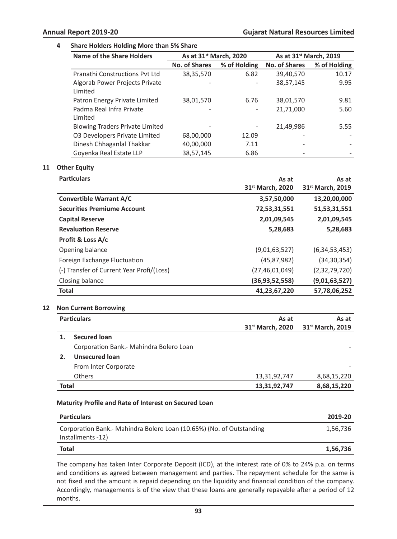# **4 Share Holders Holding More than 5% Share**

| <b>Name of the Share Holders</b>       | As at 31 <sup>st</sup> March, 2020 |              | As at 31 <sup>st</sup> March, 2019 |              |
|----------------------------------------|------------------------------------|--------------|------------------------------------|--------------|
|                                        | <b>No. of Shares</b>               | % of Holding | <b>No. of Shares</b>               | % of Holding |
| <b>Pranathi Constructions Pvt Ltd</b>  | 38,35,570                          | 6.82         | 39,40,570                          | 10.17        |
| Algorab Power Projects Private         |                                    |              | 38,57,145                          | 9.95         |
| Limited                                |                                    |              |                                    |              |
| Patron Energy Private Limited          | 38,01,570                          | 6.76         | 38,01,570                          | 9.81         |
| Padma Real Infra Private               |                                    |              | 21,71,000                          | 5.60         |
| Limited                                |                                    |              |                                    |              |
| <b>Blowing Traders Private Limited</b> |                                    |              | 21,49,986                          | 5.55         |
| <b>03 Developers Private Limited</b>   | 68,00,000                          | 12.09        |                                    |              |
| Dinesh Chhaganlal Thakkar              | 40,00,000                          | 7.11         |                                    |              |
| Govenka Real Estate LLP                | 38,57,145                          | 6.86         |                                    |              |

#### **11 Other Equity**

| <b>Particulars</b>                        | As at                        | As at                        |
|-------------------------------------------|------------------------------|------------------------------|
|                                           | 31 <sup>st</sup> March, 2020 | 31 <sup>st</sup> March, 2019 |
| <b>Convertible Warrant A/C</b>            | 3,57,50,000                  | 13,20,00,000                 |
| <b>Securities Premiume Account</b>        | 72,53,31,551                 | 51,53,31,551                 |
| <b>Capital Reserve</b>                    | 2,01,09,545                  | 2,01,09,545                  |
| <b>Revaluation Reserve</b>                | 5,28,683                     | 5,28,683                     |
| Profit & Loss A/c                         |                              |                              |
| Opening balance                           | (9,01,63,527)                | (6, 34, 53, 453)             |
| Foreign Exchange Fluctuation              | (45, 87, 982)                | (34, 30, 354)                |
| (-) Transfer of Current Year Profi/(Loss) | (27, 46, 01, 049)            | (2,32,79,720)                |
| Closing balance                           | (36, 93, 52, 558)            | (9,01,63,527)                |
| <b>Total</b>                              | 41,23,67,220                 | 57,78,06,252                 |

#### **12 Non Current Borrowing**

| <b>Particulars</b>                      | As at                        | As at            |
|-----------------------------------------|------------------------------|------------------|
|                                         | 31 <sup>st</sup> March, 2020 | 31st March, 2019 |
| Secured loan                            |                              |                  |
| Corporation Bank.- Mahindra Bolero Loan |                              |                  |
| <b>Unsecured loan</b>                   |                              |                  |
| From Inter Corporate                    |                              |                  |
| <b>Others</b>                           | 13,31,92,747                 | 8,68,15,220      |
| Total                                   | 13,31,92,747                 | 8,68,15,220      |
|                                         |                              |                  |

#### **Maturity Profile and Rate of Interest on Secured Loan**

| <b>Particulars</b>                                                                        | 2019-20  |
|-------------------------------------------------------------------------------------------|----------|
| Corporation Bank.- Mahindra Bolero Loan (10.65%) (No. of Outstanding<br>Installments -12) | 1,56,736 |
| <b>Total</b>                                                                              | 1,56,736 |

The company has taken Inter Corporate Deposit (ICD), at the interest rate of 0% to 24% p.a. on terms and conditions as agreed between management and parties. The repayment schedule for the same is not fixed and the amount is repaid depending on the liquidity and financial condition of the company. Accordingly, managements is of the view that these loans are generally repayable after a period of 12 months.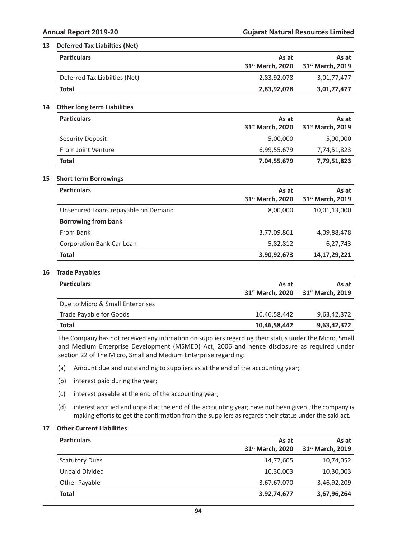#### **13 Deferred Tax Liabilties (Net)**

| <b>Particulars</b>            | As at<br>31 <sup>st</sup> March, 2020 | As at<br>$31st$ March, 2019 |
|-------------------------------|---------------------------------------|-----------------------------|
| Deferred Tax Liabilties (Net) | 2,83,92,078                           | 3,01,77,477                 |
| <b>Total</b>                  | 2,83,92,078                           | 3,01,77,477                 |

#### **14 Other long term Liabilities**

| <b>Particulars</b> | As at                        | As at                        |
|--------------------|------------------------------|------------------------------|
|                    | 31 <sup>st</sup> March, 2020 | 31 <sup>st</sup> March, 2019 |
| Security Deposit   | 5,00,000                     | 5,00,000                     |
| From Joint Venture | 6,99,55,679                  | 7,74,51,823                  |
| Total              | 7,04,55,679                  | 7,79,51,823                  |

#### **15 Short term Borrowings**

| <b>Particulars</b>                  | As at<br>31 <sup>st</sup> March, 2020 | As at<br>31 <sup>st</sup> March, 2019 |
|-------------------------------------|---------------------------------------|---------------------------------------|
| Unsecured Loans repayable on Demand | 8,00,000                              | 10,01,13,000                          |
| Borrowing from bank                 |                                       |                                       |
| From Bank                           | 3,77,09,861                           | 4,09,88,478                           |
| Corporation Bank Car Loan           | 5,82,812                              | 6,27,743                              |
| <b>Total</b>                        | 3,90,92,673                           | 14, 17, 29, 221                       |

#### **16 Trade Payables**

| <b>Particulars</b>               | As at<br>31 <sup>st</sup> March, 2020 | As at<br>31 <sup>st</sup> March, 2019 |
|----------------------------------|---------------------------------------|---------------------------------------|
| Due to Micro & Small Enterprises |                                       |                                       |
| Trade Payable for Goods          | 10,46,58,442                          | 9,63,42,372                           |
| Total                            | 10,46,58,442                          | 9,63,42,372                           |

The Company has not received any intimation on suppliers regarding their status under the Micro, Small and Medium Enterprise Development (MSMED) Act, 2006 and hence disclosure as required under section 22 of The Micro, Small and Medium Enterprise regarding:

- (a) Amount due and outstanding to suppliers as at the end of the accounting year;
- (b) interest paid during the year;
- (c) interest payable at the end of the accounting year;
- (d) interest accrued and unpaid at the end of the accounting year; have not been given , the company is making efforts to get the confirmation from the suppliers as regards their status under the said act.

# **17 Other Current Liabilities**

| <b>Particulars</b>    | As at                        | As at                        |
|-----------------------|------------------------------|------------------------------|
|                       | 31 <sup>st</sup> March, 2020 | 31 <sup>st</sup> March, 2019 |
| <b>Statutory Dues</b> | 14,77,605                    | 10,74,052                    |
| Unpaid Divided        | 10,30,003                    | 10,30,003                    |
| Other Payable         | 3,67,67,070                  | 3,46,92,209                  |
| <b>Total</b>          | 3,92,74,677                  | 3,67,96,264                  |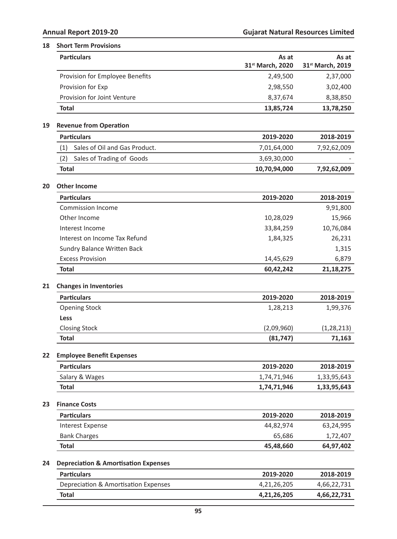#### **18 Short Term Provisions**

| <b>Particulars</b>              | As at                        | As at                        |
|---------------------------------|------------------------------|------------------------------|
|                                 | 31 <sup>st</sup> March, 2020 | 31 <sup>st</sup> March, 2019 |
| Provision for Employee Benefits | 2,49,500                     | 2,37,000                     |
| Provision for Exp               | 2,98,550                     | 3,02,400                     |
| Provision for Joint Venture     | 8,37,674                     | 8,38,850                     |
| Total                           | 13,85,724                    | 13,78,250                    |

# **19 Revenue from Operation**

| <b>Particulars</b>                   | 2019-2020    | 2018-2019   |
|--------------------------------------|--------------|-------------|
| Sales of Oil and Gas Product.<br>(1) | 7,01,64,000  | 7,92,62,009 |
| Sales of Trading of Goods            | 3,69,30,000  |             |
| Total                                | 10,70,94,000 | 7,92,62,009 |

# **20 Other Income**

| <b>Particulars</b>            | 2019-2020 | 2018-2019   |
|-------------------------------|-----------|-------------|
| <b>Commission Income</b>      |           | 9,91,800    |
| Other Income                  | 10,28,029 | 15,966      |
| Interest Income               | 33,84,259 | 10,76,084   |
| Interest on Income Tax Refund | 1,84,325  | 26,231      |
| Sundry Balance Written Back   |           | 1,315       |
| <b>Excess Provision</b>       | 14,45,629 | 6,879       |
| <b>Total</b>                  | 60,42,242 | 21, 18, 275 |

# **21 Changes in Inventories**

| <b>Particulars</b>   | 2019-2020  | 2018-2019    |
|----------------------|------------|--------------|
| <b>Opening Stock</b> | 1,28,213   | 1,99,376     |
| Less                 |            |              |
| <b>Closing Stock</b> | (2,09,960) | (1, 28, 213) |
| <b>Total</b>         | (81, 747)  | 71,163       |

# **22 Employee Benefit Expenses**

| <b>Particulars</b> | 2019-2020   | 2018-2019   |
|--------------------|-------------|-------------|
| Salary & Wages     | 1,74,71,946 | 1,33,95,643 |
| <b>Total</b>       | 1,74,71,946 | 1,33,95,643 |

#### **23 Finance Costs**

| <b>Particulars</b>  | 2019-2020 | 2018-2019 |
|---------------------|-----------|-----------|
| Interest Expense    | 44.82.974 | 63,24,995 |
| <b>Bank Charges</b> | 65.686    | 1.72.407  |
| Total               | 45,48,660 | 64.97.402 |

# **24 Depreciation & Amortisation Expenses**

| <b>Particulars</b>                   | 2019-2020   | 2018-2019   |
|--------------------------------------|-------------|-------------|
| Depreciation & Amortisation Expenses | 4,21,26,205 | 4,66,22,731 |
| Total                                | 4,21,26,205 | 4,66,22,731 |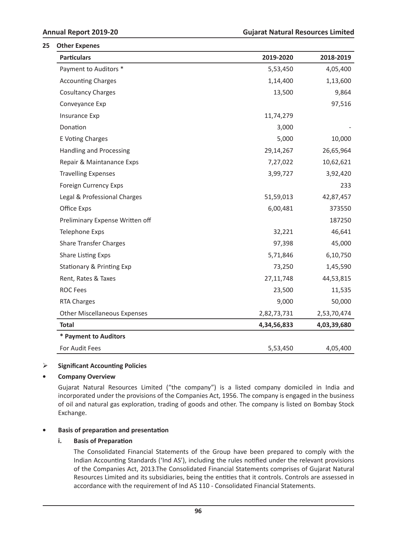**25 Other Expenes**

# **Significant Accounting Policies**

**• Company Overview**

Gujarat Natural Resources Limited ("the company") is a listed company domiciled in India and incorporated under the provisions of the Companies Act, 1956. The company is engaged in the business of oil and natural gas exploration, trading of goods and other. The company is listed on Bombay Stock Exchange.

# **• Basis of preparation and presentation**

# **i. Basis of Preparation**

The Consolidated Financial Statements of the Group have been prepared to comply with the Indian Accounting Standards ('Ind AS'), including the rules notified under the relevant provisions of the Companies Act, 2013.The Consolidated Financial Statements comprises of Gujarat Natural Resources Limited and its subsidiaries, being the entities that it controls. Controls are assessed in accordance with the requirement of Ind AS 110 - Consolidated Financial Statements.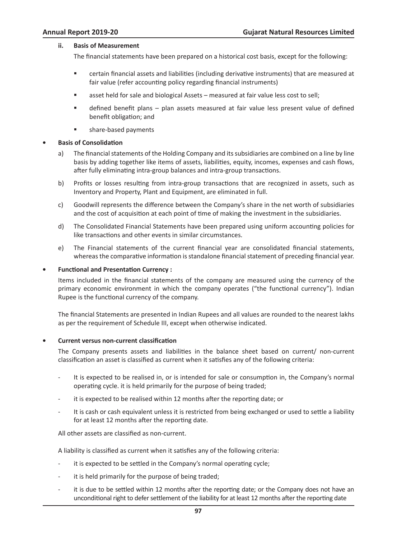#### **ii. Basis of Measurement**

The financial statements have been prepared on a historical cost basis, except for the following:

- certain financial assets and liabilities (including derivative instruments) that are measured at fair value (refer accounting policy regarding financial instruments)
- asset held for sale and biological Assets measured at fair value less cost to sell;
- defined benefit plans plan assets measured at fair value less present value of defined benefit obligation; and
- share-based payments

#### **• Basis of Consolidation**

- a) The financial statements of the Holding Company and its subsidiaries are combined on a line by line basis by adding together like items of assets, liabilities, equity, incomes, expenses and cash flows, after fully eliminating intra-group balances and intra-group transactions.
- b) Profits or losses resulting from intra-group transactions that are recognized in assets, such as Inventory and Property, Plant and Equipment, are eliminated in full.
- c) Goodwill represents the difference between the Company's share in the net worth of subsidiaries and the cost of acquisition at each point of time of making the investment in the subsidiaries.
- d) The Consolidated Financial Statements have been prepared using uniform accounting policies for like transactions and other events in similar circumstances.
- e) The Financial statements of the current financial year are consolidated financial statements, whereas the comparative information is standalone financial statement of preceding financial year.

#### **• Functional and Presentation Currency :**

Items included in the financial statements of the company are measured using the currency of the primary economic environment in which the company operates ("the functional currency"). Indian Rupee is the functional currency of the company.

The financial Statements are presented in Indian Rupees and all values are rounded to the nearest lakhs as per the requirement of Schedule III, except when otherwise indicated.

#### **• Current versus non-current classification**

The Company presents assets and liabilities in the balance sheet based on current/ non-current classification an asset is classified as current when it satisfies any of the following criteria:

- It is expected to be realised in, or is intended for sale or consumption in, the Company's normal operating cycle. it is held primarily for the purpose of being traded;
- it is expected to be realised within 12 months after the reporting date; or
- It is cash or cash equivalent unless it is restricted from being exchanged or used to settle a liability for at least 12 months after the reporting date.

All other assets are classified as non-current.

A liability is classified as current when it satisfies any of the following criteria:

- it is expected to be settled in the Company's normal operating cycle;
- it is held primarily for the purpose of being traded;
- it is due to be settled within 12 months after the reporting date; or the Company does not have an unconditional right to defer settlement of the liability for at least 12 months after the reporting date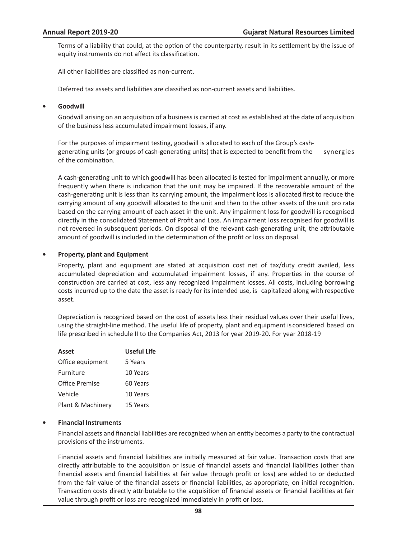Terms of a liability that could, at the option of the counterparty, result in its settlement by the issue of equity instruments do not affect its classification.

All other liabilities are classified as non-current.

Deferred tax assets and liabilities are classified as non-current assets and liabilities.

### **• Goodwill**

Goodwill arising on an acquisition of a business is carried at cost as established at the date of acquisition of the business less accumulated impairment losses, if any.

For the purposes of impairment testing, goodwill is allocated to each of the Group's cashgenerating units (or groups of cash-generating units) that is expected to benefit from the synergies of the combination.

A cash-generating unit to which goodwill has been allocated is tested for impairment annually, or more frequently when there is indication that the unit may be impaired. If the recoverable amount of the cash-generating unit is less than its carrying amount, the impairment loss is allocated first to reduce the carrying amount of any goodwill allocated to the unit and then to the other assets of the unit pro rata based on the carrying amount of each asset in the unit. Any impairment loss for goodwill is recognised directly in the consolidated Statement of Profit and Loss. An impairment loss recognised for goodwill is not reversed in subsequent periods. On disposal of the relevant cash-generating unit, the attributable amount of goodwill is included in the determination of the profit or loss on disposal.

#### **• Property, plant and Equipment**

Property, plant and equipment are stated at acquisition cost net of tax/duty credit availed, less accumulated depreciation and accumulated impairment losses, if any. Properties in the course of construction are carried at cost, less any recognized impairment losses. All costs, including borrowing costs incurred up to the date the asset is ready for its intended use, is capitalized along with respective asset.

Depreciation is recognized based on the cost of assets less their residual values over their useful lives, using the straight-line method. The useful life of property, plant and equipment is considered based on life prescribed in schedule II to the Companies Act, 2013 for year 2019-20. For year 2018-19

| Asset             | Useful Life |
|-------------------|-------------|
| Office equipment  | 5 Years     |
| <b>Furniture</b>  | 10 Years    |
| Office Premise    | 60 Years    |
| Vehicle           | 10 Years    |
| Plant & Machinery | 15 Years    |

#### **• Financial Instruments**

Financial assets and financial liabilities are recognized when an entity becomes a party to the contractual provisions of the instruments.

Financial assets and financial liabilities are initially measured at fair value. Transaction costs that are directly attributable to the acquisition or issue of financial assets and financial liabilities (other than financial assets and financial liabilities at fair value through profit or loss) are added to or deducted from the fair value of the financial assets or financial liabilities, as appropriate, on initial recognition. Transaction costs directly attributable to the acquisition of financial assets or financial liabilities at fair value through profit or loss are recognized immediately in profit or loss.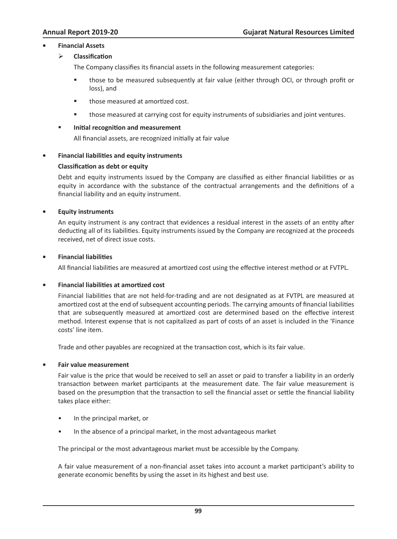# **• Financial Assets**

# **Classification**

The Company classifies its financial assets in the following measurement categories:

- those to be measured subsequently at fair value (either through OCI, or through profit or loss), and
- those measured at amortized cost.
- those measured at carrying cost for equity instruments of subsidiaries and joint ventures.
- **Initial recognition and measurement**

All financial assets, are recognized initially at fair value

# **• Financial liabilities and equity instruments**

# **Classification as debt or equity**

Debt and equity instruments issued by the Company are classified as either financial liabilities or as equity in accordance with the substance of the contractual arrangements and the definitions of a financial liability and an equity instrument.

# **• Equity instruments**

An equity instrument is any contract that evidences a residual interest in the assets of an entity after deducting all of its liabilities. Equity instruments issued by the Company are recognized at the proceeds received, net of direct issue costs.

# **• Financial liabilities**

All financial liabilities are measured at amortized cost using the effective interest method or at FVTPL.

# **• Financial liabilities at amortized cost**

Financial liabilities that are not held-for-trading and are not designated as at FVTPL are measured at amortized cost at the end of subsequent accounting periods. The carrying amounts of financial liabilities that are subsequently measured at amortized cost are determined based on the effective interest method. Interest expense that is not capitalized as part of costs of an asset is included in the 'Finance costs' line item.

Trade and other payables are recognized at the transaction cost, which is its fair value.

#### **• Fair value measurement**

Fair value is the price that would be received to sell an asset or paid to transfer a liability in an orderly transaction between market participants at the measurement date. The fair value measurement is based on the presumption that the transaction to sell the financial asset or settle the financial liability takes place either:

- In the principal market, or
- In the absence of a principal market, in the most advantageous market

The principal or the most advantageous market must be accessible by the Company.

A fair value measurement of a non-financial asset takes into account a market participant's ability to generate economic benefits by using the asset in its highest and best use.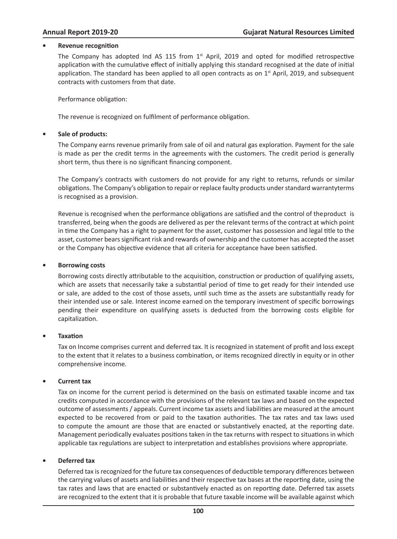#### **• Revenue recognition**

The Company has adopted Ind AS 115 from  $1<sup>st</sup>$  April, 2019 and opted for modified retrospective application with the cumulative effect of initially applying this standard recognised at the date of initial application. The standard has been applied to all open contracts as on  $1<sup>st</sup>$  April, 2019, and subsequent contracts with customers from that date.

Performance obligation:

The revenue is recognized on fulfilment of performance obligation.

# **• Sale of products:**

The Company earns revenue primarily from sale of oil and natural gas exploration. Payment for the sale is made as per the credit terms in the agreements with the customers. The credit period is generally short term, thus there is no significant financing component.

The Company's contracts with customers do not provide for any right to returns, refunds or similar obligations. The Company's obligation to repair or replace faulty products under standard warrantyterms is recognised as a provision.

Revenue is recognised when the performance obligations are satisfied and the control of theproduct is transferred, being when the goods are delivered as per the relevant terms of the contract at which point in time the Company has a right to payment for the asset, customer has possession and legal title to the asset, customer bears significant risk and rewards of ownership and the customer has accepted the asset or the Company has objective evidence that all criteria for acceptance have been satisfied.

# **• Borrowing costs**

Borrowing costs directly attributable to the acquisition, construction or production of qualifying assets, which are assets that necessarily take a substantial period of time to get ready for their intended use or sale, are added to the cost of those assets, until such time as the assets are substantially ready for their intended use or sale. Interest income earned on the temporary investment of specific borrowings pending their expenditure on qualifying assets is deducted from the borrowing costs eligible for capitalization.

#### **• Taxation**

Tax on Income comprises current and deferred tax. It is recognized in statement of profit and loss except to the extent that it relates to a business combination, or items recognized directly in equity or in other comprehensive income.

#### **• Current tax**

Tax on income for the current period is determined on the basis on estimated taxable income and tax credits computed in accordance with the provisions of the relevant tax laws and based on the expected outcome of assessments / appeals. Current income tax assets and liabilities are measured at the amount expected to be recovered from or paid to the taxation authorities. The tax rates and tax laws used to compute the amount are those that are enacted or substantively enacted, at the reporting date. Management periodically evaluates positions taken in the tax returns with respect to situations in which applicable tax regulations are subject to interpretation and establishes provisions where appropriate.

# **• Deferred tax**

Deferred tax is recognized for the future tax consequences of deductible temporary differences between the carrying values of assets and liabilities and their respective tax bases at the reporting date, using the tax rates and laws that are enacted or substantively enacted as on reporting date. Deferred tax assets are recognized to the extent that it is probable that future taxable income will be available against which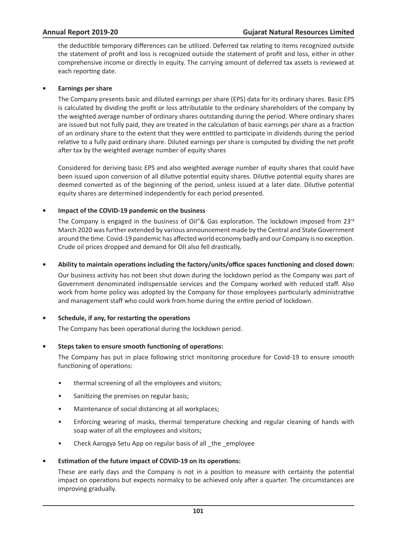the deductible temporary differences can be utilized. Deferred tax relating to items recognized outside the statement of profit and loss is recognized outside the statement of profit and loss, either in other comprehensive income or directly in equity. The carrying amount of deferred tax assets is reviewed at each reporting date.

# **• Earnings per share**

The Company presents basic and diluted earnings per share (EPS) data for its ordinary shares. Basic EPS is calculated by dividing the profit or loss attributable to the ordinary shareholders of the company by the weighted average number of ordinary shares outstanding during the period. Where ordinary shares are issued but not fully paid, they are treated in the calculation of basic earnings per share as a fraction of an ordinary share to the extent that they were entitled to participate in dividends during the period relative to a fully paid ordinary share. Diluted earnings per share is computed by dividing the net profit after tax by the weighted average number of equity shares

Considered for deriving basic EPS and also weighted average number of equity shares that could have been issued upon conversion of all dilutive potential equity shares. Dilutive potential equity shares are deemed converted as of the beginning of the period, unless issued at a later date. Dilutive potential equity shares are determined independently for each period presented.

# **• Impact of the COVID-19 pandemic on the business**

The Company is engaged in the business of Oil"& Gas exploration. The lockdown imposed from  $23<sup>rd</sup>$ March 2020 was further extended by various announcement made by the Central and State Government around the time. Covid-19 pandemic has affected world economy badly and our Company is no exception. Crude oil prices dropped and demand for OII also fell drastically.

# **• Ability to maintain operations including the factory/units/office spaces functioning and closed down:**

Our business activity has not been shut down during the lockdown period as the Company was part of Government denominated indispensable services and the Company worked with reduced staff. Also work from home policy was adopted by the Company for those employees particularly administrative and management staff who could work from home during the entire period of lockdown.

# **• Schedule, if any, for restarting the operations**

The Company has been operational during the lockdown period.

#### **• Steps taken to ensure smooth functioning of operations:**

The Company has put in place following strict monitoring procedure for Covid-19 to ensure smooth functioning of operations:

- thermal screening of all the employees and visitors;
- Sanitizing the premises on regular basis;
- Maintenance of social distancing at all workplaces;
- Enforcing wearing of masks, thermal temperature checking and regular cleaning of hands with soap water of all the employees and visitors;
- Check Aarogya Setu App on regular basis of all the employee

#### **• Estimation of the future impact of COVID-19 on its operations:**

These are early days and the Company is not in a position to measure with certainty the potential impact on operations but expects normalcy to be achieved only after a quarter. The circumstances are improving gradually.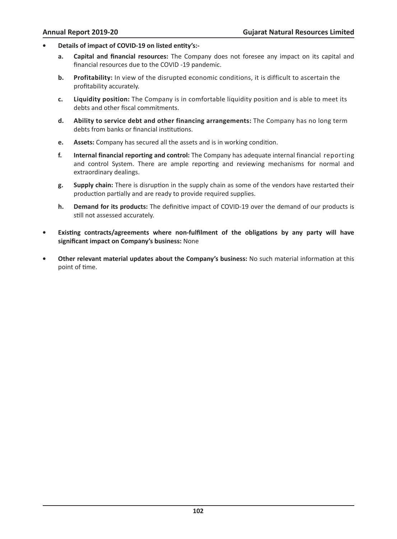- **• Details of impact of COVID-19 on listed entity's:**
	- **a. Capital and financial resources:** The Company does not foresee any impact on its capital and financial resources due to the COVID -19 pandemic.
	- **b. Profitability:** In view of the disrupted economic conditions, it is difficult to ascertain the profitability accurately.
	- **c. Liquidity position:** The Company is in comfortable liquidity position and is able to meet its debts and other fiscal commitments.
	- **d. Ability to service debt and other financing arrangements:** The Company has no long term debts from banks or financial institutions.
	- **e. Assets:** Company has secured all the assets and is in working condition.
	- **f. Internal financial reporting and control:** The Company has adequate internal financial reporting and control System. There are ample reporting and reviewing mechanisms for normal and extraordinary dealings.
	- **g. Supply chain:** There is disruption in the supply chain as some of the vendors have restarted their production partially and are ready to provide required supplies.
	- **h. Demand for its products:** The definitive impact of COVID-19 over the demand of our products is still not assessed accurately.
- **• Existing contracts/agreements where non-fulfilment of the obligations by any party will have significant impact on Company's business:** None
- **• Other relevant material updates about the Company's business:** No such material information at this point of time.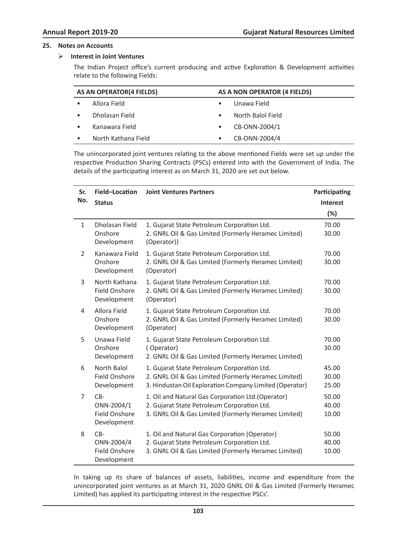#### **25. Notes on Accounts**

# **Interest in Joint Ventures**

The Indian Project office's current producing and active Exploration & Development activities relate to the following Fields:

| AS AN OPERATOR(4 FIELDS) | AS A NON OPERATOR (4 FIELDS) |
|--------------------------|------------------------------|
| Allora Field             | Unawa Field                  |
| Dholasan Field           | North Balol Field            |
| Kanawara Field           | CB-ONN-2004/1                |
| North Kathana Field      | CB-ONN-2004/4                |

The unincorporated joint ventures relating to the above mentioned Fields were set up under the respective Production Sharing Contracts (PSCs) entered into with the Government of India. The details of the participating interest as on March 31, 2020 are set out below.

| Sr.            | Field-Location                      | <b>Joint Ventures Partners</b>                                                                      | Participating   |
|----------------|-------------------------------------|-----------------------------------------------------------------------------------------------------|-----------------|
| No.            | <b>Status</b>                       |                                                                                                     | <b>Interest</b> |
|                |                                     |                                                                                                     | $(\%)$          |
| $\mathbf{1}$   | Dholasan Field<br>Onshore           | 1. Gujarat State Petroleum Corporation Ltd.<br>2. GNRL Oil & Gas Limited (Formerly Heramec Limited) | 70.00<br>30.00  |
|                | Development                         | (Operator))                                                                                         |                 |
| $\overline{2}$ | Kanawara Field                      | 1. Gujarat State Petroleum Corporation Ltd.                                                         | 70.00           |
|                | Onshore<br>Development              | 2. GNRL Oil & Gas Limited (Formerly Heramec Limited)<br>(Operator)                                  | 30.00           |
| 3              | North Kathana                       | 1. Gujarat State Petroleum Corporation Ltd.                                                         | 70.00           |
|                | <b>Field Onshore</b><br>Development | 2. GNRL Oil & Gas Limited (Formerly Heramec Limited)<br>(Operator)                                  | 30.00           |
| 4              | Allora Field                        | 1. Gujarat State Petroleum Corporation Ltd.                                                         | 70.00           |
|                | Onshore<br>Development              | 2. GNRL Oil & Gas Limited (Formerly Heramec Limited)<br>(Operator)                                  | 30.00           |
| 5              | Unawa Field                         | 1. Gujarat State Petroleum Corporation Ltd.                                                         | 70.00           |
|                | Onshore<br>Development              | (Operator)<br>2. GNRL Oil & Gas Limited (Formerly Heramec Limited)                                  | 30.00           |
| 6              | North Balol                         | 1. Gujarat State Petroleum Corporation Ltd.                                                         | 45.00           |
|                | <b>Field Onshore</b>                | 2. GNRL Oil & Gas Limited (Formerly Heramec Limited)                                                | 30.00           |
|                | Development                         | 3. Hindustan Oil Exploration Company Limited (Operator)                                             | 25.00           |
| 7              | $CB-$                               | 1. Oil and Natural Gas Corporation Ltd. (Operator)                                                  | 50.00           |
|                | ONN-2004/1                          | 2. Gujarat State Petroleum Corporation Ltd.                                                         | 40.00           |
|                | <b>Field Onshore</b><br>Development | 3. GNRL Oil & Gas Limited (Formerly Heramec Limited)                                                | 10.00           |
| 8              | $CB-$                               | 1. Oil and Natural Gas Corporation (Operator)                                                       | 50.00           |
|                | ONN-2004/4                          | 2. Gujarat State Petroleum Corporation Ltd.                                                         | 40.00           |
|                | <b>Field Onshore</b><br>Development | 3. GNRL Oil & Gas Limited (Formerly Heramec Limited)                                                | 10.00           |

In taking up its share of balances of assets, liabilities, income and expenditure from the unincorporated joint ventures as at March 31, 2020 GNRL Oil & Gas Limited (Formerly Heramec Limited) has applied its participating interest in the respective PSCs'.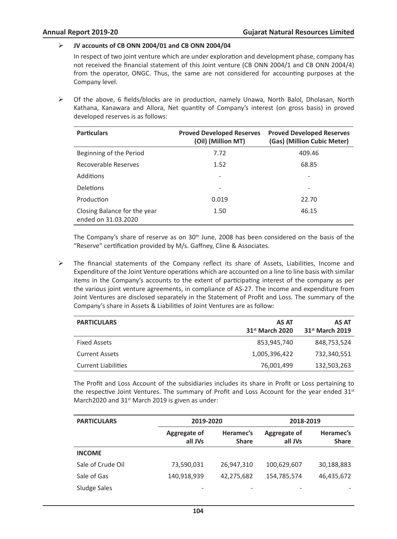### **JV accounts of CB ONN 2004/01 and CB ONN 2004/04**

In respect of two joint venture which are under exploration and development phase, company has not received the financial statement of this Joint venture (CB ONN 2004/1 and CB ONN 2004/4) from the operator, ONGC. Thus, the same are not considered for accounting purposes at the Company level.

 Of the above, 6 fields/blocks are in production, namely Unawa, North Balol, Dholasan, North Kathana, Kanawara and Allora, Net quantity of Company's interest (on gross basis) in proved developed reserves is as follows:

| <b>Particulars</b>                                  | <b>Proved Developed Reserves</b><br>(Oil) (Million MT) | <b>Proved Developed Reserves</b><br>(Gas) (Million Cubic Meter) |
|-----------------------------------------------------|--------------------------------------------------------|-----------------------------------------------------------------|
| Beginning of the Period                             | 7.72                                                   | 409.46                                                          |
| Recoverable Reserves                                | 1.52                                                   | 68.85                                                           |
| Additions                                           | $\overline{\phantom{0}}$                               |                                                                 |
| <b>Deletions</b>                                    | ۰                                                      | ٠                                                               |
| Production                                          | 0.019                                                  | 22.70                                                           |
| Closing Balance for the year<br>ended on 31.03.2020 | 1.50                                                   | 46.15                                                           |

The Company's share of reserve as on  $30<sup>th</sup>$  June, 2008 has been considered on the basis of the "Reserve" certification provided by M/s. Gaffney, Cline & Associates.

 $\triangleright$  The financial statements of the Company reflect its share of Assets, Liabilities, Income and Expenditure of the Joint Venture operations which are accounted on a line to line basis with similar items in the Company's accounts to the extent of participating interest of the company as per the various joint venture agreements, in compliance of AS-27. The income and expenditure from Joint Ventures are disclosed separately in the Statement of Profit and Loss. The summary of the Company's share in Assets & Liabilities of Joint Ventures are as follow:

| <b>PARTICULARS</b>         | AS AT                       | AS AT                       |
|----------------------------|-----------------------------|-----------------------------|
|                            | 31 <sup>st</sup> March 2020 | 31 <sup>st</sup> March 2019 |
| <b>Fixed Assets</b>        | 853,945,740                 | 848,753,524                 |
| <b>Current Assets</b>      | 1,005,396,422               | 732,340,551                 |
| <b>Current Liabilities</b> | 76,001,499                  | 132,503,263                 |

The Profit and Loss Account of the subsidiaries includes its share in Profit or Loss pertaining to the respective Joint Ventures. The summary of Profit and Loss Account for the year ended  $31<sup>st</sup>$ March2020 and  $31<sup>st</sup>$  March 2019 is given as under:

| <b>PARTICULARS</b> |                         | 2019-2020                 |                         | 2018-2019                 |  |
|--------------------|-------------------------|---------------------------|-------------------------|---------------------------|--|
|                    | Aggregate of<br>all JVs | Heramec's<br><b>Share</b> | Aggregate of<br>all JVs | Heramec's<br><b>Share</b> |  |
| <b>INCOME</b>      |                         |                           |                         |                           |  |
| Sale of Crude Oil  | 73,590,031              | 26,947,310                | 100,629,607             | 30,188,883                |  |
| Sale of Gas        | 140,918,939             | 42,275,682                | 154,785,574             | 46,435,672                |  |
| Sludge Sales       | ۰                       | -                         | -                       |                           |  |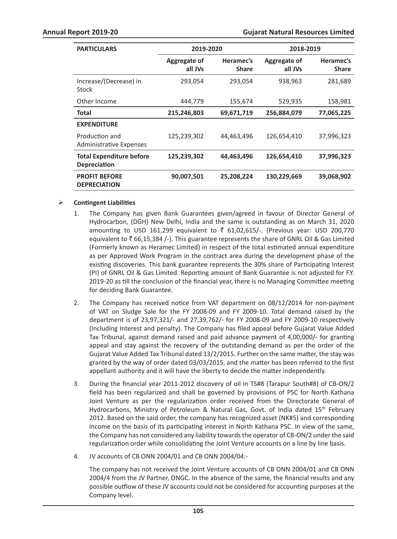| <b>PARTICULARS</b>                               | 2019-2020               |                           |                         | 2018-2019                 |  |
|--------------------------------------------------|-------------------------|---------------------------|-------------------------|---------------------------|--|
|                                                  | Aggregate of<br>all JVs | Heramec's<br><b>Share</b> | Aggregate of<br>all JVs | Heramec's<br><b>Share</b> |  |
| Increase/(Decrease) in<br>Stock                  | 293,054                 | 293,054                   | 938,963                 | 281,689                   |  |
| Other Income                                     | 444,779                 | 155,674                   | 529,935                 | 158,981                   |  |
| Total                                            | 215,246,803             | 69,671,719                | 256,884,079             | 77,065,225                |  |
| <b>EXPENDITURE</b>                               |                         |                           |                         |                           |  |
| Production and<br><b>Administrative Expenses</b> | 125,239,302             | 44,463,496                | 126,654,410             | 37,996,323                |  |
| <b>Total Expenditure before</b><br>Depreciation  | 125,239,302             | 44,463,496                | 126,654,410             | 37,996,323                |  |
| <b>PROFIT BEFORE</b><br><b>DEPRECIATION</b>      | 90,007,501              | 25,208,224                | 130,229,669             | 39,068,902                |  |

# **Contingent Liabilities**

- 1. The Company has given Bank Guarantees given/agreed in favour of Director General of Hydrocarbon, (DGH) New Delhi, India and the same is outstanding as on March 31, 2020 amounting to USD 161,299 equivalent to  $\bar{\xi}$  61,02,615/-. (Previous year: USD 200,770 equivalent to  $\bar{\tau}$  66,15,384 /-). This guarantee represents the share of GNRL Oil & Gas Limited (Formerly known as Heramec Limited) in respect of the total estimated annual expenditure as per Approved Work Program in the contract area during the development phase of the existing discoveries. This bank guarantee represents the 30% share of Participating Interest (PI) of GNRL Oil & Gas Limited. Reporting amount of Bank Guarantee is not adjusted for F.Y. 2019-20 as till the conclusion of the financial year, there is no Managing Committee meeting for deciding Bank Guarantee.
- 2. The Company has received notice from VAT department on 08/12/2014 for non-payment of VAT on Sludge Sale for the FY 2008-09 and FY 2009-10. Total demand raised by the department is of 23,97,321/- and 27,39,762/- for FY 2008-09 and FY 2009-10 respectively (Including Interest and penalty). The Company has filed appeal before Gujarat Value Added Tax Tribunal, against demand raised and paid advance payment of 4,00,000/- for granting appeal and stay against the recovery of the outstanding demand as per the order of the Gujarat Value Added Tax Tribunal dated 13/2/2015. Further on the same matter, the stay was granted by the way of order dated 03/03/2015, and the matter has been referred to the first appellant authority and it will have the liberty to decide the matter independently.
- 3. During the financial year 2011-2012 discovery of oil in TS#8 (Tarapur South#8) of CB-ON/2 field has been regularized and shall be governed by provisions of PSC for North Kathana Joint Venture as per the regularization order received from the Directorate General of Hydrocarbons, Ministry of Petroleum & Natural Gas, Govt. of India dated 15<sup>th</sup> February 2012. Based on the said order, the company has recognized asset (NK#5) and corresponding income on the basis of its participating interest in North Kathana PSC. In view of the same, the Company has not considered any liability towards the operator of CB-ON/2 under the said regularization order while consolidating the Joint Venture accounts on a line by line basis.
- 4. JV accounts of CB ONN 2004/01 and CB ONN 2004/04:-

The company has not received the Joint Venture accounts of CB ONN 2004/01 and CB ONN 2004/4 from the JV Partner, ONGC. In the absence of the same, the financial results and any possible outflow of these JV accounts could not be considered for accounting purposes at the Company level.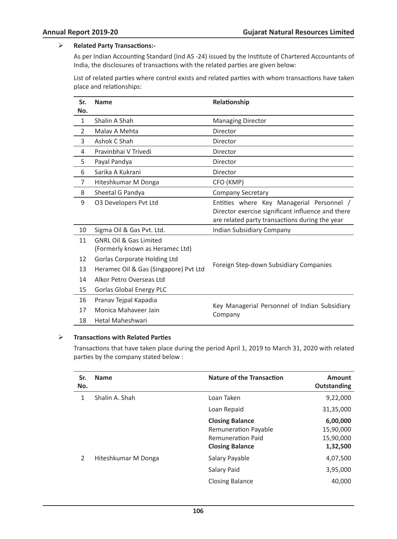# **Related Party Transactions:-**

As per Indian Accounting Standard (Ind AS -24) issued by the Institute of Chartered Accountants of India, the disclosures of transactions with the related parties are given below:

List of related parties where control exists and related parties with whom transactions have taken place and relationships:

| Sr.<br>No.     | Name                                                                 | Relationship                                                                                                                                     |
|----------------|----------------------------------------------------------------------|--------------------------------------------------------------------------------------------------------------------------------------------------|
| 1              | Shalin A Shah                                                        | <b>Managing Director</b>                                                                                                                         |
| $\overline{2}$ | Malay A Mehta                                                        | Director                                                                                                                                         |
| 3              | Ashok C Shah                                                         | Director                                                                                                                                         |
| 4              | Pravinbhai V Trivedi                                                 | Director                                                                                                                                         |
| 5              | Payal Pandya                                                         | Director                                                                                                                                         |
| 6              | Sarika A Kukrani                                                     | Director                                                                                                                                         |
| 7              | Hiteshkumar M Donga                                                  | CFO (KMP)                                                                                                                                        |
| 8              | Sheetal G Pandya                                                     | <b>Company Secretary</b>                                                                                                                         |
| 9              | O3 Developers Pvt Ltd                                                | Entities where Key Managerial Personnel /<br>Director exercise significant influence and there<br>are related party transactions during the year |
| 10             | Sigma Oil & Gas Pvt. Ltd.                                            | Indian Subsidiary Company                                                                                                                        |
| 11             | <b>GNRL Oil &amp; Gas Limited</b><br>(Formerly known as Heramec Ltd) |                                                                                                                                                  |
| 12             | Gorlas Corporate Holding Ltd                                         | Foreign Step-down Subsidiary Companies                                                                                                           |
| 13             | Heramec Oil & Gas (Singapore) Pvt Ltd                                |                                                                                                                                                  |
| 14             | Alkor Petro Overseas Ltd                                             |                                                                                                                                                  |
| 15             | <b>Gorlas Global Energy PLC</b>                                      |                                                                                                                                                  |
| 16             | Pranav Tejpal Kapadia                                                |                                                                                                                                                  |
| 17             | Monica Mahaveer Jain                                                 | Key Managerial Personnel of Indian Subsidiary<br>Company                                                                                         |
| 18             | Hetal Maheshwari                                                     |                                                                                                                                                  |

# **Transactions with Related Parties**

Transactions that have taken place during the period April 1, 2019 to March 31, 2020 with related parties by the company stated below :

| Sr.<br>No. | <b>Name</b>         | <b>Nature of the Transaction</b>                                                                            | Amount<br>Outstanding                          |
|------------|---------------------|-------------------------------------------------------------------------------------------------------------|------------------------------------------------|
| 1          | Shalin A. Shah      | Loan Taken                                                                                                  | 9,22,000                                       |
|            |                     | Loan Repaid                                                                                                 | 31,35,000                                      |
|            |                     | <b>Closing Balance</b><br><b>Remuneration Payable</b><br><b>Remuneration Paid</b><br><b>Closing Balance</b> | 6,00,000<br>15,90,000<br>15,90,000<br>1,32,500 |
| 2          | Hiteshkumar M Donga | Salary Payable                                                                                              | 4,07,500                                       |
|            |                     | Salary Paid                                                                                                 | 3,95,000                                       |
|            |                     | <b>Closing Balance</b>                                                                                      | 40,000                                         |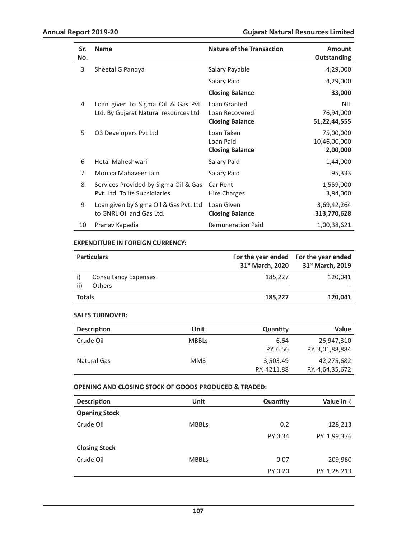| Sr.<br>No. | <b>Name</b>                                                                 | <b>Nature of the Transaction</b>                         | Amount<br>Outstanding                   |
|------------|-----------------------------------------------------------------------------|----------------------------------------------------------|-----------------------------------------|
| 3          | Sheetal G Pandya                                                            | Salary Payable                                           | 4,29,000                                |
|            |                                                                             | Salary Paid                                              | 4,29,000                                |
|            |                                                                             | <b>Closing Balance</b>                                   | 33,000                                  |
| 4          | Loan given to Sigma Oil & Gas Pvt.<br>Ltd. By Gujarat Natural resources Ltd | Loan Granted<br>Loan Recovered<br><b>Closing Balance</b> | <b>NIL</b><br>76,94,000<br>51,22,44,555 |
| 5          | O3 Developers Pvt Ltd                                                       | Loan Taken<br>Loan Paid<br><b>Closing Balance</b>        | 75,00,000<br>10,46,00,000<br>2,00,000   |
| 6          | Hetal Maheshwari                                                            | Salary Paid                                              | 1,44,000                                |
| 7          | Monica Mahaveer Jain                                                        | Salary Paid                                              | 95,333                                  |
| 8          | Services Provided by Sigma Oil & Gas<br>Pyt. Ltd. To its Subsidiaries       | Car Rent<br>Hire Charges                                 | 1,559,000<br>3,84,000                   |
| 9          | Loan given by Sigma Oil & Gas Pvt. Ltd<br>to GNRL Oil and Gas Ltd.          | Loan Given<br><b>Closing Balance</b>                     | 3,69,42,264<br>313,770,628              |
| 10         | Pranav Kapadia                                                              | <b>Remuneration Paid</b>                                 | 1,00,38,621                             |

#### **EXPENDITURE IN FOREIGN CURRENCY:**

|               | <b>Particulars</b>                           | For the year ended For the year ended<br>31 <sup>st</sup> March, 2020 | 31 <sup>st</sup> March, 2019 |
|---------------|----------------------------------------------|-----------------------------------------------------------------------|------------------------------|
| ii)           | <b>Consultancy Expenses</b><br><b>Others</b> | 185.227<br>-                                                          | 120.041                      |
| <b>Totals</b> |                                              | 185.227                                                               | 120.041                      |

#### **SALES TURNOVER:**

| <b>Description</b> | Unit         | Quantity                 | Value                          |
|--------------------|--------------|--------------------------|--------------------------------|
| Crude Oil          | <b>MBBLs</b> | 6.64<br>P.Y. 6.56        | 26,947,310<br>P.Y. 3,01,88,884 |
| Natural Gas        | MM3          | 3,503.49<br>P.Y. 4211.88 | 42,275,682<br>P.Y. 4,64,35,672 |

# **OPENING AND CLOSING STOCK OF GOODS PRODUCED & TRADED:**

| Description          | Unit         | Quantity | Value in $\bar{z}$ |
|----------------------|--------------|----------|--------------------|
| <b>Opening Stock</b> |              |          |                    |
| Crude Oil            | <b>MBBLs</b> | 0.2      | 128,213            |
|                      |              | P.Y 0.34 | P.Y. 1,99,376      |
| <b>Closing Stock</b> |              |          |                    |
| Crude Oil            | <b>MBBLs</b> | 0.07     | 209,960            |
|                      |              | P.Y 0.20 | P.Y. 1,28,213      |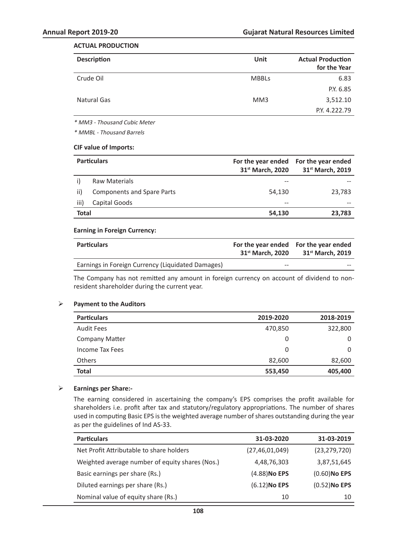# **ACTUAL PRODUCTION**

| Description | Unit         | <b>Actual Production</b><br>for the Year |
|-------------|--------------|------------------------------------------|
| Crude Oil   | <b>MBBLs</b> | 6.83                                     |
|             |              | P.Y. 6.85                                |
| Natural Gas | MM3          | 3,512.10                                 |
|             |              | P.Y. 4.222.79                            |

\* MM3 - Thousand Cubic Meter

\* MMBL - Thousand Barrels

#### **CIF value of Imports:**

|       | <b>Particulars</b>                | For the year ended<br>31 <sup>st</sup> March, 2020 | For the year ended<br>31 <sup>st</sup> March, 2019 |
|-------|-----------------------------------|----------------------------------------------------|----------------------------------------------------|
|       | <b>Raw Materials</b>              | --                                                 |                                                    |
| ii)   | <b>Components and Spare Parts</b> | 54.130                                             | 23.783                                             |
| iii)  | Capital Goods                     | $- -$                                              |                                                    |
| Total |                                   | 54.130                                             | 23,783                                             |

#### **Earning in Foreign Currency:**

| Particulars                                       | 31 <sup>st</sup> March, 2020 | For the year ended For the year ended<br>$31st$ March, 2019 |
|---------------------------------------------------|------------------------------|-------------------------------------------------------------|
| Earnings in Foreign Currency (Liquidated Damages) | $- -$                        | $- -$                                                       |

The Company has not remitted any amount in foreign currency on account of dividend to nonresident shareholder during the current year.

## **Payment to the Auditors**

| <b>Particulars</b>    | 2019-2020 | 2018-2019 |
|-----------------------|-----------|-----------|
| <b>Audit Fees</b>     | 470,850   | 322,800   |
| <b>Company Matter</b> | 0         | 0         |
| Income Tax Fees       | 0         | 0         |
| <b>Others</b>         | 82,600    | 82,600    |
| <b>Total</b>          | 553,450   | 405,400   |

## **Earnings per Share:-**

The earning considered in ascertaining the company's EPS comprises the profit available for shareholders i.e. profit after tax and statutory/regulatory appropriations. The number of shares used in computing Basic EPS is the weighted average number of shares outstanding during the year as per the guidelines of Ind AS-33.

| <b>Particulars</b>                              | 31-03-2020        | 31-03-2019      |
|-------------------------------------------------|-------------------|-----------------|
| Net Profit Attributable to share holders        | (27, 46, 01, 049) | (23, 279, 720)  |
| Weighted average number of equity shares (Nos.) | 4,48,76,303       | 3,87,51,645     |
| Basic earnings per share (Rs.)                  | (4.88) No EPS     | $(0.60)$ No EPS |
| Diluted earnings per share (Rs.)                | $(6.12)$ No EPS   | $(0.52)$ No EPS |
| Nominal value of equity share (Rs.)             | 10                | 10              |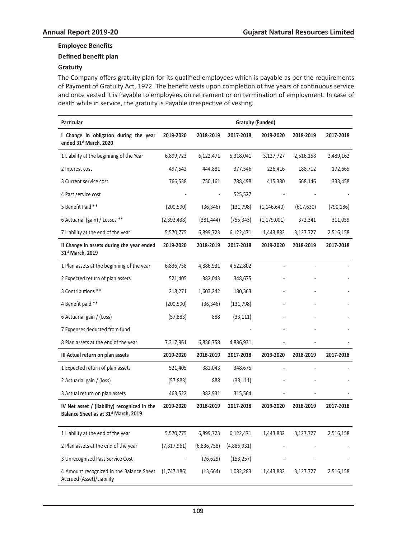## **Employee Benefits**

### **Defined benefit plan**

# **Gratuity**

The Company offers gratuity plan for its qualified employees which is payable as per the requirements of Payment of Gratuity Act, 1972. The benefit vests upon completion of five years of continuous service and once vested it is Payable to employees on retirement or on termination of employment. In case of death while in service, the gratuity is Payable irrespective of vesting.

| Particular                                                                           | <b>Gratuity (Funded)</b> |             |             |               |            |            |
|--------------------------------------------------------------------------------------|--------------------------|-------------|-------------|---------------|------------|------------|
| I Change in obligaton during the year<br>ended 31st March, 2020                      | 2019-2020                | 2018-2019   | 2017-2018   | 2019-2020     | 2018-2019  | 2017-2018  |
| 1 Liability at the beginning of the Year                                             | 6,899,723                | 6,122,471   | 5,318,041   | 3,127,727     | 2,516,158  | 2,489,162  |
| 2 Interest cost                                                                      | 497,542                  | 444,881     | 377,546     | 226,416       | 188,712    | 172,665    |
| 3 Current service cost                                                               | 766,538                  | 750,161     | 788,498     | 415,380       | 668,146    | 333,458    |
| 4 Past service cost                                                                  |                          |             | 525,527     |               |            |            |
| 5 Benefit Paid **                                                                    | (200, 590)               | (36, 346)   | (131, 798)  | (1, 146, 640) | (617, 630) | (790, 186) |
| 6 Actuarial (gain) / Losses **                                                       | (2,392,438)              | (381, 444)  | (755, 343)  | (1, 179, 001) | 372,341    | 311,059    |
| 7 Liability at the end of the year                                                   | 5,570,775                | 6,899,723   | 6,122,471   | 1,443,882     | 3,127,727  | 2,516,158  |
| II Change in assets during the year ended<br>31st March, 2019                        | 2019-2020                | 2018-2019   | 2017-2018   | 2019-2020     | 2018-2019  | 2017-2018  |
| 1 Plan assets at the beginning of the year                                           | 6,836,758                | 4,886,931   | 4,522,802   |               |            |            |
| 2 Expected return of plan assets                                                     | 521,405                  | 382,043     | 348,675     |               |            |            |
| 3 Contributions **                                                                   | 218,271                  | 1,603,242   | 180,363     |               |            |            |
| 4 Benefit paid **                                                                    | (200, 590)               | (36, 346)   | (131, 798)  |               |            |            |
| 6 Actuarial gain / (Loss)                                                            | (57, 883)                | 888         | (33, 111)   |               |            |            |
| 7 Expenses deducted from fund                                                        |                          |             |             |               |            |            |
| 8 Plan assets at the end of the year                                                 | 7,317,961                | 6,836,758   | 4,886,931   |               |            |            |
| III Actual return on plan assets                                                     | 2019-2020                | 2018-2019   | 2017-2018   | 2019-2020     | 2018-2019  | 2017-2018  |
| 1 Expected return of plan assets                                                     | 521,405                  | 382,043     | 348,675     |               |            |            |
| 2 Actuarial gain / (loss)                                                            | (57, 883)                | 888         | (33, 111)   |               |            |            |
| 3 Actual return on plan assets                                                       | 463,522                  | 382,931     | 315,564     |               |            |            |
| IV Net asset / (liability) recognized in the<br>Balance Sheet as at 31st March, 2019 | 2019-2020                | 2018-2019   | 2017-2018   | 2019-2020     | 2018-2019  | 2017-2018  |
| 1 Liability at the end of the year                                                   | 5,570,775                | 6,899,723   | 6,122,471   | 1,443,882     | 3,127,727  | 2,516,158  |
| 2 Plan assets at the end of the year                                                 | (7,317,961)              | (6,836,758) | (4,886,931) |               |            |            |
| 3 Unrecognized Past Service Cost                                                     |                          | (76, 629)   | (153, 257)  |               |            |            |
| 4 Amount recognized in the Balance Sheet<br>Accrued (Asset)/Liability                | (1,747,186)              | (13, 664)   | 1,082,283   | 1,443,882     | 3,127,727  | 2,516,158  |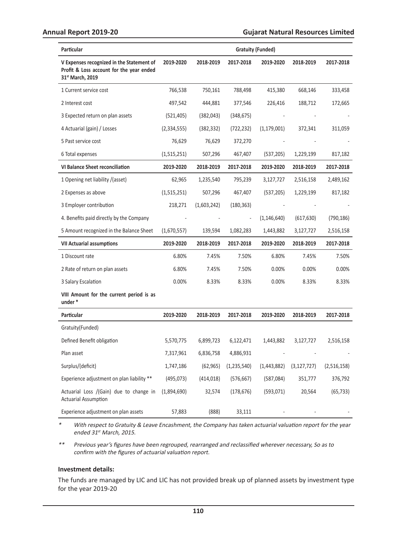| Particular                                                                                                            | <b>Gratuity (Funded)</b> |             |               |               |               |             |
|-----------------------------------------------------------------------------------------------------------------------|--------------------------|-------------|---------------|---------------|---------------|-------------|
| V Expenses recognized in the Statement of<br>Profit & Loss account for the year ended<br>31 <sup>st</sup> March, 2019 | 2019-2020                | 2018-2019   | 2017-2018     | 2019-2020     | 2018-2019     | 2017-2018   |
| 1 Current service cost                                                                                                | 766,538                  | 750,161     | 788,498       | 415,380       | 668,146       | 333,458     |
| 2 Interest cost                                                                                                       | 497,542                  | 444,881     | 377,546       | 226,416       | 188,712       | 172,665     |
| 3 Expected return on plan assets                                                                                      | (521, 405)               | (382, 043)  | (348, 675)    |               |               |             |
| 4 Actuarial (gain) / Losses                                                                                           | (2,334,555)              | (382, 332)  | (722, 232)    | (1, 179, 001) | 372,341       | 311,059     |
| 5 Past service cost                                                                                                   | 76,629                   | 76,629      | 372,270       |               |               |             |
| 6 Total expenses                                                                                                      | (1,515,251)              | 507,296     | 467,407       | (537, 205)    | 1,229,199     | 817,182     |
| VI Balance Sheet reconciliation                                                                                       | 2019-2020                | 2018-2019   | 2017-2018     | 2019-2020     | 2018-2019     | 2017-2018   |
| 1 Opening net liability /(asset)                                                                                      | 62,965                   | 1,235,540   | 795,239       | 3,127,727     | 2,516,158     | 2,489,162   |
| 2 Expenses as above                                                                                                   | (1,515,251)              | 507,296     | 467,407       | (537, 205)    | 1,229,199     | 817,182     |
| 3 Employer contribution                                                                                               | 218,271                  | (1,603,242) | (180, 363)    |               |               |             |
| 4. Benefits paid directly by the Company                                                                              |                          |             | ÷,            | (1, 146, 640) | (617, 630)    | (790, 186)  |
| 5 Amount recognized in the Balance Sheet                                                                              | (1,670,557)              | 139,594     | 1,082,283     | 1,443,882     | 3,127,727     | 2,516,158   |
| <b>VII Actuarial assumptions</b>                                                                                      | 2019-2020                | 2018-2019   | 2017-2018     | 2019-2020     | 2018-2019     | 2017-2018   |
| 1 Discount rate                                                                                                       | 6.80%                    | 7.45%       | 7.50%         | 6.80%         | 7.45%         | 7.50%       |
| 2 Rate of return on plan assets                                                                                       | 6.80%                    | 7.45%       | 7.50%         | $0.00\%$      | 0.00%         | $0.00\%$    |
| 3 Salary Escalation                                                                                                   | 0.00%                    | 8.33%       | 8.33%         | 0.00%         | 8.33%         | 8.33%       |
| VIII Amount for the current period is as<br>under*                                                                    |                          |             |               |               |               |             |
| Particular                                                                                                            | 2019-2020                | 2018-2019   | 2017-2018     | 2019-2020     | 2018-2019     | 2017-2018   |
| Gratuity(Funded)                                                                                                      |                          |             |               |               |               |             |
| Defined Benefit obligation                                                                                            | 5,570,775                | 6,899,723   | 6,122,471     | 1,443,882     | 3,127,727     | 2,516,158   |
| Plan asset                                                                                                            | 7,317,961                | 6,836,758   | 4,886,931     |               |               |             |
| Surplus/(deficit)                                                                                                     | 1,747,186                | (62, 965)   | (1, 235, 540) | (1,443,882)   | (3, 127, 727) | (2,516,158) |
| Experience adjustment on plan liability **                                                                            | (495, 073)               | (414, 018)  | (576, 667)    | (587,084)     | 351,777       | 376,792     |
| Actuarial Loss /(Gain) due to change in<br><b>Actuarial Assumption</b>                                                | (1,894,690)              | 32,574      | (178, 676)    | (593, 071)    | 20,564        | (65, 733)   |
| Experience adjustment on plan assets                                                                                  | 57,883                   | (888)       | 33,111        |               |               |             |

\* With respect to Gratuity & Leave Encashment, the Company has taken actuarial valuation report for the year ended 31st March, 2015.

\*\* Previous year's figures have been regrouped, rearranged and reclassified wherever necessary, So as to confirm with the figures of actuarial valuation report.

# **Investment details:**

The funds are managed by LIC and LIC has not provided break up of planned assets by investment type for the year 2019-20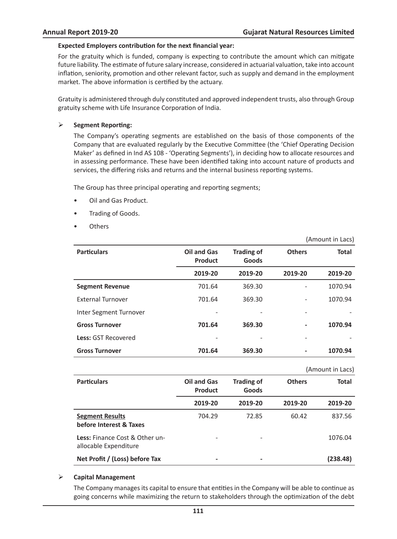## **Expected Employers contribution for the next financial year:**

For the gratuity which is funded, company is expecting to contribute the amount which can mitigate future liability. The estimate of future salary increase, considered in actuarial valuation, take into account inflation, seniority, promotion and other relevant factor, such as supply and demand in the employment market. The above information is certified by the actuary.

Gratuity is administered through duly constituted and approved independent trusts, also through Group gratuity scheme with Life Insurance Corporation of India.

## **Segment Reporting:**

The Company's operating segments are established on the basis of those components of the Company that are evaluated regularly by the Executive Committee (the 'Chief Operating Decision Maker' as defined in Ind AS 108 - 'Operating Segments'), in deciding how to allocate resources and in assessing performance. These have been identified taking into account nature of products and services, the differing risks and returns and the internal business reporting systems.

The Group has three principal operating and reporting segments;

- Oil and Gas Product.
- Trading of Goods.
- **Others**

|                            |                        |                            |               | (Allioulit III Lacs) |
|----------------------------|------------------------|----------------------------|---------------|----------------------|
| <b>Particulars</b>         | Oil and Gas<br>Product | <b>Trading of</b><br>Goods | <b>Others</b> | <b>Total</b>         |
|                            | 2019-20                | 2019-20                    | 2019-20       | 2019-20              |
| <b>Segment Revenue</b>     | 701.64                 | 369.30                     |               | 1070.94              |
| <b>External Turnover</b>   | 701.64                 | 369.30                     |               | 1070.94              |
| Inter Segment Turnover     |                        |                            |               |                      |
| <b>Gross Turnover</b>      | 701.64                 | 369.30                     |               | 1070.94              |
| <b>Less: GST Recovered</b> |                        |                            |               |                      |
| <b>Gross Turnover</b>      | 701.64                 | 369.30                     |               | 1070.94              |

| (Amount in Lacs) |  |  |
|------------------|--|--|
|------------------|--|--|

(Amount in Lacs)

| <b>Particulars</b>                                      | Oil and Gas<br>Product | <b>Trading of</b><br><b>Goods</b> | <b>Others</b> | <b>Total</b> |
|---------------------------------------------------------|------------------------|-----------------------------------|---------------|--------------|
|                                                         | 2019-20                | 2019-20                           | 2019-20       | 2019-20      |
| <b>Segment Results</b><br>before Interest & Taxes       | 704.29                 | 72.85                             | 60.42         | 837.56       |
| Less: Finance Cost & Other un-<br>allocable Expenditure | -                      |                                   |               | 1076.04      |
| Net Profit / (Loss) before Tax                          |                        | $\overline{\phantom{a}}$          |               | (238.48)     |

## **Capital Management**

The Company manages its capital to ensure that entities in the Company will be able to continue as going concerns while maximizing the return to stakeholders through the optimization of the debt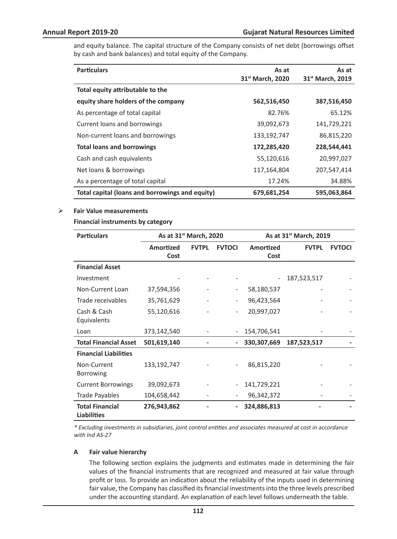and equity balance. The capital structure of the Company consists of net debt (borrowings offset by cash and bank balances) and total equity of the Company.

| <b>Particulars</b>                              | As at                        | As at                        |
|-------------------------------------------------|------------------------------|------------------------------|
|                                                 | 31 <sup>st</sup> March, 2020 | 31 <sup>st</sup> March, 2019 |
| Total equity attributable to the                |                              |                              |
| equity share holders of the company             | 562,516,450                  | 387,516,450                  |
| As percentage of total capital                  | 82.76%                       | 65.12%                       |
| Current loans and borrowings                    | 39,092,673                   | 141,729,221                  |
| Non-current loans and borrowings                | 133,192,747                  | 86,815,220                   |
| <b>Total loans and borrowings</b>               | 172,285,420                  | 228,544,441                  |
| Cash and cash equivalents                       | 55,120,616                   | 20,997,027                   |
| Net loans & borrowings                          | 117,164,804                  | 207,547,414                  |
| As a percentage of total capital                | 17.24%                       | 34.88%                       |
| Total capital (loans and borrowings and equity) | 679,681,254                  | 595,063,864                  |

## **Fair Value measurements**

# **Financial instruments by category**

| <b>Particulars</b>                           |                          | As at 31 <sup>st</sup> March, 2020<br>As at 31 <sup>st</sup> March, 2019 |               |                          |              |               |
|----------------------------------------------|--------------------------|--------------------------------------------------------------------------|---------------|--------------------------|--------------|---------------|
|                                              | <b>Amortized</b><br>Cost | <b>FVTPL</b>                                                             | <b>FVTOCI</b> | <b>Amortized</b><br>Cost | <b>FVTPL</b> | <b>FVTOCI</b> |
| <b>Financial Asset</b>                       |                          |                                                                          |               |                          |              |               |
| Investment                                   |                          |                                                                          |               | $\overline{\phantom{m}}$ | 187,523,517  |               |
| Non-Current Loan                             | 37,594,356               |                                                                          |               | 58,180,537               |              |               |
| Trade receivables                            | 35,761,629               |                                                                          | -             | 96,423,564               |              |               |
| Cash & Cash<br>Equivalents                   | 55,120,616               |                                                                          | -             | 20,997,027               |              |               |
| Loan                                         | 373,142,540              |                                                                          |               | 154,706,541              |              |               |
| <b>Total Financial Asset</b>                 | 501,619,140              |                                                                          | ٠             | 330,307,669              | 187,523,517  |               |
| <b>Financial Liabilities</b>                 |                          |                                                                          |               |                          |              |               |
| Non-Current<br>Borrowing                     | 133,192,747              |                                                                          |               | 86,815,220               |              |               |
| <b>Current Borrowings</b>                    | 39,092,673               |                                                                          |               | 141,729,221              |              |               |
| <b>Trade Payables</b>                        | 104,658,442              |                                                                          |               | 96,342,372               |              |               |
| <b>Total Financial</b><br><b>Liabilities</b> | 276,943,862              |                                                                          |               | 324,886,813              |              |               |

\* Excluding investments in subsidiaries, joint control entities and associates measured at cost in accordance with Ind AS-27

# **A Fair value hierarchy**

The following section explains the judgments and estimates made in determining the fair values of the financial instruments that are recognized and measured at fair value through profit or loss. To provide an indication about the reliability of the inputs used in determining fair value, the Company has classified its financial investments into the three levels prescribed under the accounting standard. An explanation of each level follows underneath the table.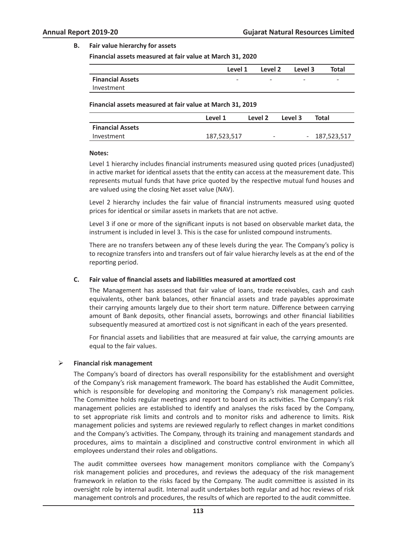## **B. Fair value hierarchy for assets**

**Financial assets measured at fair value at March 31, 2020**

|                         | Level 1                  | Level 2                  | Level 3                  | Total                    |
|-------------------------|--------------------------|--------------------------|--------------------------|--------------------------|
| <b>Financial Assets</b> | $\overline{\phantom{a}}$ | $\overline{\phantom{a}}$ | $\overline{\phantom{a}}$ | $\overline{\phantom{a}}$ |
| Investment              |                          |                          |                          |                          |

#### **Financial assets measured at fair value at March 31, 2019**

|                         | Level 1     | Level 2 | Level 3 | Total          |
|-------------------------|-------------|---------|---------|----------------|
| <b>Financial Assets</b> |             |         |         |                |
| Investment              | 187,523,517 | $\sim$  |         | $-187,523,517$ |

### **Notes:**

Level 1 hierarchy includes financial instruments measured using quoted prices (unadjusted) in active market for identical assets that the entity can access at the measurement date. This represents mutual funds that have price quoted by the respective mutual fund houses and are valued using the closing Net asset value (NAV).

Level 2 hierarchy includes the fair value of financial instruments measured using quoted prices for identical or similar assets in markets that are not active.

Level 3 if one or more of the significant inputs is not based on observable market data, the instrument is included in level 3. This is the case for unlisted compound instruments.

There are no transfers between any of these levels during the year. The Company's policy is to recognize transfers into and transfers out of fair value hierarchy levels as at the end of the reporting period.

## **C. Fair value of financial assets and liabilities measured at amortized cost**

The Management has assessed that fair value of loans, trade receivables, cash and cash equivalents, other bank balances, other financial assets and trade payables approximate their carrying amounts largely due to their short term nature. Difference between carrying amount of Bank deposits, other financial assets, borrowings and other financial liabilities subsequently measured at amortized cost is not significant in each of the years presented.

For financial assets and liabilities that are measured at fair value, the carrying amounts are equal to the fair values.

## **Financial risk management**

The Company's board of directors has overall responsibility for the establishment and oversight of the Company's risk management framework. The board has established the Audit Committee, which is responsible for developing and monitoring the Company's risk management policies. The Committee holds regular meetings and report to board on its activities. The Company's risk management policies are established to identify and analyses the risks faced by the Company, to set appropriate risk limits and controls and to monitor risks and adherence to limits. Risk management policies and systems are reviewed regularly to reflect changes in market conditions and the Company's activities. The Company, through its training and management standards and procedures, aims to maintain a disciplined and constructive control environment in which all employees understand their roles and obligations.

The audit committee oversees how management monitors compliance with the Company's risk management policies and procedures, and reviews the adequacy of the risk management framework in relation to the risks faced by the Company. The audit committee is assisted in its oversight role by internal audit. Internal audit undertakes both regular and ad hoc reviews of risk management controls and procedures, the results of which are reported to the audit committee.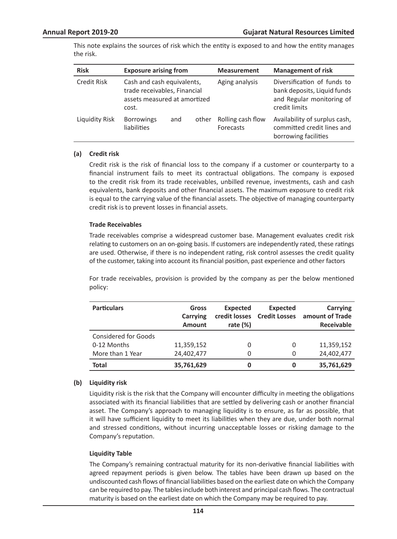This note explains the sources of risk which the entity is exposed to and how the entity manages the risk.

| <b>Risk</b>        | <b>Exposure arising from</b>                                                                        |     |       | <b>Measurement</b>             | <b>Management of risk</b>                                                                                |
|--------------------|-----------------------------------------------------------------------------------------------------|-----|-------|--------------------------------|----------------------------------------------------------------------------------------------------------|
| <b>Credit Risk</b> | Cash and cash equivalents,<br>trade receivables, Financial<br>assets measured at amortized<br>cost. |     |       | Aging analysis                 | Diversification of funds to<br>bank deposits, Liquid funds<br>and Regular monitoring of<br>credit limits |
| Liquidity Risk     | <b>Borrowings</b><br>liabilities                                                                    | and | other | Rolling cash flow<br>Forecasts | Availability of surplus cash,<br>committed credit lines and<br>borrowing facilities                      |

## **(a) Credit risk**

Credit risk is the risk of financial loss to the company if a customer or counterparty to a financial instrument fails to meet its contractual obligations. The company is exposed to the credit risk from its trade receivables, unbilled revenue, investments, cash and cash equivalents, bank deposits and other financial assets. The maximum exposure to credit risk is equal to the carrying value of the financial assets. The objective of managing counterparty credit risk is to prevent losses in financial assets.

# **Trade Receivables**

Trade receivables comprise a widespread customer base. Management evaluates credit risk relating to customers on an on-going basis. If customers are independently rated, these ratings are used. Otherwise, if there is no independent rating, risk control assesses the credit quality of the customer, taking into account its financial position, past experience and other factors

For trade receivables, provision is provided by the company as per the below mentioned policy:

| <b>Particulars</b>   | Gross<br>Carrying<br><b>Amount</b> | Expected<br>credit losses<br>rate $(\%)$ | Expected | Carrying<br><b>Credit Losses</b> amount of Trade<br><b>Receivable</b> |
|----------------------|------------------------------------|------------------------------------------|----------|-----------------------------------------------------------------------|
| Considered for Goods |                                    |                                          |          |                                                                       |
| 0-12 Months          | 11,359,152                         | 0                                        | 0        | 11,359,152                                                            |
| More than 1 Year     | 24,402,477                         | 0                                        | 0        | 24,402,477                                                            |
| <b>Total</b>         | 35,761,629                         | 0                                        | 0        | 35,761,629                                                            |

# **(b) Liquidity risk**

Liquidity risk is the risk that the Company will encounter difficulty in meeting the obligations associated with its financial liabilities that are settled by delivering cash or another financial asset. The Company's approach to managing liquidity is to ensure, as far as possible, that it will have sufficient liquidity to meet its liabilities when they are due, under both normal and stressed conditions, without incurring unacceptable losses or risking damage to the Company's reputation.

# **Liquidity Table**

The Company's remaining contractual maturity for its non-derivative financial liabilities with agreed repayment periods is given below. The tables have been drawn up based on the undiscounted cash flows of financial liabilities based on the earliest date on which the Company can be required to pay. The tables include both interest and principal cash flows. The contractual maturity is based on the earliest date on which the Company may be required to pay.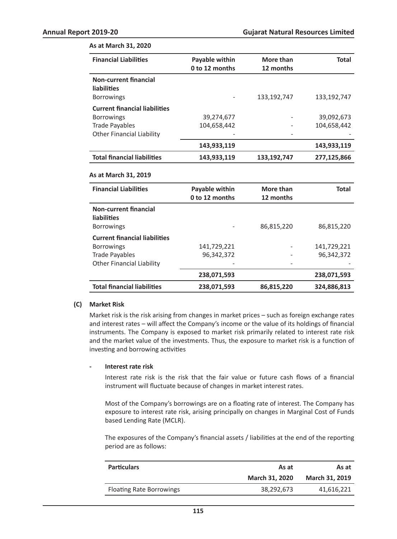#### **As at March 31, 2020**

| <b>Financial Liabilities</b>         | Payable within<br>0 to 12 months | More than<br>12 months | <b>Total</b> |
|--------------------------------------|----------------------------------|------------------------|--------------|
|                                      |                                  |                        |              |
| <b>Non-current financial</b>         |                                  |                        |              |
| liabilities                          |                                  |                        |              |
| <b>Borrowings</b>                    |                                  | 133,192,747            | 133,192,747  |
|                                      |                                  |                        |              |
| <b>Current financial liabilities</b> |                                  |                        |              |
| <b>Borrowings</b>                    | 39,274,677                       |                        | 39,092,673   |
| Trade Payables                       | 104.658.442                      |                        | 104,658,442  |
| <b>Other Financial Liability</b>     |                                  |                        |              |
|                                      | 143,933,119                      |                        | 143,933,119  |
| <b>Total financial liabilities</b>   | 143.933.119                      | 133.192.747            | 277.125.866  |

#### **As at March 31, 2019**

| <b>Financial Liabilities</b>                                            | Payable within<br>0 to 12 months | More than<br>12 months | <b>Total</b> |
|-------------------------------------------------------------------------|----------------------------------|------------------------|--------------|
| <b>Non-current financial</b><br><b>liabilities</b><br><b>Borrowings</b> |                                  | 86,815,220             | 86,815,220   |
| <b>Current financial liabilities</b>                                    |                                  |                        |              |
| <b>Borrowings</b>                                                       | 141,729,221                      |                        | 141,729,221  |
| <b>Trade Payables</b>                                                   | 96,342,372                       |                        | 96,342,372   |
| <b>Other Financial Liability</b>                                        |                                  |                        |              |
|                                                                         | 238,071,593                      |                        | 238,071,593  |
| <b>Total financial liabilities</b>                                      | 238,071,593                      | 86,815,220             | 324,886,813  |

## **(C) Market Risk**

Market risk is the risk arising from changes in market prices – such as foreign exchange rates and interest rates – will affect the Company's income or the value of its holdings of financial instruments. The Company is exposed to market risk primarily related to interest rate risk and the market value of the investments. Thus, the exposure to market risk is a function of investing and borrowing activities

## **- Interest rate risk**

Interest rate risk is the risk that the fair value or future cash flows of a financial instrument will fluctuate because of changes in market interest rates.

Most of the Company's borrowings are on a floating rate of interest. The Company has exposure to interest rate risk, arising principally on changes in Marginal Cost of Funds based Lending Rate (MCLR).

The exposures of the Company's financial assets / liabilities at the end of the reporting period are as follows:

| <b>Particulars</b>              | As at<br><b>March 31, 2020</b> | As at<br><b>March 31, 2019</b> |
|---------------------------------|--------------------------------|--------------------------------|
|                                 |                                |                                |
| <b>Floating Rate Borrowings</b> | 38,292,673                     | 41,616,221                     |